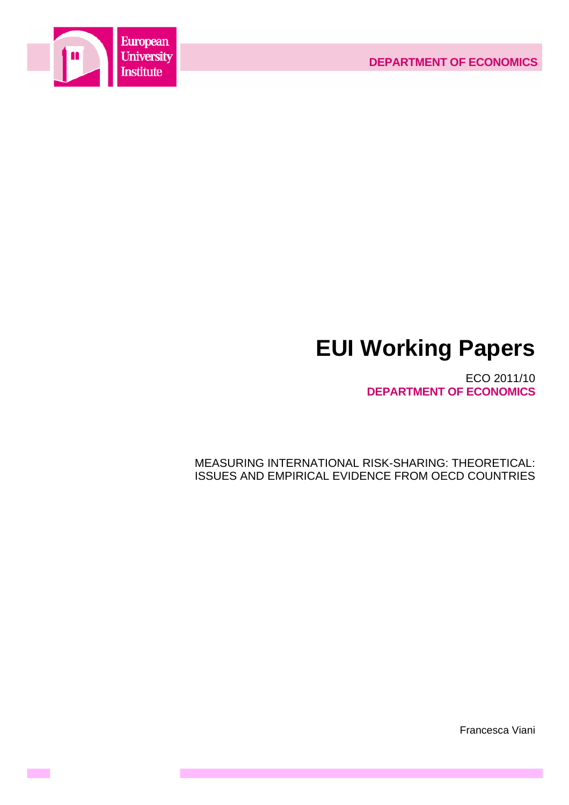

**Contract** 

# **EUI Working Papers**

ECO 2011/10 **DEPARTMENT OF ECONOMICS**

MEASURING INTERNATIONAL RISK-SHARING: THEORETICAL: ISSUES AND EMPIRICAL EVIDENCE FROM OECD COUNTRIES

Francesca Viani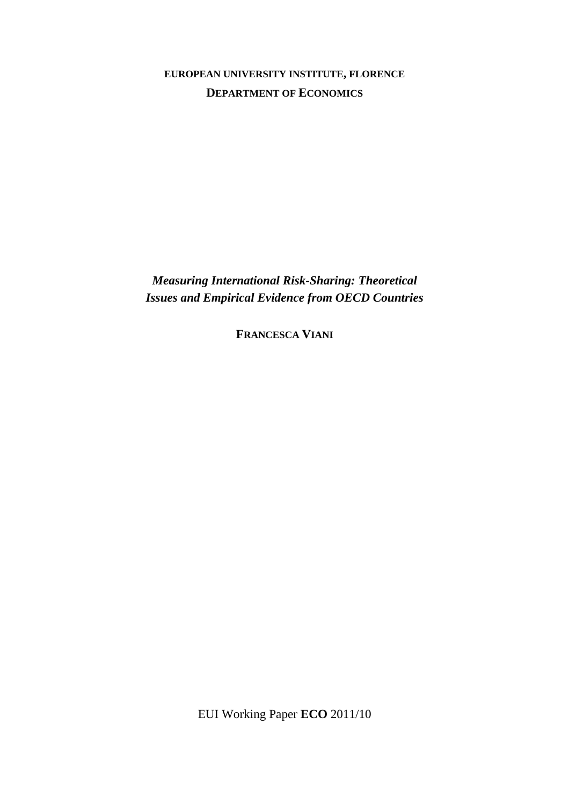# **EUROPEAN UNIVERSITY INSTITUTE, FLORENCE DEPARTMENT OF ECONOMICS**

*Measuring International Risk-Sharing: Theoretical Issues and Empirical Evidence from OECD Countries* 

**FRANCESCA VIANI** 

EUI Working Paper **ECO** 2011/10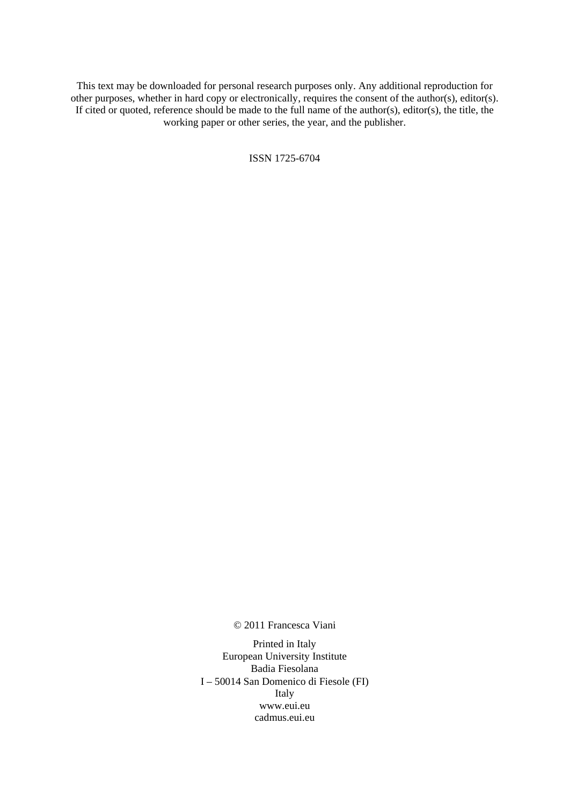This text may be downloaded for personal research purposes only. Any additional reproduction for other purposes, whether in hard copy or electronically, requires the consent of the author(s), editor(s). If cited or quoted, reference should be made to the full name of the author(s), editor(s), the title, the working paper or other series, the year, and the publisher.

ISSN 1725-6704

© 2011 Francesca Viani

Printed in Italy European University Institute Badia Fiesolana I – 50014 San Domenico di Fiesole (FI) Italy [www.eui.eu](http://www.eui.eu/)  [cadmus.eui.eu](http://www.eui.eu/)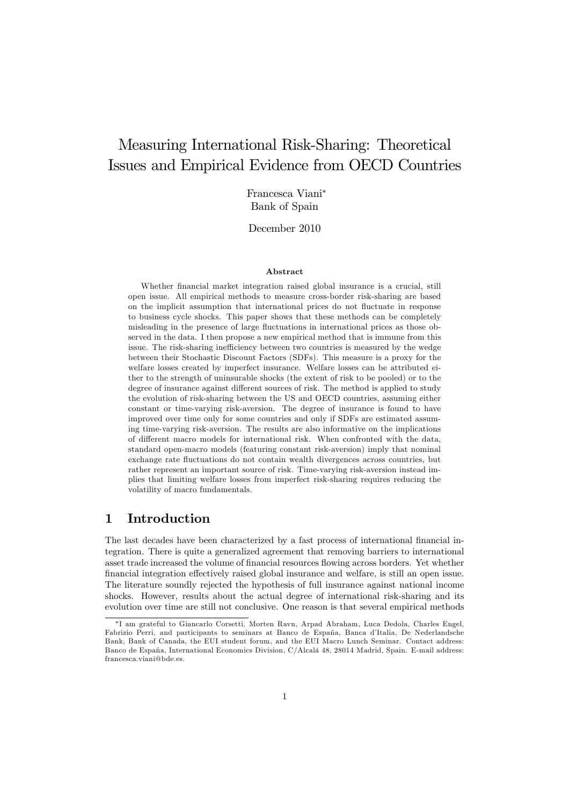# Measuring International Risk-Sharing: Theoretical Issues and Empirical Evidence from OECD Countries

Francesca Viani<sup>∗</sup> Bank of Spain

December 2010

#### Abstract

Whether financial market integration raised global insurance is a crucial, still open issue. All empirical methods to measure cross-border risk-sharing are based on the implicit assumption that international prices do not fluctuate in response to business cycle shocks. This paper shows that these methods can be completely misleading in the presence of large fluctuations in international prices as those observed in the data. I then propose a new empirical method that is immune from this issue. The risk-sharing inefficiency between two countries is measured by the wedge between their Stochastic Discount Factors (SDFs). This measure is a proxy for the welfare losses created by imperfect insurance. Welfare losses can be attributed either to the strength of uninsurable shocks (the extent of risk to be pooled) or to the degree of insurance against different sources of risk. The method is applied to study the evolution of risk-sharing between the US and OECD countries, assuming either constant or time-varying risk-aversion. The degree of insurance is found to have improved over time only for some countries and only if SDFs are estimated assuming time-varying risk-aversion. The results are also informative on the implications of different macro models for international risk. When confronted with the data, standard open-macro models (featuring constant risk-aversion) imply that nominal exchange rate fluctuations do not contain wealth divergences across countries, but rather represent an important source of risk. Time-varying risk-aversion instead implies that limiting welfare losses from imperfect risk-sharing requires reducing the volatility of macro fundamentals.

# 1 Introduction

The last decades have been characterized by a fast process of international financial integration. There is quite a generalized agreement that removing barriers to international asset trade increased the volume of financial resources flowing across borders. Yet whether financial integration effectively raised global insurance and welfare, is still an open issue. The literature soundly rejected the hypothesis of full insurance against national income shocks. However, results about the actual degree of international risk-sharing and its evolution over time are still not conclusive. One reason is that several empirical methods

<sup>∗</sup>I am grateful to Giancarlo Corsetti, Morten Ravn, Arpad Abraham, Luca Dedola, Charles Engel, Fabrizio Perri, and participants to seminars at Banco de España, Banca d'Italia, De Nederlandsche Bank, Bank of Canada, the EUI student forum, and the EUI Macro Lunch Seminar. Contact address: Banco de España, International Economics Division, C/Alcalá 48, 28014 Madrid, Spain. E-mail address: francesca.viani@bde.es.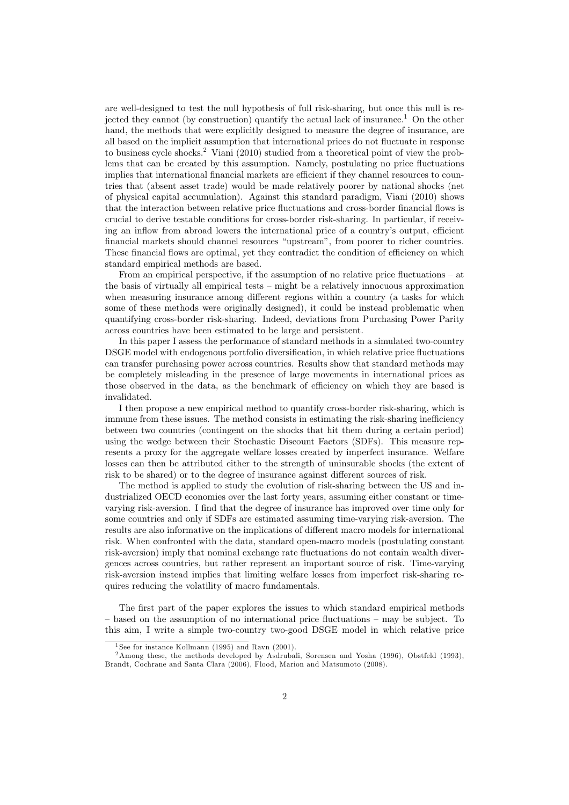are well-designed to test the null hypothesis of full risk-sharing, but once this null is rejected they cannot (by construction) quantify the actual lack of insurance.<sup>1</sup> On the other hand, the methods that were explicitly designed to measure the degree of insurance, are all based on the implicit assumption that international prices do not fluctuate in response to business cycle shocks.2 Viani (2010) studied from a theoretical point of view the problems that can be created by this assumption. Namely, postulating no price fluctuations implies that international financial markets are efficient if they channel resources to countries that (absent asset trade) would be made relatively poorer by national shocks (net of physical capital accumulation). Against this standard paradigm, Viani (2010) shows that the interaction between relative price fluctuations and cross-border financial flows is crucial to derive testable conditions for cross-border risk-sharing. In particular, if receiving an inflow from abroad lowers the international price of a country's output, efficient financial markets should channel resources "upstream", from poorer to richer countries. These financial flows are optimal, yet they contradict the condition of efficiency on which standard empirical methods are based.

From an empirical perspective, if the assumption of no relative price fluctuations — at the basis of virtually all empirical tests — might be a relatively innocuous approximation when measuring insurance among different regions within a country (a tasks for which some of these methods were originally designed), it could be instead problematic when quantifying cross-border risk-sharing. Indeed, deviations from Purchasing Power Parity across countries have been estimated to be large and persistent.

In this paper I assess the performance of standard methods in a simulated two-country DSGE model with endogenous portfolio diversification, in which relative price fluctuations can transfer purchasing power across countries. Results show that standard methods may be completely misleading in the presence of large movements in international prices as those observed in the data, as the benchmark of efficiency on which they are based is invalidated.

I then propose a new empirical method to quantify cross-border risk-sharing, which is immune from these issues. The method consists in estimating the risk-sharing inefficiency between two countries (contingent on the shocks that hit them during a certain period) using the wedge between their Stochastic Discount Factors (SDFs). This measure represents a proxy for the aggregate welfare losses created by imperfect insurance. Welfare losses can then be attributed either to the strength of uninsurable shocks (the extent of risk to be shared) or to the degree of insurance against different sources of risk.

The method is applied to study the evolution of risk-sharing between the US and industrialized OECD economies over the last forty years, assuming either constant or timevarying risk-aversion. I find that the degree of insurance has improved over time only for some countries and only if SDFs are estimated assuming time-varying risk-aversion. The results are also informative on the implications of different macro models for international risk. When confronted with the data, standard open-macro models (postulating constant risk-aversion) imply that nominal exchange rate fluctuations do not contain wealth divergences across countries, but rather represent an important source of risk. Time-varying risk-aversion instead implies that limiting welfare losses from imperfect risk-sharing requires reducing the volatility of macro fundamentals.

The first part of the paper explores the issues to which standard empirical methods — based on the assumption of no international price fluctuations — may be subject. To this aim, I write a simple two-country two-good DSGE model in which relative price

<sup>&</sup>lt;sup>1</sup> See for instance Kollmann (1995) and Ravn (2001).

<sup>2</sup>Among these, the methods developed by Asdrubali, Sorensen and Yosha (1996), Obstfeld (1993), Brandt, Cochrane and Santa Clara (2006), Flood, Marion and Matsumoto (2008).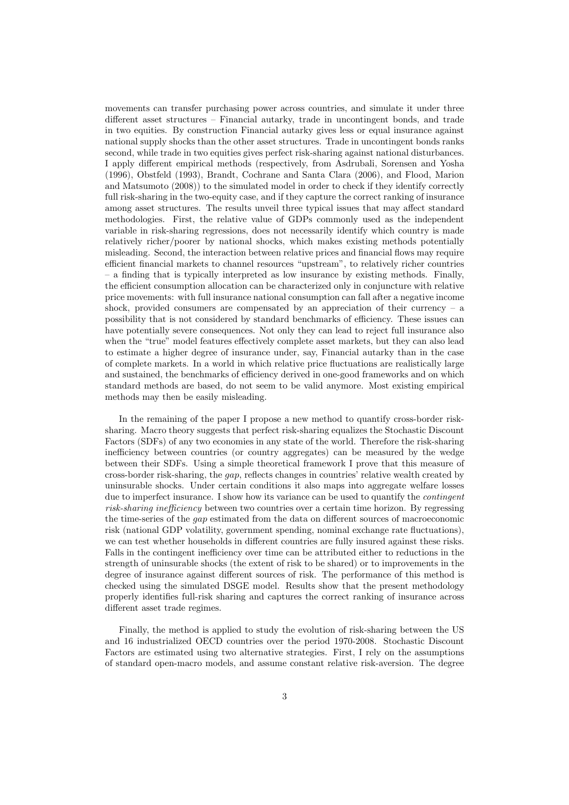movements can transfer purchasing power across countries, and simulate it under three different asset structures — Financial autarky, trade in uncontingent bonds, and trade in two equities. By construction Financial autarky gives less or equal insurance against national supply shocks than the other asset structures. Trade in uncontingent bonds ranks second, while trade in two equities gives perfect risk-sharing against national disturbances. I apply different empirical methods (respectively, from Asdrubali, Sorensen and Yosha (1996), Obstfeld (1993), Brandt, Cochrane and Santa Clara (2006), and Flood, Marion and Matsumoto (2008)) to the simulated model in order to check if they identify correctly full risk-sharing in the two-equity case, and if they capture the correct ranking of insurance among asset structures. The results unveil three typical issues that may affect standard methodologies. First, the relative value of GDPs commonly used as the independent variable in risk-sharing regressions, does not necessarily identify which country is made relatively richer/poorer by national shocks, which makes existing methods potentially misleading. Second, the interaction between relative prices and financial flows may require efficient financial markets to channel resources "upstream", to relatively richer countries — a finding that is typically interpreted as low insurance by existing methods. Finally, the efficient consumption allocation can be characterized only in conjuncture with relative price movements: with full insurance national consumption can fall after a negative income shock, provided consumers are compensated by an appreciation of their currency  $-$  a possibility that is not considered by standard benchmarks of efficiency. These issues can have potentially severe consequences. Not only they can lead to reject full insurance also when the "true" model features effectively complete asset markets, but they can also lead to estimate a higher degree of insurance under, say, Financial autarky than in the case of complete markets. In a world in which relative price fluctuations are realistically large and sustained, the benchmarks of efficiency derived in one-good frameworks and on which standard methods are based, do not seem to be valid anymore. Most existing empirical methods may then be easily misleading.

In the remaining of the paper I propose a new method to quantify cross-border risksharing. Macro theory suggests that perfect risk-sharing equalizes the Stochastic Discount Factors (SDFs) of any two economies in any state of the world. Therefore the risk-sharing inefficiency between countries (or country aggregates) can be measured by the wedge between their SDFs. Using a simple theoretical framework I prove that this measure of cross-border risk-sharing, the gap, reflects changes in countries' relative wealth created by uninsurable shocks. Under certain conditions it also maps into aggregate welfare losses due to imperfect insurance. I show how its variance can be used to quantify the contingent risk-sharing inefficiency between two countries over a certain time horizon. By regressing the time-series of the gap estimated from the data on different sources of macroeconomic risk (national GDP volatility, government spending, nominal exchange rate fluctuations), we can test whether households in different countries are fully insured against these risks. Falls in the contingent inefficiency over time can be attributed either to reductions in the strength of uninsurable shocks (the extent of risk to be shared) or to improvements in the degree of insurance against different sources of risk. The performance of this method is checked using the simulated DSGE model. Results show that the present methodology properly identifies full-risk sharing and captures the correct ranking of insurance across different asset trade regimes.

Finally, the method is applied to study the evolution of risk-sharing between the US and 16 industrialized OECD countries over the period 1970-2008. Stochastic Discount Factors are estimated using two alternative strategies. First, I rely on the assumptions of standard open-macro models, and assume constant relative risk-aversion. The degree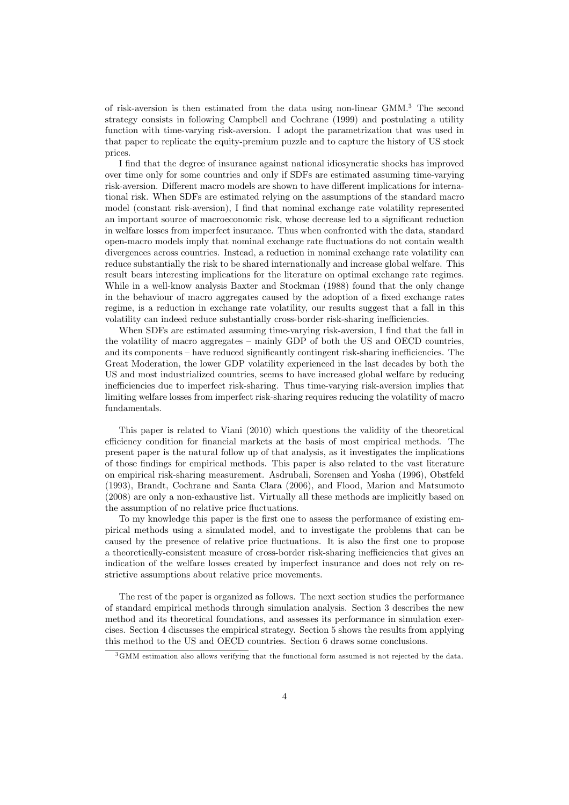of risk-aversion is then estimated from the data using non-linear GMM.3 The second strategy consists in following Campbell and Cochrane (1999) and postulating a utility function with time-varying risk-aversion. I adopt the parametrization that was used in that paper to replicate the equity-premium puzzle and to capture the history of US stock prices.

I find that the degree of insurance against national idiosyncratic shocks has improved over time only for some countries and only if SDFs are estimated assuming time-varying risk-aversion. Different macro models are shown to have different implications for international risk. When SDFs are estimated relying on the assumptions of the standard macro model (constant risk-aversion), I find that nominal exchange rate volatility represented an important source of macroeconomic risk, whose decrease led to a significant reduction in welfare losses from imperfect insurance. Thus when confronted with the data, standard open-macro models imply that nominal exchange rate fluctuations do not contain wealth divergences across countries. Instead, a reduction in nominal exchange rate volatility can reduce substantially the risk to be shared internationally and increase global welfare. This result bears interesting implications for the literature on optimal exchange rate regimes. While in a well-know analysis Baxter and Stockman (1988) found that the only change in the behaviour of macro aggregates caused by the adoption of a fixed exchange rates regime, is a reduction in exchange rate volatility, our results suggest that a fall in this volatility can indeed reduce substantially cross-border risk-sharing inefficiencies.

When SDFs are estimated assuming time-varying risk-aversion, I find that the fall in the volatility of macro aggregates — mainly GDP of both the US and OECD countries, and its components — have reduced significantly contingent risk-sharing inefficiencies. The Great Moderation, the lower GDP volatility experienced in the last decades by both the US and most industrialized countries, seems to have increased global welfare by reducing inefficiencies due to imperfect risk-sharing. Thus time-varying risk-aversion implies that limiting welfare losses from imperfect risk-sharing requires reducing the volatility of macro fundamentals.

This paper is related to Viani (2010) which questions the validity of the theoretical efficiency condition for financial markets at the basis of most empirical methods. The present paper is the natural follow up of that analysis, as it investigates the implications of those findings for empirical methods. This paper is also related to the vast literature on empirical risk-sharing measurement. Asdrubali, Sorensen and Yosha (1996), Obstfeld (1993), Brandt, Cochrane and Santa Clara (2006), and Flood, Marion and Matsumoto (2008) are only a non-exhaustive list. Virtually all these methods are implicitly based on the assumption of no relative price fluctuations.

To my knowledge this paper is the first one to assess the performance of existing empirical methods using a simulated model, and to investigate the problems that can be caused by the presence of relative price fluctuations. It is also the first one to propose a theoretically-consistent measure of cross-border risk-sharing inefficiencies that gives an indication of the welfare losses created by imperfect insurance and does not rely on restrictive assumptions about relative price movements.

The rest of the paper is organized as follows. The next section studies the performance of standard empirical methods through simulation analysis. Section 3 describes the new method and its theoretical foundations, and assesses its performance in simulation exercises. Section 4 discusses the empirical strategy. Section 5 shows the results from applying this method to the US and OECD countries. Section 6 draws some conclusions.

<sup>3</sup>GMM estimation also allows verifying that the functional form assumed is not rejected by the data.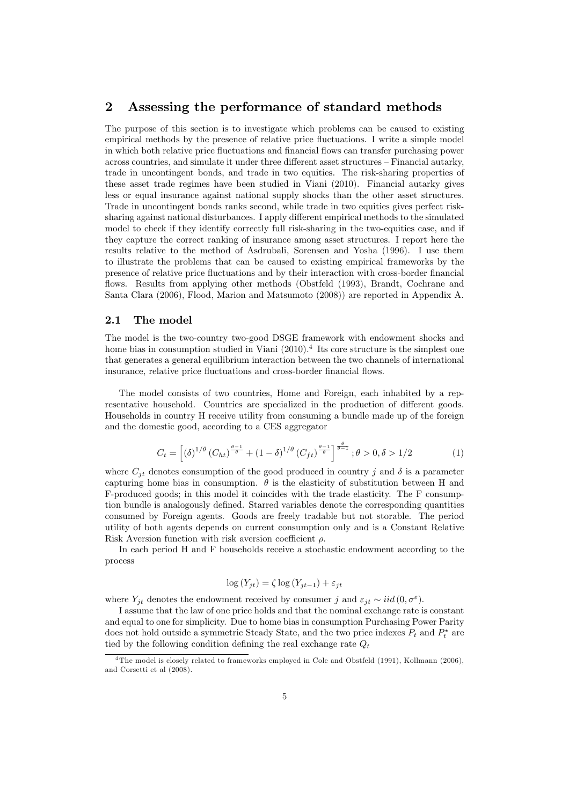# 2 Assessing the performance of standard methods

The purpose of this section is to investigate which problems can be caused to existing empirical methods by the presence of relative price fluctuations. I write a simple model in which both relative price fluctuations and financial flows can transfer purchasing power across countries, and simulate it under three different asset structures — Financial autarky, trade in uncontingent bonds, and trade in two equities. The risk-sharing properties of these asset trade regimes have been studied in Viani (2010). Financial autarky gives less or equal insurance against national supply shocks than the other asset structures. Trade in uncontingent bonds ranks second, while trade in two equities gives perfect risksharing against national disturbances. I apply different empirical methods to the simulated model to check if they identify correctly full risk-sharing in the two-equities case, and if they capture the correct ranking of insurance among asset structures. I report here the results relative to the method of Asdrubali, Sorensen and Yosha (1996). I use them to illustrate the problems that can be caused to existing empirical frameworks by the presence of relative price fluctuations and by their interaction with cross-border financial flows. Results from applying other methods (Obstfeld (1993), Brandt, Cochrane and Santa Clara (2006), Flood, Marion and Matsumoto (2008)) are reported in Appendix A.

#### 2.1 The model

The model is the two-country two-good DSGE framework with endowment shocks and home bias in consumption studied in Viani  $(2010)^4$  Its core structure is the simplest one that generates a general equilibrium interaction between the two channels of international insurance, relative price fluctuations and cross-border financial flows.

The model consists of two countries, Home and Foreign, each inhabited by a representative household. Countries are specialized in the production of different goods. Households in country H receive utility from consuming a bundle made up of the foreign and the domestic good, according to a CES aggregator

$$
C_t = \left[ \left( \delta \right)^{1/\theta} \left( C_{ht} \right)^{\frac{\theta - 1}{\theta}} + \left( 1 - \delta \right)^{1/\theta} \left( C_{ft} \right)^{\frac{\theta - 1}{\theta}} \right]^{\frac{\theta}{\theta - 1}}; \theta > 0, \delta > 1/2 \tag{1}
$$

where  $C_{jt}$  denotes consumption of the good produced in country j and  $\delta$  is a parameter capturing home bias in consumption.  $\theta$  is the elasticity of substitution between H and F-produced goods; in this model it coincides with the trade elasticity. The F consumption bundle is analogously defined. Starred variables denote the corresponding quantities consumed by Foreign agents. Goods are freely tradable but not storable. The period utility of both agents depends on current consumption only and is a Constant Relative Risk Aversion function with risk aversion coefficient  $\rho$ .

In each period H and F households receive a stochastic endowment according to the process

$$
\log(Y_{jt}) = \zeta \log(Y_{jt-1}) + \varepsilon_{jt}
$$

where  $Y_{jt}$  denotes the endowment received by consumer j and  $\varepsilon_{jt} \sim iid(0, \sigma^{\varepsilon}).$ 

I assume that the law of one price holds and that the nominal exchange rate is constant and equal to one for simplicity. Due to home bias in consumption Purchasing Power Parity does not hold outside a symmetric Steady State, and the two price indexes  $P_t$  and  $P_t^*$  are tied by the following condition defining the real exchange rate  $Q_t$ 

<sup>4</sup> The model is closely related to frameworks employed in Cole and Obstfeld (1991), Kollmann (2006), and Corsetti et al (2008).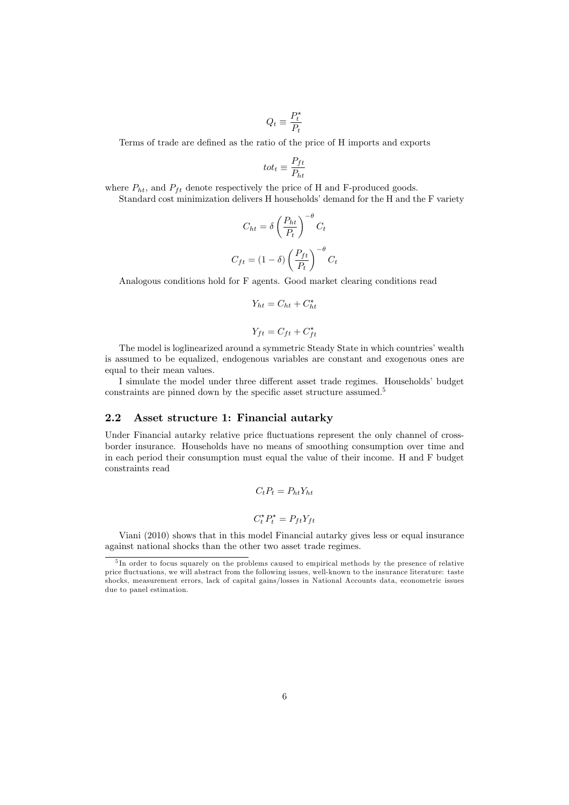$$
Q_t \equiv \frac{P_t^\star}{P_t}
$$

Terms of trade are defined as the ratio of the price of H imports and exports

$$
tot_t \equiv \frac{P_{ft}}{P_{ht}}
$$

where  $P_{ht}$ , and  $P_{ft}$  denote respectively the price of H and F-produced goods.

Standard cost minimization delivers H households' demand for the H and the F variety

$$
C_{ht} = \delta \left(\frac{P_{ht}}{P_t}\right)^{-\theta} C_t
$$

$$
C_{ft} = (1 - \delta) \left(\frac{P_{ft}}{P_t}\right)^{-\theta} C_t
$$

Analogous conditions hold for F agents. Good market clearing conditions read

$$
Y_{ht} = C_{ht} + C_{ht}^{\star}
$$

$$
Y_{ft} = C_{ft} + C_{ft}^{\star}
$$

The model is loglinearized around a symmetric Steady State in which countries' wealth is assumed to be equalized, endogenous variables are constant and exogenous ones are equal to their mean values.

I simulate the model under three different asset trade regimes. Households' budget constraints are pinned down by the specific asset structure assumed.<sup>5</sup>

#### 2.2 Asset structure 1: Financial autarky

Under Financial autarky relative price fluctuations represent the only channel of crossborder insurance. Households have no means of smoothing consumption over time and in each period their consumption must equal the value of their income. H and F budget constraints read

$$
C_t P_t = P_{ht} Y_{ht}
$$

$$
C_t^{\star} P_t^{\star} = P_{ft} Y_{ft}
$$

Viani (2010) shows that in this model Financial autarky gives less or equal insurance against national shocks than the other two asset trade regimes.

<sup>&</sup>lt;sup>5</sup>In order to focus squarely on the problems caused to empirical methods by the presence of relative price fluctuations, we will abstract from the following issues, well-known to the insurance literature: taste shocks, measurement errors, lack of capital gains/losses in National Accounts data, econometric issues due to panel estimation.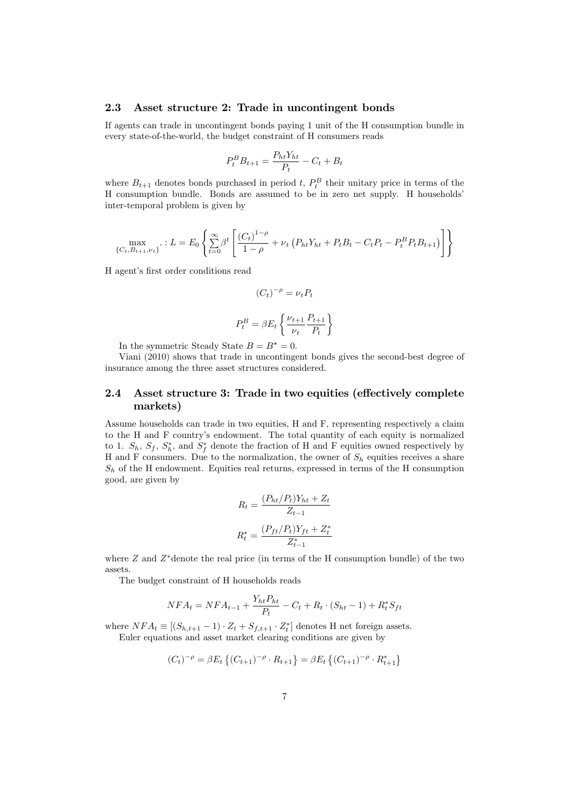#### 2.3 Asset structure 2: Trade in uncontingent bonds

If agents can trade in uncontingent bonds paying 1 unit of the H consumption bundle in every state-of-the-world, the budget constraint of H consumers reads

$$
P_t^B B_{t+1} = \frac{P_{ht} Y_{ht}}{P_t} - C_t + B_t
$$

where  $B_{t+1}$  denotes bonds purchased in period  $t$ ,  $P_t^B$  their unitary price in terms of the  $H$  concurrential boundle. Bonds are assumed to be in some net supply. H bougholds' H consumption bundle. Bonds are assumed to be in zero net supply. H households' inter-temporal problem is given by

$$
\max_{\{C_t, B_{t+1}, \nu_t\}} \therefore L = E_0 \left\{ \sum_{t=0}^{\infty} \beta^t \left[ \frac{(C_t)^{1-\rho}}{1-\rho} + \nu_t \left( P_{ht} Y_{ht} + P_t B_t - C_t P_t - P_t^B P_t B_{t+1} \right) \right] \right\}
$$

H agent's first order conditions read

$$
(C_t)^{-\rho} = \nu_t P_t
$$

$$
P_t^B = \beta E_t \left\{ \frac{\nu_{t+1}}{\nu_t} \frac{P_{t+1}}{P_t} \right\}
$$

In the symmetric Steady State  $B = B^* = 0$ .

Viani (2010) shows that trade in uncontingent bonds gives the second-best degree of insurance among the three asset structures considered.

#### 2.4 Asset structure 3: Trade in two equities (effectively complete markets)

Assume households can trade in two equities, H and F, representing respectively a claim to the H and F country's endowment. The total quantity of each equity is normalized to 1.  $S_h$ ,  $S_f$ ,  $S_h^*$ , and  $S_f^*$  denote the fraction of H and F equities owned respectively by H and F consumers. Due to the normalization, the owner of  $S_h$  equities receives a share  $S_h$  of the H endowment. Equities real returns, expressed in terms of the H consumption good, are given by

$$
R_t = \frac{(P_{ht}/P_t)Y_{ht} + Z_t}{Z_{t-1}}
$$

$$
R_t^* = \frac{(P_{ft}/P_t)Y_{ft} + Z_t^*}{Z_{t-1}^*}
$$

where  $Z$  and  $Z^*$ denote the real price (in terms of the H consumption bundle) of the two assets.

The budget constraint of H households reads

$$
NFA_t = NFA_{t-1} + \frac{Y_{ht}P_{ht}}{P_t} - C_t + R_t \cdot (S_{ht} - 1) + R_t^*S_{ft}
$$

where  $NFA_t \equiv [(S_{h,t+1} - 1) \cdot Z_t + S_{f,t+1} \cdot Z_t^*]$  denotes H net foreign assets.<br>Fuler equations and asset market clearing conditions are given by Euler equations and asset market clearing conditions are given by

$$
(C_t)^{-\rho} = \beta E_t \left\{ (C_{t+1})^{-\rho} \cdot R_{t+1} \right\} = \beta E_t \left\{ (C_{t+1})^{-\rho} \cdot R_{t+1}^* \right\}
$$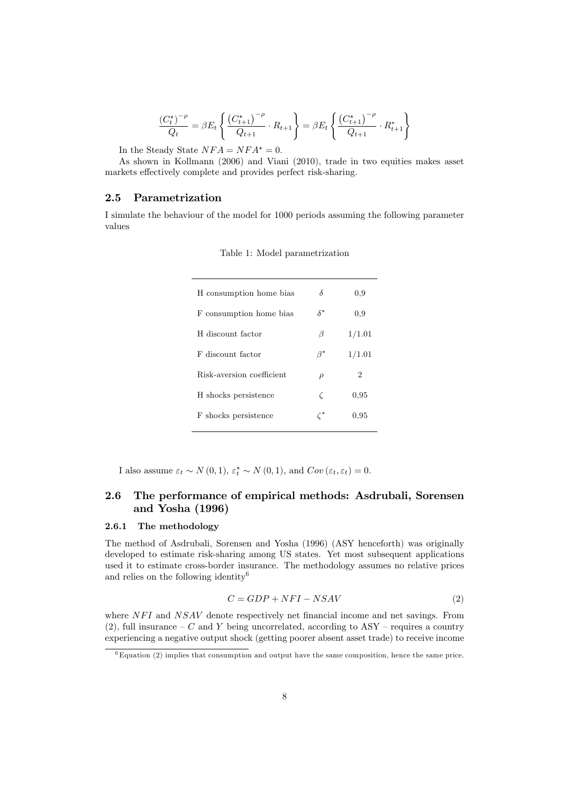$$
\frac{(C_t^{\star})^{-\rho}}{Q_t} = \beta E_t \left\{ \frac{(C_{t+1}^{\star})^{-\rho}}{Q_{t+1}} \cdot R_{t+1} \right\} = \beta E_t \left\{ \frac{(C_{t+1}^{\star})^{-\rho}}{Q_{t+1}} \cdot R_{t+1}^{\star} \right\}
$$

In the Steady State  $NFA = NFA^* = 0$ .

As shown in Kollmann (2006) and Viani (2010), trade in two equities makes asset markets effectively complete and provides perfect risk-sharing.

#### 2.5 Parametrization

I simulate the behaviour of the model for 1000 periods assuming the following parameter values

| H consumption home bias   | δ                     | 0,9                         |
|---------------------------|-----------------------|-----------------------------|
| F consumption home bias   | $\delta^{\star}$      | 0,9                         |
| H discount factor         | β                     | 1/1.01                      |
| F discount factor         | $\beta^{\star}$       | 1/1.01                      |
| Risk-aversion coefficient | $\rho$                | $\mathcal{D}_{\mathcal{L}}$ |
| H shocks persistence      | Č                     | 0,95                        |
| F shocks persistence      | $\mathcal{C}^{\star}$ | 0,95                        |
|                           |                       |                             |

Table 1: Model parametrization

I also assume  $\varepsilon_t \sim N(0, 1), \, \varepsilon_t^* \sim N(0, 1),$  and  $Cov(\varepsilon_t, \varepsilon_t)=0.$ 

## 2.6 The performance of empirical methods: Asdrubali, Sorensen and Yosha (1996)

#### 2.6.1 The methodology

The method of Asdrubali, Sorensen and Yosha (1996) (ASY henceforth) was originally developed to estimate risk-sharing among US states. Yet most subsequent applications used it to estimate cross-border insurance. The methodology assumes no relative prices and relies on the following identity6

$$
C = GDP + NFI - NSAV \tag{2}
$$

where NFI and NSAV denote respectively net financial income and net savings. From  $(2)$ , full insurance  $-C$  and Y being uncorrelated, according to ASY – requires a country experiencing a negative output shock (getting poorer absent asset trade) to receive income

 $6$ Equation (2) implies that consumption and output have the same composition, hence the same price.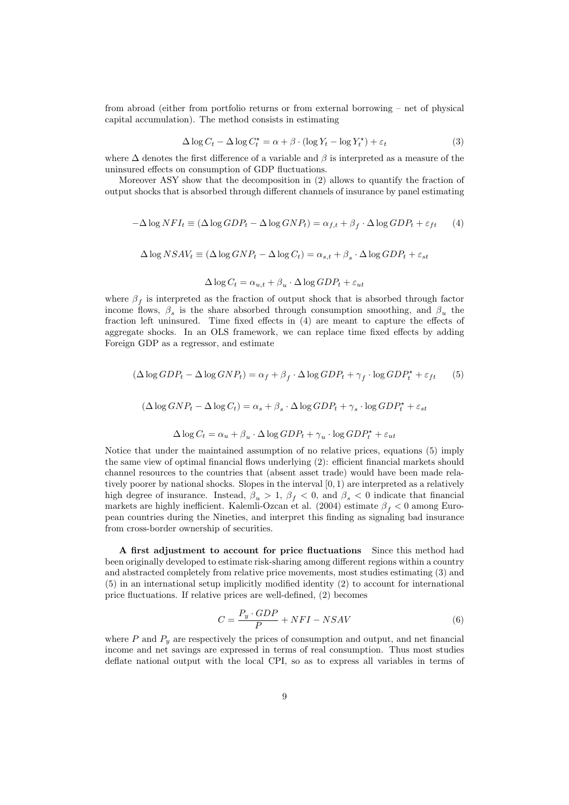from abroad (either from portfolio returns or from external borrowing — net of physical capital accumulation). The method consists in estimating

$$
\Delta \log C_t - \Delta \log C_t^* = \alpha + \beta \cdot (\log Y_t - \log Y_t^*) + \varepsilon_t \tag{3}
$$

where  $\Delta$  denotes the first difference of a variable and  $\beta$  is interpreted as a measure of the uninsured effects on consumption of GDP fluctuations.

Moreover ASY show that the decomposition in (2) allows to quantify the fraction of output shocks that is absorbed through different channels of insurance by panel estimating

$$
-\Delta \log NFI_t \equiv (\Delta \log GDP_t - \Delta \log GNP_t) = \alpha_{f,t} + \beta_f \cdot \Delta \log GDP_t + \varepsilon_{ft} \tag{4}
$$

$$
\Delta \log NSAV_t \equiv (\Delta \log GNP_t - \Delta \log C_t) = \alpha_{s,t} + \beta_s \cdot \Delta \log GDP_t + \varepsilon_{st}
$$

 $\Delta \log C_t = \alpha_{u,t} + \beta_u \cdot \Delta \log GDP_t + \varepsilon_{ut}$ 

where  $\beta_f$  is interpreted as the fraction of output shock that is absorbed through factor income flows,  $\beta_s$  is the share absorbed through consumption smoothing, and  $\beta_u$  the fraction left uninsured. Time fixed effects in (4) are meant to capture the effects of aggregate shocks. In an OLS framework, we can replace time fixed effects by adding Foreign GDP as a regressor, and estimate

$$
(\Delta \log GDP_t - \Delta \log GNP_t) = \alpha_f + \beta_f \cdot \Delta \log GDP_t + \gamma_f \cdot \log GDP_t^* + \varepsilon_{ft} \tag{5}
$$

$$
(\Delta \log GNP_t - \Delta \log C_t) = \alpha_s + \beta_s \cdot \Delta \log GDP_t + \gamma_s \cdot \log GDP_t^* + \varepsilon_{st}
$$

$$
\Delta \log C_t = \alpha_u + \beta_u \cdot \Delta \log GDP_t + \gamma_u \cdot \log GDP_t^* + \varepsilon_{ut}
$$

Notice that under the maintained assumption of no relative prices, equations (5) imply the same view of optimal financial flows underlying (2): efficient financial markets should channel resources to the countries that (absent asset trade) would have been made relatively poorer by national shocks. Slopes in the interval [0, 1) are interpreted as a relatively high degree of insurance. Instead,  $\beta_u > 1$ ,  $\beta_f < 0$ , and  $\beta_s < 0$  indicate that financial<br>markets are highly inefficient. Kalemli-Ozcan et al. (2004) estimate  $\beta_s < 0$  among Euromarkets are highly inefficient. Kalemli-Ozcan et al. (2004) estimate  $\beta_f < 0$  among Euro-<br>pean countries during the Nineties and interpret this finding as signaling had insurance pean countries during the Nineties, and interpret this finding as signaling bad insurance from cross-border ownership of securities.

A first adjustment to account for price fluctuations Since this method had been originally developed to estimate risk-sharing among different regions within a country and abstracted completely from relative price movements, most studies estimating (3) and (5) in an international setup implicitly modified identity (2) to account for international price fluctuations. If relative prices are well-defined, (2) becomes

$$
C = \frac{P_y \cdot GDP}{P} + NFI - NSAV \tag{6}
$$

where  $P$  and  $P_y$  are respectively the prices of consumption and output, and net financial income and net savings are expressed in terms of real consumption. Thus most studies deflate national output with the local CPI, so as to express all variables in terms of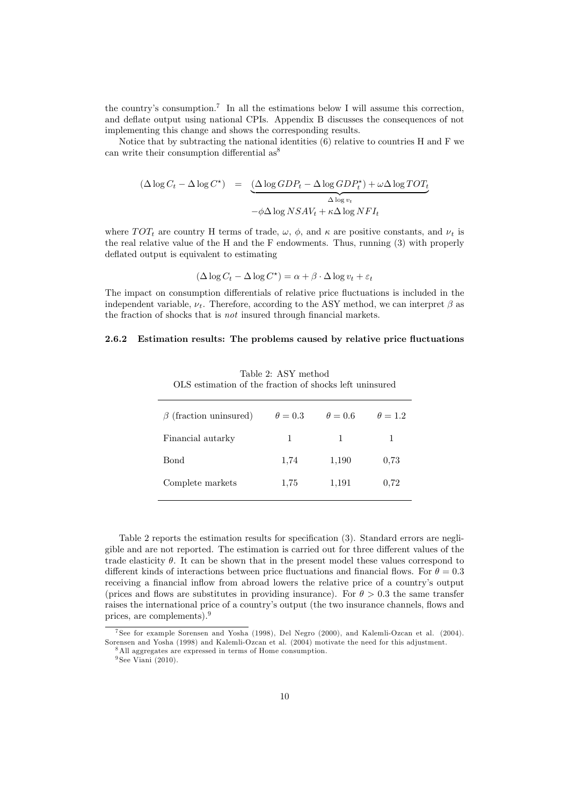the country's consumption.<sup>7</sup> In all the estimations below I will assume this correction, and deflate output using national CPIs. Appendix B discusses the consequences of not implementing this change and shows the corresponding results.

Notice that by subtracting the national identities  $(6)$  relative to countries H and F we can write their consumption differential  $as^8$ 

$$
(\Delta \log C_t - \Delta \log C^*) = \underbrace{(\Delta \log GDP_t - \Delta \log GDP_t^*) + \omega \Delta \log TOT_t}_{\Delta \log v_t}
$$

$$
-\phi \Delta \log NSAV_t + \kappa \Delta \log NFI_t
$$

where  $TOT_t$  are country H terms of trade,  $\omega$ ,  $\phi$ , and  $\kappa$  are positive constants, and  $\nu_t$  is the real relative value of the H and the F endowments. Thus, running (3) with properly deflated output is equivalent to estimating

$$
(\Delta \log C_t - \Delta \log C^*) = \alpha + \beta \cdot \Delta \log v_t + \varepsilon_t
$$

The impact on consumption differentials of relative price fluctuations is included in the independent variable,  $\nu_t$ . Therefore, according to the ASY method, we can interpret  $\beta$  as the fraction of shocks that is not insured through financial markets.

#### 2.6.2 Estimation results: The problems caused by relative price fluctuations

| $\beta$ (fraction uninsured) | $\theta = 0.3$ | $\theta = 0.6$ | $\theta = 1.2$ |
|------------------------------|----------------|----------------|----------------|
| Financial autarky            | 1              | 1              | 1              |
| Bond                         | 1,74           | 1,190          | 0,73           |
| Complete markets             | 1,75           | 1,191          | 0,72           |
|                              |                |                |                |

Table 2: ASY method OLS estimation of the fraction of shocks left uninsured

Table 2 reports the estimation results for specification (3). Standard errors are negligible and are not reported. The estimation is carried out for three different values of the trade elasticity  $\theta$ . It can be shown that in the present model these values correspond to different kinds of interactions between price fluctuations and financial flows. For  $\theta = 0.3$ receiving a financial inflow from abroad lowers the relative price of a country's output (prices and flows are substitutes in providing insurance). For  $\theta > 0.3$  the same transfer raises the international price of a country's output (the two insurance channels, flows and prices, are complements).9

 $9$  See Viani (2010).

<sup>7</sup> See for example Sorensen and Yosha (1998), Del Negro (2000), and Kalemli-Ozcan et al. (2004). Sorensen and Yosha (1998) and Kalemli-Ozcan et al. (2004) motivate the need for this adjustment.

<sup>8</sup>All aggregates are expressed in terms of Home consumption.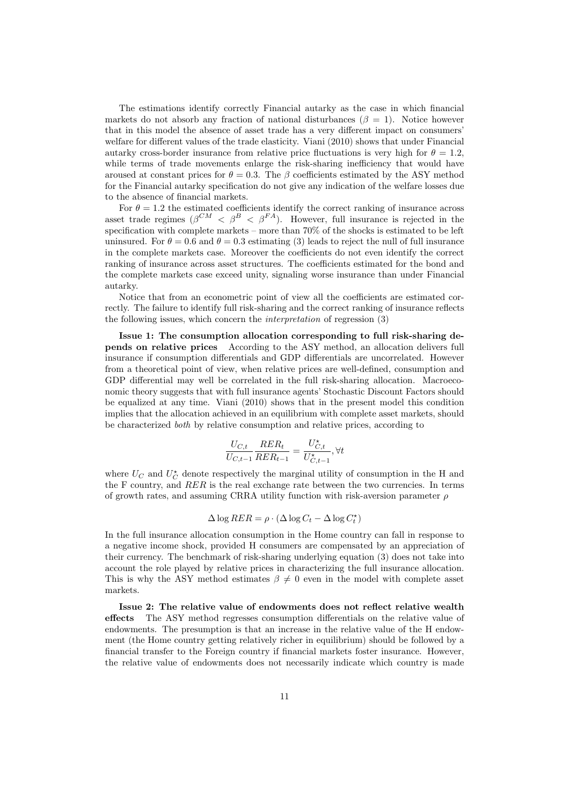The estimations identify correctly Financial autarky as the case in which financial markets do not absorb any fraction of national disturbances ( $\beta = 1$ ). Notice however that in this model the absence of asset trade has a very different impact on consumers' welfare for different values of the trade elasticity. Viani (2010) shows that under Financial autarky cross-border insurance from relative price fluctuations is very high for  $\theta = 1.2$ , while terms of trade movements enlarge the risk-sharing inefficiency that would have aroused at constant prices for  $\theta = 0.3$ . The  $\beta$  coefficients estimated by the ASY method for the Financial autarky specification do not give any indication of the welfare losses due to the absence of financial markets.

For  $\theta = 1.2$  the estimated coefficients identify the correct ranking of insurance across asset trade regimes ( $\beta^{CM} < \beta^{B} < \beta^{FA}$ ). However, full insurance is rejected in the specification with complete markets – more than  $70\%$  of the shocks is estimated to be left uninsured. For  $\theta = 0.6$  and  $\theta = 0.3$  estimating (3) leads to reject the null of full insurance in the complete markets case. Moreover the coefficients do not even identify the correct ranking of insurance across asset structures. The coefficients estimated for the bond and the complete markets case exceed unity, signaling worse insurance than under Financial autarky.

Notice that from an econometric point of view all the coefficients are estimated correctly. The failure to identify full risk-sharing and the correct ranking of insurance reflects the following issues, which concern the interpretation of regression (3)

Issue 1: The consumption allocation corresponding to full risk-sharing depends on relative prices According to the ASY method, an allocation delivers full insurance if consumption differentials and GDP differentials are uncorrelated. However from a theoretical point of view, when relative prices are well-defined, consumption and GDP differential may well be correlated in the full risk-sharing allocation. Macroeconomic theory suggests that with full insurance agents' Stochastic Discount Factors should be equalized at any time. Viani (2010) shows that in the present model this condition implies that the allocation achieved in an equilibrium with complete asset markets, should be characterized both by relative consumption and relative prices, according to

$$
\frac{U_{C,t}}{U_{C,t-1}} \frac{RER_t}{RER_{t-1}} = \frac{U_{C,t}^{\star}}{U_{C,t-1}^{\star}}, \forall t
$$

where  $U_C$  and  $U_C^{\star}$  denote respectively the marginal utility of consumption in the H and the F country, and RER is the real exchange rate between the two currencies. In terms of growth rates, and assuming CRRA utility function with risk-aversion parameter  $\rho$ 

$$
\Delta \log RER = \rho \cdot (\Delta \log C_t - \Delta \log C_t^{\star})
$$

In the full insurance allocation consumption in the Home country can fall in response to a negative income shock, provided H consumers are compensated by an appreciation of their currency. The benchmark of risk-sharing underlying equation (3) does not take into account the role played by relative prices in characterizing the full insurance allocation. This is why the ASY method estimates  $\beta \neq 0$  even in the model with complete asset markets.

Issue 2: The relative value of endowments does not reflect relative wealth effects The ASY method regresses consumption differentials on the relative value of endowments. The presumption is that an increase in the relative value of the H endowment (the Home country getting relatively richer in equilibrium) should be followed by a financial transfer to the Foreign country if financial markets foster insurance. However, the relative value of endowments does not necessarily indicate which country is made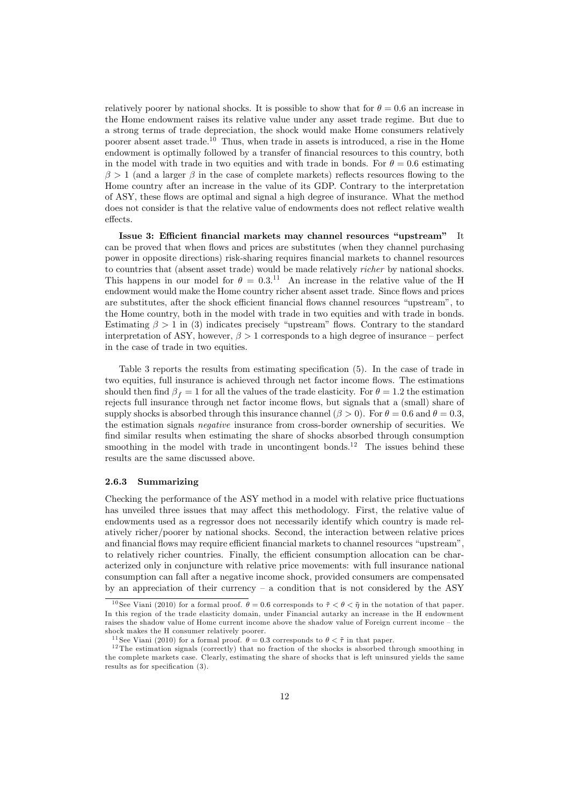relatively poorer by national shocks. It is possible to show that for  $\theta = 0.6$  an increase in the Home endowment raises its relative value under any asset trade regime. But due to a strong terms of trade depreciation, the shock would make Home consumers relatively poorer absent asset trade.<sup>10</sup> Thus, when trade in assets is introduced, a rise in the Home endowment is optimally followed by a transfer of financial resources to this country, both in the model with trade in two equities and with trade in bonds. For  $\theta = 0.6$  estimating  $\beta > 1$  (and a larger  $\beta$  in the case of complete markets) reflects resources flowing to the Home country after an increase in the value of its GDP. Contrary to the interpretation of ASY, these flows are optimal and signal a high degree of insurance. What the method does not consider is that the relative value of endowments does not reflect relative wealth effects.

Issue 3: Efficient financial markets may channel resources "upstream" It can be proved that when flows and prices are substitutes (when they channel purchasing power in opposite directions) risk-sharing requires financial markets to channel resources to countries that (absent asset trade) would be made relatively richer by national shocks. This happens in our model for  $\theta = 0.3$ .<sup>11</sup> An increase in the relative value of the H endowment would make the Home country richer absent asset trade. Since flows and prices endowment would make the Home country richer absent asset trade. Since flows and prices are substitutes, after the shock efficient financial flows channel resources "upstream", to the Home country, both in the model with trade in two equities and with trade in bonds. Estimating  $\beta > 1$  in (3) indicates precisely "upstream" flows. Contrary to the standard interpretation of ASY, however,  $\beta > 1$  corresponds to a high degree of insurance – perfect in the case of trade in two equities.

Table 3 reports the results from estimating specification (5). In the case of trade in two equities, full insurance is achieved through net factor income flows. The estimations should then find  $\beta_f = 1$  for all the values of the trade elasticity. For  $\theta = 1.2$  the estimation rejects full insurance through net factor income flows, but signals that a (small) share of supply shocks is absorbed through this insurance channel ( $\beta > 0$ ). For  $\theta = 0.6$  and  $\theta = 0.3$ , the estimation signals negative insurance from cross-border ownership of securities. We find similar results when estimating the share of shocks absorbed through consumption smoothing in the model with trade in uncontingent bonds.<sup>12</sup> The issues behind these results are the same discussed above.

#### 2.6.3 Summarizing

Checking the performance of the ASY method in a model with relative price fluctuations has unveiled three issues that may affect this methodology. First, the relative value of endowments used as a regressor does not necessarily identify which country is made relatively richer/poorer by national shocks. Second, the interaction between relative prices and financial flows may require efficient financial markets to channel resources "upstream", to relatively richer countries. Finally, the efficient consumption allocation can be characterized only in conjuncture with relative price movements: with full insurance national consumption can fall after a negative income shock, provided consumers are compensated by an appreciation of their currency — a condition that is not considered by the ASY

<sup>&</sup>lt;sup>10</sup> See Viani (2010) for a formal proof.  $\theta = 0.6$  corresponds to  $\tilde{\tau} < \theta < \tilde{\eta}$  in the notation of that paper. In this region of the trade elasticity domain, under Financial autarky an increase in the H endowment raises the shadow value of Home current income above the shadow value of Foreign current income — the shock makes the H consumer relatively poorer.<br><sup>11</sup>See Viani (2010) for a formal proof.  $\theta = 0.3$  corresponds to  $\theta < \tilde{\tau}$  in that paper.

 $12$ The estimation signals (correctly) that no fraction of the shocks is absorbed through smoothing in the complete markets case. Clearly, estimating the share of shocks that is left uninsured yields the same results as for specification (3).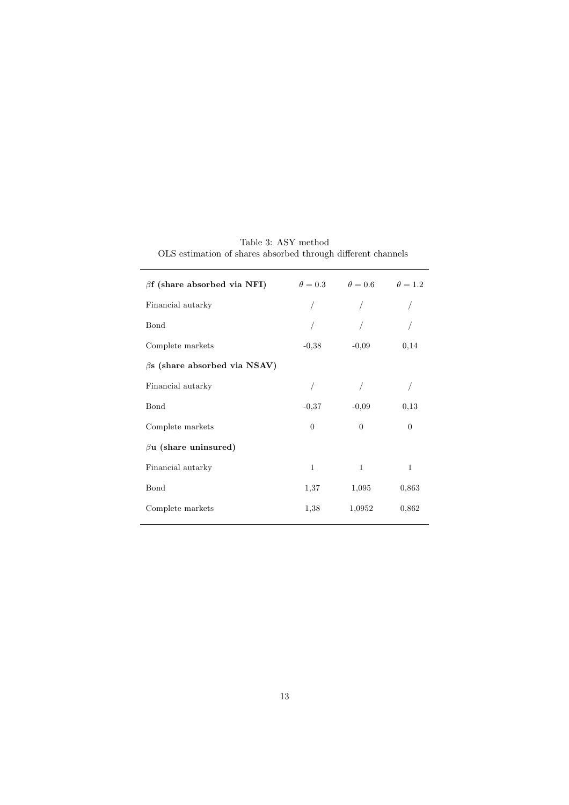| $\beta$ f (share absorbed via NFI)  |              | $\theta = 0.3$ $\theta = 0.6$ | $\theta=1.2$ |
|-------------------------------------|--------------|-------------------------------|--------------|
| Financial autarky                   |              |                               |              |
| Bond                                |              |                               |              |
| Complete markets                    | $-0,38$      | $-0,09$                       | 0,14         |
| $\beta$ s (share absorbed via NSAV) |              |                               |              |
| Financial autarky                   |              |                               |              |
| Bond                                | $-0.37$      | $-0.09$                       | 0,13         |
| Complete markets                    | $\theta$     | $\theta$                      | $\Omega$     |
| $\beta$ u (share uninsured)         |              |                               |              |
| Financial autarky                   | $\mathbf{1}$ | $\mathbf{1}$                  | $\mathbf{1}$ |
| Bond                                | 1,37         | 1,095                         | 0,863        |
| Complete markets                    | 1,38         | 1,0952                        | 0,862        |

Table 3: ASY method OLS estimation of shares absorbed through different channels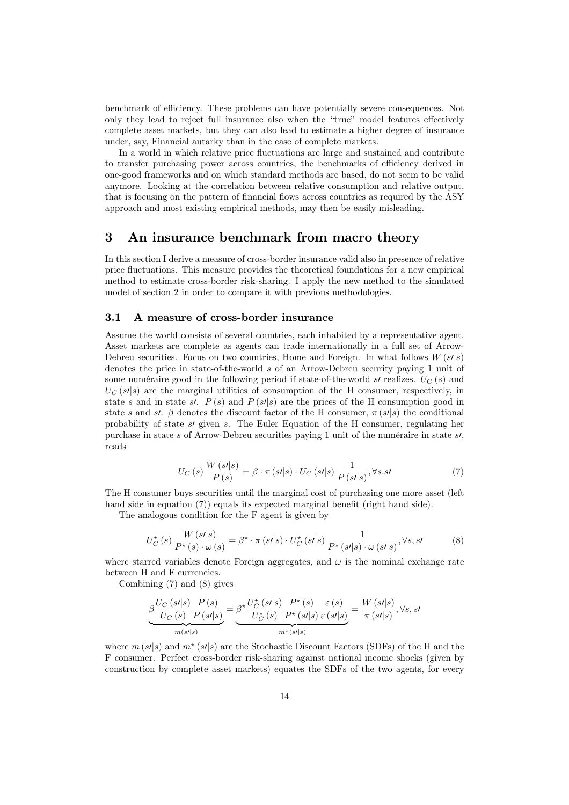benchmark of efficiency. These problems can have potentially severe consequences. Not only they lead to reject full insurance also when the "true" model features effectively complete asset markets, but they can also lead to estimate a higher degree of insurance under, say, Financial autarky than in the case of complete markets.

In a world in which relative price fluctuations are large and sustained and contribute to transfer purchasing power across countries, the benchmarks of efficiency derived in one-good frameworks and on which standard methods are based, do not seem to be valid anymore. Looking at the correlation between relative consumption and relative output, that is focusing on the pattern of financial flows across countries as required by the ASY approach and most existing empirical methods, may then be easily misleading.

# 3 An insurance benchmark from macro theory

In this section I derive a measure of cross-border insurance valid also in presence of relative price fluctuations. This measure provides the theoretical foundations for a new empirical method to estimate cross-border risk-sharing. I apply the new method to the simulated model of section 2 in order to compare it with previous methodologies.

#### 3.1 A measure of cross-border insurance

Assume the world consists of several countries, each inhabited by a representative agent. Asset markets are complete as agents can trade internationally in a full set of Arrow-Debreu securities. Focus on two countries, Home and Foreign. In what follows  $W(s'|s)$ denotes the price in state-of-the-world s of an Arrow-Debreu security paying 1 unit of some numéraire good in the following period if state-of-the-world s' realizes.  $U_C(s)$  and  $U_C$  (s/|s) are the marginal utilities of consumption of the H consumer, respectively, in state s and in state s.  $P(s)$  and  $P(s|s)$  are the prices of the H consumption good in state s and st. β denotes the discount factor of the H consumer,  $\pi(s/|s)$  the conditional probability of state  $s$  given s. The Euler Equation of the H consumer, regulating her purchase in state s of Arrow-Debreu securities paying 1 unit of the numéraire in state  $s$ , reads

$$
U_C(s) \frac{W(s'|s)}{P(s)} = \beta \cdot \pi(s'|s) \cdot U_C(s'|s) \frac{1}{P(s'|s)}, \forall s.s'
$$
\n(7)

The H consumer buys securities until the marginal cost of purchasing one more asset (left hand side in equation (7)) equals its expected marginal benefit (right hand side).

The analogous condition for the F agent is given by

$$
U_C^{\star}(s) \frac{W(s|s)}{P^{\star}(s) \cdot \omega(s)} = \beta^{\star} \cdot \pi(s|s) \cdot U_C^{\star}(s|s) \frac{1}{P^{\star}(s|s) \cdot \omega(s|s)}, \forall s, s' \tag{8}
$$

where starred variables denote Foreign aggregates, and  $\omega$  is the nominal exchange rate between H and F currencies.

Combining (7) and (8) gives

$$
\underbrace{\beta \frac{U_C(s'|s)}{U_C(s)} \frac{P(s)}{P(s'|s)}}_{m(s'|s)} = \underbrace{\beta^{\star} \frac{U_C^{\star}(s'|s)}{U_C^{\star}(s)} \frac{P^{\star}(s)}{P^{\star}(s'|s)} \frac{\varepsilon(s)}{\varepsilon(s'|s)}}_{m^{\star}(s'|s)} = \frac{W(s'|s)}{\pi(s'|s)}, \forall s, st
$$

where  $m(s/|s)$  and  $m^*(s/|s)$  are the Stochastic Discount Factors (SDFs) of the H and the F consumer. Perfect cross-border risk-sharing against national income shocks (given by construction by complete asset markets) equates the SDFs of the two agents, for every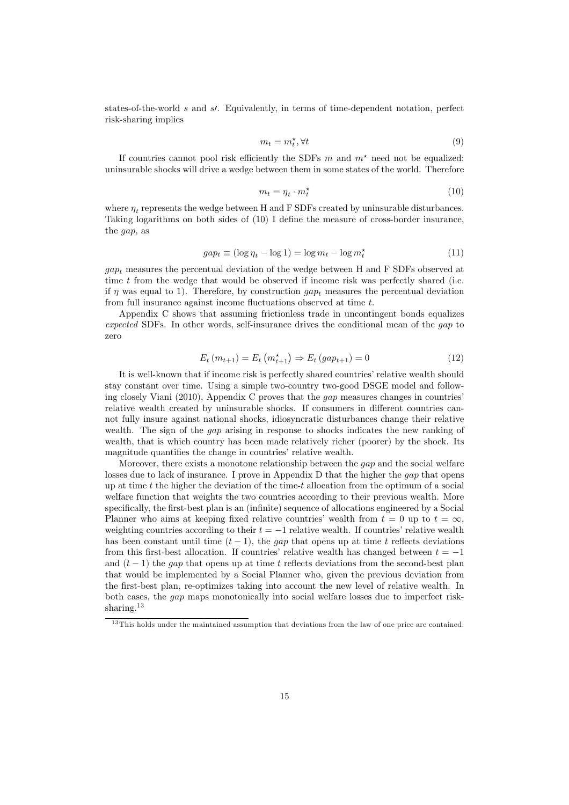states-of-the-world  $s$  and  $s$ . Equivalently, in terms of time-dependent notation, perfect risk-sharing implies

$$
m_t = m_t^* , \forall t \tag{9}
$$

If countries cannot pool risk efficiently the SDFs  $m$  and  $m^*$  need not be equalized: uninsurable shocks will drive a wedge between them in some states of the world. Therefore

$$
m_t = \eta_t \cdot m_t^* \tag{10}
$$

where  $\eta_t$  represents the wedge between H and F SDFs created by uninsurable disturbances. Taking logarithms on both sides of (10) I define the measure of cross-border insurance, the gap, as

$$
gap_t \equiv (\log \eta_t - \log 1) = \log m_t - \log m_t^{\star}
$$
\n(11)

 $gap<sub>t</sub>$  measures the percentual deviation of the wedge between H and F SDFs observed at time t from the wedge that would be observed if income risk was perfectly shared (i.e. if  $\eta$  was equal to 1). Therefore, by construction  $gap_t$  measures the percentual deviation from full insurance against income fluctuations observed at time t.

Appendix C shows that assuming frictionless trade in uncontingent bonds equalizes expected SDFs. In other words, self-insurance drives the conditional mean of the gap to zero

$$
E_t(m_{t+1}) = E_t(m_{t+1}^*) \Rightarrow E_t(gap_{t+1}) = 0
$$
\n(12)

It is well-known that if income risk is perfectly shared countries' relative wealth should stay constant over time. Using a simple two-country two-good DSGE model and following closely Viani (2010), Appendix C proves that the gap measures changes in countries' relative wealth created by uninsurable shocks. If consumers in different countries cannot fully insure against national shocks, idiosyncratic disturbances change their relative wealth. The sign of the *gap* arising in response to shocks indicates the new ranking of wealth, that is which country has been made relatively richer (poorer) by the shock. Its magnitude quantifies the change in countries' relative wealth.

Moreover, there exists a monotone relationship between the gap and the social welfare losses due to lack of insurance. I prove in Appendix D that the higher the gap that opens up at time t the higher the deviation of the time-t allocation from the optimum of a social welfare function that weights the two countries according to their previous wealth. More specifically, the first-best plan is an (infinite) sequence of allocations engineered by a Social Planner who aims at keeping fixed relative countries' wealth from  $t = 0$  up to  $t = \infty$ , weighting countries according to their  $t = -1$  relative wealth. If countries' relative wealth has been constant until time  $(t-1)$ , the gap that opens up at time t reflects deviations from this first-best allocation. If countries' relative wealth has changed between  $t = -1$ and  $(t-1)$  the gap that opens up at time t reflects deviations from the second-best plan that would be implemented by a Social Planner who, given the previous deviation from the first-best plan, re-optimizes taking into account the new level of relative wealth. In both cases, the gap maps monotonically into social welfare losses due to imperfect risksharing.<sup>13</sup>

<sup>&</sup>lt;sup>13</sup>This holds under the maintained assumption that deviations from the law of one price are contained.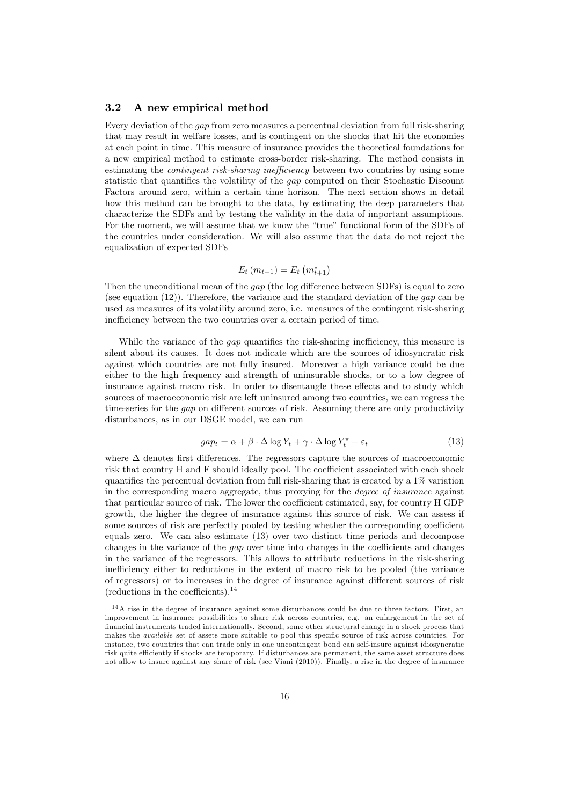#### 3.2 A new empirical method

Every deviation of the gap from zero measures a percentual deviation from full risk-sharing that may result in welfare losses, and is contingent on the shocks that hit the economies at each point in time. This measure of insurance provides the theoretical foundations for a new empirical method to estimate cross-border risk-sharing. The method consists in estimating the *contingent risk-sharing inefficiency* between two countries by using some statistic that quantifies the volatility of the gap computed on their Stochastic Discount Factors around zero, within a certain time horizon. The next section shows in detail how this method can be brought to the data, by estimating the deep parameters that characterize the SDFs and by testing the validity in the data of important assumptions. For the moment, we will assume that we know the "true" functional form of the SDFs of the countries under consideration. We will also assume that the data do not reject the equalization of expected SDFs

$$
E_t(m_{t+1}) = E_t(m_{t+1}^{\star})
$$

Then the unconditional mean of the gap (the log difference between SDFs) is equal to zero (see equation  $(12)$ ). Therefore, the variance and the standard deviation of the *gap* can be used as measures of its volatility around zero, i.e. measures of the contingent risk-sharing inefficiency between the two countries over a certain period of time.

While the variance of the *gap* quantifies the risk-sharing inefficiency, this measure is silent about its causes. It does not indicate which are the sources of idiosyncratic risk against which countries are not fully insured. Moreover a high variance could be due either to the high frequency and strength of uninsurable shocks, or to a low degree of insurance against macro risk. In order to disentangle these effects and to study which sources of macroeconomic risk are left uninsured among two countries, we can regress the time-series for the gap on different sources of risk. Assuming there are only productivity disturbances, as in our DSGE model, we can run

$$
gap_t = \alpha + \beta \cdot \Delta \log Y_t + \gamma \cdot \Delta \log Y_t^* + \varepsilon_t \tag{13}
$$

where  $\Delta$  denotes first differences. The regressors capture the sources of macroeconomic risk that country H and F should ideally pool. The coefficient associated with each shock quantifies the percentual deviation from full risk-sharing that is created by a  $1\%$  variation in the corresponding macro aggregate, thus proxying for the degree of insurance against that particular source of risk. The lower the coefficient estimated, say, for country H GDP growth, the higher the degree of insurance against this source of risk. We can assess if some sources of risk are perfectly pooled by testing whether the corresponding coefficient equals zero. We can also estimate (13) over two distinct time periods and decompose changes in the variance of the gap over time into changes in the coefficients and changes in the variance of the regressors. This allows to attribute reductions in the risk-sharing inefficiency either to reductions in the extent of macro risk to be pooled (the variance of regressors) or to increases in the degree of insurance against different sources of risk (reductions in the coefficients). $^{14}$ 

<sup>&</sup>lt;sup>14</sup>A rise in the degree of insurance against some disturbances could be due to three factors. First, an improvement in insurance possibilities to share risk across countries, e.g. an enlargement in the set of financial instruments traded internationally. Second, some other structural change in a shock process that makes the available set of assets more suitable to pool this specific source of risk across countries. For instance, two countries that can trade only in one uncontingent bond can self-insure against idiosyncratic risk quite efficiently if shocks are temporary. If disturbances are permanent, the same asset structure does not allow to insure against any share of risk (see Viani (2010)). Finally, a rise in the degree of insurance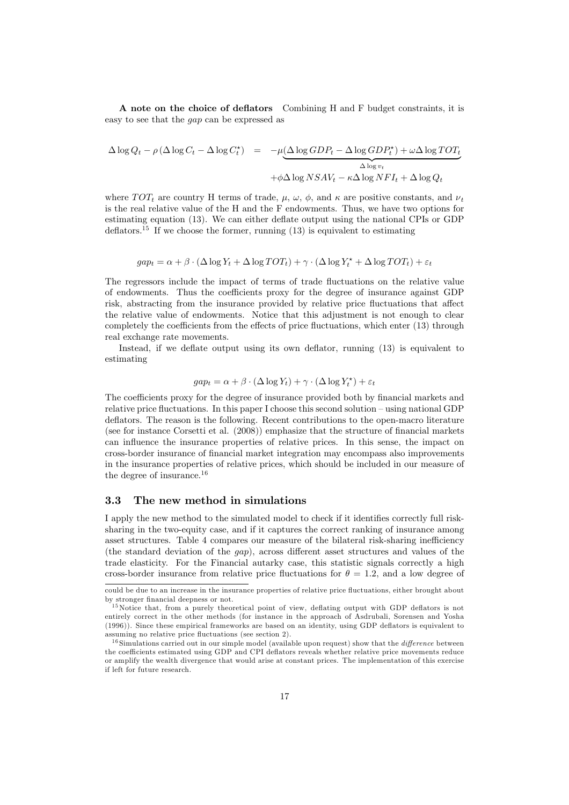A note on the choice of deflators Combining H and F budget constraints, it is easy to see that the gap can be expressed as

$$
\Delta \log Q_t - \rho \left( \Delta \log C_t - \Delta \log C_t^{\star} \right) = -\mu \underbrace{\left( \Delta \log GDP_t - \Delta \log GDP_t^{\star} \right) + \omega \Delta \log TOT_t}_{\Delta \log v_t}
$$

$$
+ \phi \Delta \log NSAV_t - \kappa \Delta \log NFI_t + \Delta \log Q_t
$$

where  $TOT_t$  are country H terms of trade,  $\mu$ ,  $\omega$ ,  $\phi$ , and  $\kappa$  are positive constants, and  $\nu_t$ is the real relative value of the H and the F endowments. Thus, we have two options for estimating equation (13). We can either deflate output using the national CPIs or GDP deflators.<sup>15</sup> If we choose the former, running (13) is equivalent to estimating

$$
gap_t = \alpha + \beta \cdot (\Delta \log Y_t + \Delta \log TOT_t) + \gamma \cdot (\Delta \log Y_t^* + \Delta \log TOT_t) + \varepsilon_t
$$

The regressors include the impact of terms of trade fluctuations on the relative value of endowments. Thus the coefficients proxy for the degree of insurance against GDP risk, abstracting from the insurance provided by relative price fluctuations that affect the relative value of endowments. Notice that this adjustment is not enough to clear completely the coefficients from the effects of price fluctuations, which enter (13) through real exchange rate movements.

Instead, if we deflate output using its own deflator, running (13) is equivalent to estimating

$$
gap_t = \alpha + \beta \cdot (\Delta \log Y_t) + \gamma \cdot (\Delta \log Y_t^*) + \varepsilon_t
$$

The coefficients proxy for the degree of insurance provided both by financial markets and relative price fluctuations. In this paper I choose this second solution — using national GDP deflators. The reason is the following. Recent contributions to the open-macro literature (see for instance Corsetti et al. (2008)) emphasize that the structure of financial markets can influence the insurance properties of relative prices. In this sense, the impact on cross-border insurance of financial market integration may encompass also improvements in the insurance properties of relative prices, which should be included in our measure of the degree of insurance.<sup>16</sup>

#### 3.3 The new method in simulations

I apply the new method to the simulated model to check if it identifies correctly full risksharing in the two-equity case, and if it captures the correct ranking of insurance among asset structures. Table 4 compares our measure of the bilateral risk-sharing inefficiency (the standard deviation of the gap), across different asset structures and values of the trade elasticity. For the Financial autarky case, this statistic signals correctly a high cross-border insurance from relative price fluctuations for  $\theta = 1.2$ , and a low degree of

could be due to an increase in the insurance properties of relative price fluctuations, either brought about by stronger financial deepness or not.

<sup>&</sup>lt;sup>15</sup>Notice that, from a purely theoretical point of view, deflating output with GDP deflators is not entirely correct in the other methods (for instance in the approach of Asdrubali, Sorensen and Yosha (1996)). Since these empirical frameworks are based on an identity, using GDP deflators is equivalent to assuming no relative price fluctuations (see section 2).

 $16$  Simulations carried out in our simple model (available upon request) show that the *difference* between the coefficients estimated using GDP and CPI deflators reveals whether relative price movements reduce or amplify the wealth divergence that would arise at constant prices. The implementation of this exercise if left for future research.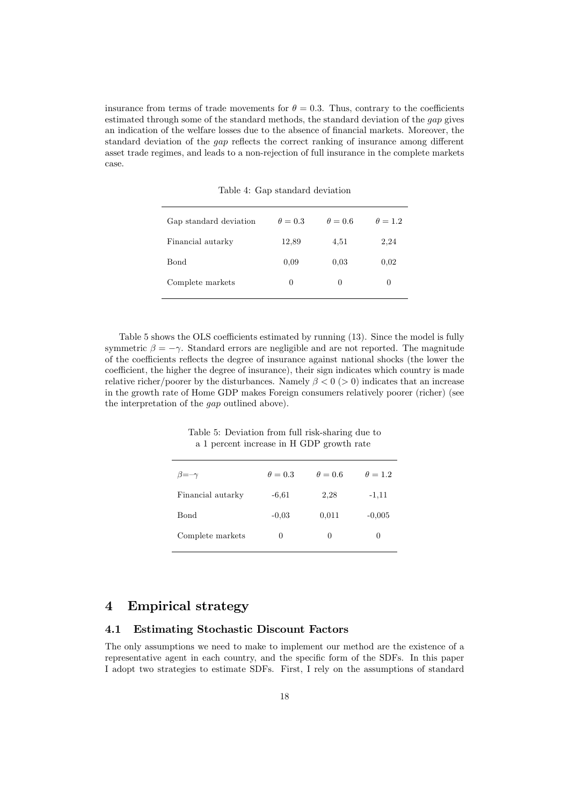insurance from terms of trade movements for  $\theta = 0.3$ . Thus, contrary to the coefficients estimated through some of the standard methods, the standard deviation of the gap gives an indication of the welfare losses due to the absence of financial markets. Moreover, the standard deviation of the gap reflects the correct ranking of insurance among different asset trade regimes, and leads to a non-rejection of full insurance in the complete markets case.

| Gap standard deviation | $\theta = 0.3$ | $\theta = 0.6$ | $\theta = 1.2$ |
|------------------------|----------------|----------------|----------------|
| Financial autarky      | 12,89          | 4,51           | 2,24           |
| <b>Bond</b>            | 0.09           | 0.03           | 0,02           |
| Complete markets       | 0              | 0              | 0              |
|                        |                |                |                |

Table 4: Gap standard deviation

Table 5 shows the OLS coefficients estimated by running (13). Since the model is fully symmetric  $\beta = -\gamma$ . Standard errors are negligible and are not reported. The magnitude of the coefficients reflects the degree of insurance against national shocks (the lower the coefficient, the higher the degree of insurance), their sign indicates which country is made relative richer/poorer by the disturbances. Namely  $\beta < 0$  (> 0) indicates that an increase in the growth rate of Home GDP makes Foreign consumers relatively poorer (richer) (see the interpretation of the gap outlined above).

Table 5: Deviation from full risk-sharing due to a 1 percent increase in H GDP growth rate

| $\theta = 0.3$ | $\theta = 0.6$ | $\theta = 1.2$ |
|----------------|----------------|----------------|
| $-6.61$        | 2,28           | $-1,11$        |
| $-0.03$        | 0,011          | $-0,005$       |
| 0              | 0              | 0              |
|                |                |                |

# 4 Empirical strategy

#### 4.1 Estimating Stochastic Discount Factors

The only assumptions we need to make to implement our method are the existence of a representative agent in each country, and the specific form of the SDFs. In this paper I adopt two strategies to estimate SDFs. First, I rely on the assumptions of standard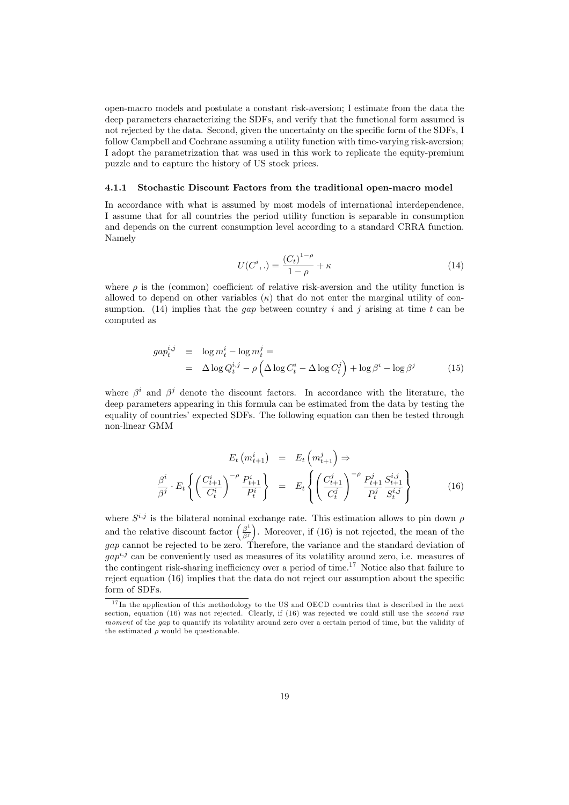open-macro models and postulate a constant risk-aversion; I estimate from the data the deep parameters characterizing the SDFs, and verify that the functional form assumed is not rejected by the data. Second, given the uncertainty on the specific form of the SDFs, I follow Campbell and Cochrane assuming a utility function with time-varying risk-aversion; I adopt the parametrization that was used in this work to replicate the equity-premium puzzle and to capture the history of US stock prices.

#### 4.1.1 Stochastic Discount Factors from the traditional open-macro model

In accordance with what is assumed by most models of international interdependence, I assume that for all countries the period utility function is separable in consumption and depends on the current consumption level according to a standard CRRA function. Namely

$$
U(C^i,.) = \frac{(C_t)^{1-\rho}}{1-\rho} + \kappa
$$
\n(14)

where  $\rho$  is the (common) coefficient of relative risk-aversion and the utility function is allowed to depend on other variables  $(\kappa)$  that do not enter the marginal utility of consumption. (14) implies that the *qap* between country i and j arising at time t can be computed as

$$
gap_t^{i,j} \equiv \log m_t^i - \log m_t^j =
$$
  
=  $\Delta \log Q_t^{i,j} - \rho \left( \Delta \log C_t^i - \Delta \log C_t^j \right) + \log \beta^i - \log \beta^j$  (15)

where  $\beta^i$  and  $\beta^j$  denote the discount factors. In accordance with the literature, the deep parameters appearing in this formula can be estimated from the data by testing the equality of countries' expected SDFs. The following equation can then be tested through non-linear GMM

$$
E_t\left(m_{t+1}^i\right) = E_t\left(m_{t+1}^j\right) \Rightarrow
$$
  

$$
\frac{\beta^i}{\beta^j} \cdot E_t\left\{ \left(\frac{C_{t+1}^i}{C_t^i}\right)^{-\rho} \frac{P_{t+1}^i}{P_t^i} \right\} = E_t\left\{ \left(\frac{C_{t+1}^j}{C_t^j}\right)^{-\rho} \frac{P_{t+1}^j}{P_t^j} \frac{S_{t+1}^{i,j}}{S_t^{i,j}} \right\}
$$
(16)

where  $S^{i,j}$  is the bilateral nominal exchange rate. This estimation allows to pin down  $\rho$ where  $S^{i,j}$  is the bilateral nominal exchange rate. This estimation allows to pin down  $\rho$  and the relative discount factor  $\left(\frac{\beta^i}{\beta^j}\right)$ . Moreover, if (16) is not rejected, the mean of the gap cannot be rejected to be zero. Therefore, the variance and the standard deviation of  $qap^{i,j}$  can be conveniently used as measures of its volatility around zero, i.e. measures of the contingent risk-sharing inefficiency over a period of time.17 Notice also that failure to reject equation (16) implies that the data do not reject our assumption about the specific form of SDFs.

 $17$  In the application of this methodology to the US and OECD countries that is described in the next section, equation  $(16)$  was not rejected. Clearly, if  $(16)$  was rejected we could still use the second raw moment of the gap to quantify its volatility around zero over a certain period of time, but the validity of the estimated  $\rho$  would be questionable.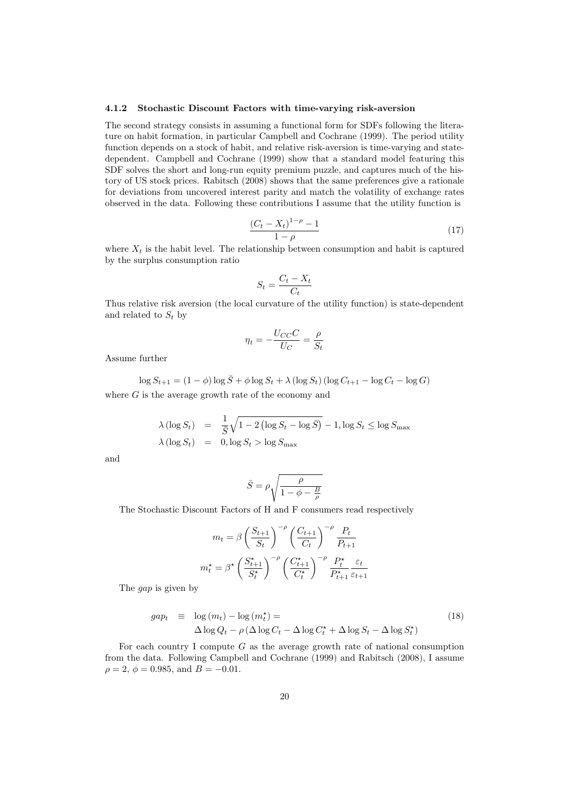#### 4.1.2 Stochastic Discount Factors with time-varying risk-aversion

The second strategy consists in assuming a functional form for SDFs following the literature on habit formation, in particular Campbell and Cochrane (1999). The period utility function depends on a stock of habit, and relative risk-aversion is time-varying and statedependent. Campbell and Cochrane (1999) show that a standard model featuring this SDF solves the short and long-run equity premium puzzle, and captures much of the history of US stock prices. Rabitsch (2008) shows that the same preferences give a rationale for deviations from uncovered interest parity and match the volatility of exchange rates observed in the data. Following these contributions I assume that the utility function is

$$
\frac{(C_t - X_t)^{1-\rho} - 1}{1 - \rho}
$$
 (17)  
where  $X_t$  is the habit level. The relationship between consumption and habit is captured

by the surplus consumption ratio

$$
S_t = \frac{C_t - X_t}{C_t}
$$

Thus relative risk aversion (the local curvature of the utility function) is state-dependent and related to  $S_t$  by

$$
\eta_t = -\frac{U_{CC}C}{U_C} = \frac{\rho}{S_t}
$$

Assume further

 $\log S_{t+1} = (1 - \phi) \log \overline{S} + \phi \log S_t + \lambda (\log S_t) (\log C_{t+1} - \log C_t - \log G)$ where  $G$  is the average growth rate of the economy and

$$
\lambda (\log S_t) = \frac{1}{\overline{S}} \sqrt{1 - 2 (\log S_t - \log \overline{S})} - 1, \log S_t \le \log S_{\max}
$$
  

$$
\lambda (\log S_t) = 0, \log S_t > \log S_{\max}
$$

and

$$
\bar{S} = \rho \sqrt{\frac{\rho}{1 - \phi - \frac{B}{\rho}}}
$$

The Stochastic Discount Factors of H and F consumers read respectively

$$
m_t = \beta \left(\frac{S_{t+1}}{S_t}\right)^{-\rho} \left(\frac{C_{t+1}}{C_t}\right)^{-\rho} \frac{P_t}{P_{t+1}}
$$

$$
m_t^\star = \beta^\star \left(\frac{S_{t+1}^\star}{S_t^\star}\right)^{-\rho} \left(\frac{C_{t+1}^\star}{C_t^\star}\right)^{-\rho} \frac{P_t^\star}{P_{t+1}^\star} \frac{\varepsilon_t}{\varepsilon_{t+1}}
$$

The gap is given by

$$
gap_t \equiv \log(m_t) - \log(m_t^*) = \Delta \log Q_t - \rho \left(\Delta \log C_t - \Delta \log C_t^* + \Delta \log S_t - \Delta \log S_t^*\right)
$$
\n(18)

For each country I compute  $G$  as the average growth rate of national consumption from the data. Following Campbell and Cochrane (1999) and Rabitsch (2008), I assume  $\rho = 2, \phi = 0.985, \text{ and } B = -0.01.$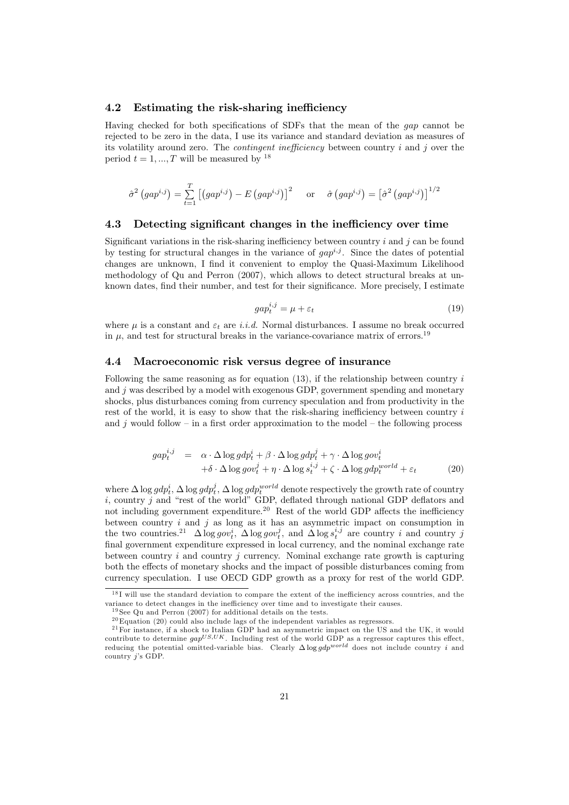#### 4.2 Estimating the risk-sharing inefficiency

Having checked for both specifications of SDFs that the mean of the gap cannot be rejected to be zero in the data, I use its variance and standard deviation as measures of its volatility around zero. The *contingent inefficiency* between country  $i$  and  $j$  over the period  $t = 1, ..., T$  will be measured by <sup>18</sup>

$$
\hat{\sigma}^2\left(gap^{i,j}\right) = \sum_{t=1}^T \left[ \left(gap^{i,j}\right) - E\left(gap^{i,j}\right) \right]^2 \quad \text{or} \quad \hat{\sigma}\left(gap^{i,j}\right) = \left[\hat{\sigma}^2\left(gap^{i,j}\right)\right]^{1/2}
$$

#### 4.3 Detecting significant changes in the inefficiency over time

Significant variations in the risk-sharing inefficiency between country i and j can be found by testing for structural changes in the variance of  $gap^{i,j}$ . Since the dates of potential changes are unknown, I find it convenient to employ the Quasi-Maximum Likelihood methodology of Qu and Perron (2007), which allows to detect structural breaks at unknown dates, find their number, and test for their significance. More precisely, I estimate

$$
gap_t^{i,j} = \mu + \varepsilon_t \tag{19}
$$

where  $\mu$  is a constant and  $\varepsilon_t$  are *i.i.d.* Normal disturbances. I assume no break occurred in  $\mu$ , and test for structural breaks in the variance-covariance matrix of errors.<sup>19</sup>

#### 4.4 Macroeconomic risk versus degree of insurance

Following the same reasoning as for equation  $(13)$ , if the relationship between country i and  $j$  was described by a model with exogenous GDP, government spending and monetary shocks, plus disturbances coming from currency speculation and from productivity in the rest of the world, it is easy to show that the risk-sharing inefficiency between country  $i$ and j would follow – in a first order approximation to the model – the following process

$$
gap_t^{i,j} = \alpha \cdot \Delta \log g dp_t^i + \beta \cdot \Delta \log g dp_t^j + \gamma \cdot \Delta \log g ov_t^i
$$
  
+  $\delta \cdot \Delta \log g ov_t^j + \eta \cdot \Delta \log s_t^{i,j} + \zeta \cdot \Delta \log g dp_t^{world} + \varepsilon_t$  (20)

where  $\Delta \log gdp_t^i$ ,  $\Delta \log gdp_t^j$ ,  $\Delta \log gdp_t^{world}$  denote respectively the growth rate of country<br>i. country i. and "rest of the world" GDP deflated through national GDP deflators and  $i$ , country  $j$  and "rest of the world" GDP, deflated through national GDP deflators and not including government expenditure.<sup>20</sup> Rest of the world GDP affects the inefficiency between country  $i$  and  $j$  as long as it has an asymmetric impact on consumption in the two countries.<sup>21</sup>  $\Delta \log gov_t^i$ ,  $\Delta \log gov_t^j$ , and  $\Delta \log s_t^{i,j}$  are country *i* and country *j* final government expenditure expressed in local currency and the nominal exchange rate final government expenditure expressed in local currency, and the nominal exchange rate between country  $i$  and country  $j$  currency. Nominal exchange rate growth is capturing both the effects of monetary shocks and the impact of possible disturbances coming from currency speculation. I use OECD GDP growth as a proxy for rest of the world GDP.

 $18$ I will use the standard deviation to compare the extent of the inefficiency across countries, and the variance to detect changes in the inefficiency over time and to investigate their causes.

 $19$  See Ou and Perron (2007) for additional details on the tests.

 $^{20}$ Equation (20) could also include lags of the independent variables as regressors.

 $21$  For instance, if a shock to Italian GDP had an asymmetric impact on the US and the UK, it would contribute to determine  $gap^{US,UK}$ . Including rest of the world GDP as a regressor captures this effect, reducing the potential omitted-variable bias. Clearly  $\Delta \log gdp^{world}$  does not include country *i* and country *i*'s GDP country j's GDP.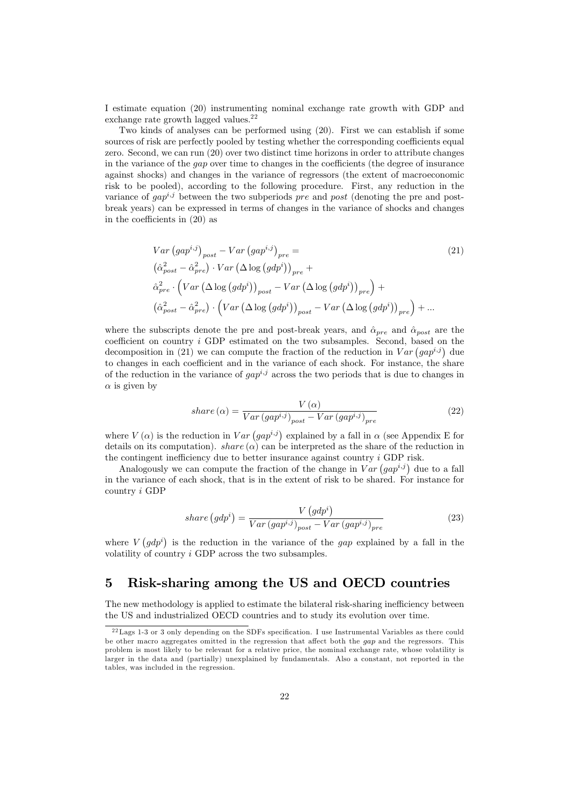I estimate equation (20) instrumenting nominal exchange rate growth with GDP and exchange rate growth lagged values.<sup>22</sup>

Two kinds of analyses can be performed using (20). First we can establish if some sources of risk are perfectly pooled by testing whether the corresponding coefficients equal zero. Second, we can run (20) over two distinct time horizons in order to attribute changes in the variance of the gap over time to changes in the coefficients (the degree of insurance against shocks) and changes in the variance of regressors (the extent of macroeconomic risk to be pooled), according to the following procedure. First, any reduction in the variance of  $gap^{i,j}$  between the two subperiods pre and post (denoting the pre and postbreak years) can be expressed in terms of changes in the variance of shocks and changes in the coefficients in (20) as

$$
Var (gap^{i,j})_{post} - Var (gap^{i,j})_{pre} =
$$
\n
$$
(\hat{\alpha}_{post}^{2} - \hat{\alpha}_{pre}^{2}) \cdot Var (\Delta \log (gdp^{i}))_{pre} +
$$
\n
$$
\hat{\alpha}_{pre}^{2} \cdot \left( Var (\Delta \log (gdp^{i}))_{post} - Var (\Delta \log (gdp^{i}))_{pre} \right) +
$$
\n
$$
(\hat{\alpha}_{post}^{2} - \hat{\alpha}_{pre}^{2}) \cdot \left( Var (\Delta \log (gdp^{i}))_{post} - Var (\Delta \log (gdp^{i}))_{pre} \right) + ...
$$
\n(4.10)

where the subscripts denote the pre and post-break years, and  $\hat{\alpha}_{pre}$  and  $\hat{\alpha}_{post}$  are the coefficient on country i GDP estimated on the two subsamples. Second, based on the coefficient on country *i* GDP estimated on the two subsamples. Second, based on decomposition in (21) we can compute the fraction of the reduction in  $Var(gap^{i,j})$  due to changes in each coefficient and in the variance of each shock. For instance, the share of the reduction in the variance of  $gap^{i,j}$  across the two periods that is due to changes in  $\alpha$  is given by

$$
share\left(\alpha\right) = \frac{V\left(\alpha\right)}{Var\left(gap^{i,j}\right)_{post} - Var\left(gap^{i,j}\right)_{pre}}\tag{22}
$$

where  $V(\alpha)$  is the reduction in  $Var(gap^{i,j})$ <br>details on its computation), share  $(\alpha)$  can b ) explained by a fall in  $\alpha$  (see Appendix E for details on its computation). *share* ( $\alpha$ ) can be interpreted as the share of the reduction in the contingent inefficiency due to better insurance against country i GDP risk.

contingent inefficiency due to better insurance against country *i* GDP r<br>Analogously we can compute the fraction of the change in  $Var(gap^{i,j})$ ) due to a fall in the variance of each shock, that is in the extent of risk to be shared. For instance for country i GDP

$$
share\left(gdp^{i}\right) = \frac{V\left(gdp^{i}\right)}{Var\left(gap^{i,j}\right)_{post} - Var\left(gap^{i,j}\right)_{pre}}\tag{23}
$$

where  $V(gdp<sup>i</sup>)$  is the reduction in the variance of the *gap* explained by a fall in the volatility of country i GDP across the two subsamples.

# 5 Risk-sharing among the US and OECD countries

The new methodology is applied to estimate the bilateral risk-sharing inefficiency between the US and industrialized OECD countries and to study its evolution over time.

 $^{22}$ Lags 1-3 or 3 only depending on the SDFs specification. I use Instrumental Variables as there could be other macro aggregates omitted in the regression that affect both the gap and the regressors. This problem is most likely to be relevant for a relative price, the nominal exchange rate, whose volatility is larger in the data and (partially) unexplained by fundamentals. Also a constant, not reported in the tables, was included in the regression.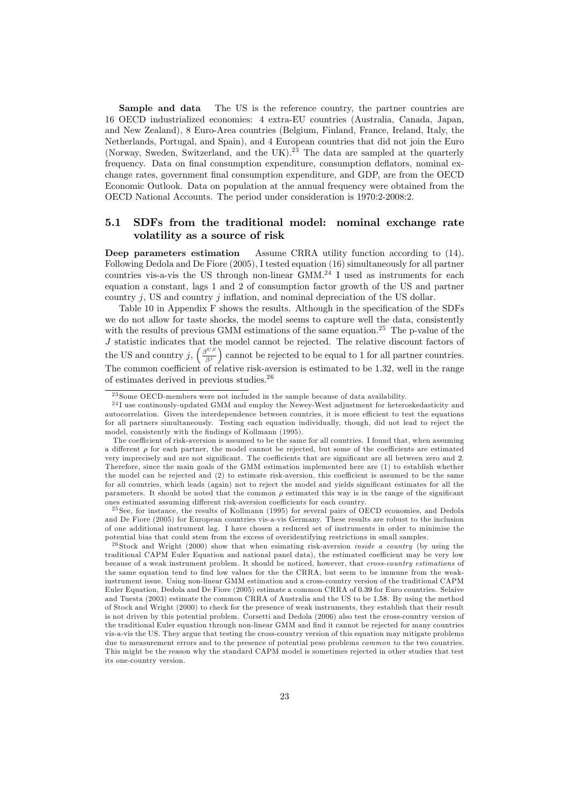Sample and data The US is the reference country, the partner countries are 16 OECD industrialized economies: 4 extra-EU countries (Australia, Canada, Japan, and New Zealand), 8 Euro-Area countries (Belgium, Finland, France, Ireland, Italy, the Netherlands, Portugal, and Spain), and 4 European countries that did not join the Euro (Norway, Sweden, Switzerland, and the UK).<sup>23</sup> The data are sampled at the quarterly frequency. Data on final consumption expenditure, consumption deflators, nominal exchange rates, government final consumption expenditure, and GDP, are from the OECD Economic Outlook. Data on population at the annual frequency were obtained from the OECD National Accounts. The period under consideration is 1970:2-2008:2.

#### 5.1 SDFs from the traditional model: nominal exchange rate volatility as a source of risk

Deep parameters estimation Assume CRRA utility function according to (14). Following Dedola and De Fiore (2005), I tested equation (16) simultaneously for all partner countries vis-a-vis the US through non-linear  $GMM<sup>24</sup>$  I used as instruments for each equation a constant, lags 1 and 2 of consumption factor growth of the US and partner country  $j$ , US and country  $j$  inflation, and nominal depreciation of the US dollar.

Table 10 in Appendix F shows the results. Although in the specification of the SDFs we do not allow for taste shocks, the model seems to capture well the data, consistently with the results of previous GMM estimations of the same equation.<sup>25</sup> The p-value of the J statistic indicates that the model cannot be rejected. The relative discount factors of J statistic indicates that the US and country j,  $\left(\frac{\beta^{US}}{\beta S}\right)$ β<sup>j</sup> e cannot be rejected to be equal to 1 for all partner countries. The common coefficient of relative risk-aversion is estimated to be 1.32, well in the range<br>of estimates derived in previous studies  $2^6$ of estimates derived in previous studies. $26$ 

<sup>25</sup> See, for instance, the results of Kollmann (1995) for several pairs of OECD economies, and Dedola and De Fiore (2005) for European countries vis-a-vis Germany. These results are robust to the inclusion of one additional instrument lag. I have chosen a reduced set of instruments in order to minimise the potential bias that could stem from the excess of overidentifying restrictions in small samples.

 $23$  Some OECD-members were not included in the sample because of data availability.

<sup>&</sup>lt;sup>24</sup>I use continously-updated GMM and employ the Newey-West adjustment for heteroskedasticity and autocorrelation. Given the interdependence between countries, it is more efficient to test the equations for all partners simultaneously. Testing each equation individually, though, did not lead to reject the model, consistently with the findings of Kollmann (1995).

The coefficient of risk-aversion is assumed to be the same for all countries. I found that, when assuming a different  $\rho$  for each partner, the model cannot be rejected, but some of the coefficients are estimated very imprecisely and are not significant. The coefficients that are significant are all between zero and 2. Therefore, since the main goals of the GMM estimation implemented here are (1) to establish whether the model can be rejected and (2) to estimate risk-aversion, this coefficient is assumed to be the same for all countries, which leads (again) not to reject the model and yields significant estimates for all the parameters. It should be noted that the common  $\rho$  estimated this way is in the range of the significant ones estimated assuming different risk-aversion coefficients for each country.

 $26$  Stock and Wright (2000) show that when esimating risk-aversion *inside a country* (by using the traditional CAPM Euler Equation and national panel data), the estimated coefficient may be very low because of a weak instrument problem. It should be noticed, however, that cross-country estimations of the same equation tend to find low values for the the CRRA, but seem to be immune from the weakinstrument issue. Using non-linear GMM estimation and a cross-country version of the traditional CAPM Euler Equation, Dedola and De Fiore (2005) estimate a common CRRA of 0.39 for Euro countries. Selaive and Tuesta (2003) estimate the common CRRA of Australia and the US to be 1.58. By using the method of Stock and Wright (2000) to check for the presence of weak instruments, they establish that their result is not driven by this potential problem. Corsetti and Dedola (2006) also test the cross-country version of the traditional Euler equation through non-linear GMM and find it cannot be rejected for many countries vis-a-vis the US. They argue that testing the cross-country version of this equation may mitigate problems due to measurement errors and to the presence of potential peso problems *common* to the two countries. This might be the reason why the standard CAPM model is sometimes rejected in other studies that test its one-country version.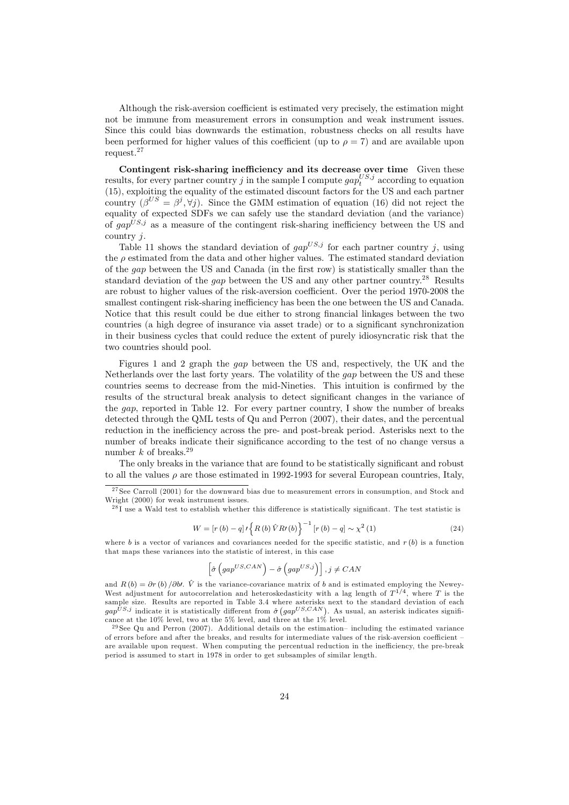Although the risk-aversion coefficient is estimated very precisely, the estimation might not be immune from measurement errors in consumption and weak instrument issues. Since this could bias downwards the estimation, robustness checks on all results have been performed for higher values of this coefficient (up to  $\rho = 7$ ) and are available upon request.<sup>27</sup>

Contingent risk-sharing inefficiency and its decrease over time Given these results, for every partner country j in the sample I compute  $gap_t^{US,j}$  according to equation (15), exploiting the equality of the estimated discount factors for the US and each partner country  $(\beta^{US} = \beta^j, \forall j)$ . Since the GMM estimation of equation (16) did not reject the equality of expected SDEs we can safely use the standard deviation (and the variance) equality of expected SDFs we can safely use the standard deviation (and the variance) of  $qap^{US,j}$  as a measure of the contingent risk-sharing inefficiency between the US and country j.

Table 11 shows the standard deviation of  $qap^{US,j}$  for each partner country j, using the  $\rho$  estimated from the data and other higher values. The estimated standard deviation of the gap between the US and Canada (in the first row) is statistically smaller than the standard deviation of the *gap* between the US and any other partner country.<sup>28</sup> Results are robust to higher values of the risk-aversion coefficient. Over the period 1970-2008 the smallest contingent risk-sharing inefficiency has been the one between the US and Canada. Notice that this result could be due either to strong financial linkages between the two countries (a high degree of insurance via asset trade) or to a significant synchronization in their business cycles that could reduce the extent of purely idiosyncratic risk that the two countries should pool.

Figures 1 and 2 graph the gap between the US and, respectively, the UK and the Netherlands over the last forty years. The volatility of the gap between the US and these countries seems to decrease from the mid-Nineties. This intuition is confirmed by the results of the structural break analysis to detect significant changes in the variance of the gap, reported in Table 12. For every partner country, I show the number of breaks detected through the QML tests of Qu and Perron (2007), their dates, and the percentual reduction in the inefficiency across the pre- and post-break period. Asterisks next to the number of breaks indicate their significance according to the test of no change versus a number k of breaks.<sup>29</sup>

The only breaks in the variance that are found to be statistically significant and robust to all the values  $\rho$  are those estimated in 1992-1993 for several European countries, Italy,

 $28I$  use a Wald test to establish whether this difference is statistically significant. The test statistic is

$$
W = [r (b) - q] \, I \left\{ R (b) \, \hat{V} R (b) \right\}^{-1} [r (b) - q] \sim \chi^2 (1) \tag{24}
$$

where b is a vector of variances and covariances needed for the specific statistic, and  $r(b)$  is a function that maps these variances into the statistic of interest, in this case

$$
\left[\hat{\sigma}\left(gap^{US,CAN}\right)-\hat{\sigma}\left(gap^{US,j}\right)\right], j \neq CAN
$$

and  $R(b) = \partial r(b) / \partial b$ .  $\hat{V}$  is the variance-covariance matrix of b and is estimated employing the Newey-West adjustment for autocorrelation and heteroskedasticity with a lag length of  $T^{1/4}$ , where T is the sample size. Results are reported in Table 3.4 where asterisks next to the standard deviation of each sample size. Results are reported in Table 3.4 where asterisks next to the standard deviation of each  $gap^{US,j}$  indicate it is statistically different from  $\hat{\sigma}$   $(gap^{US,CAN})$ . As usual, an asterisk indicates significance at cance at the 10% level, two at the 5% level, and three at the 1% level.

 $^{29}$ See Qu and Perron (2007). Additional details on the estimation-including the estimated variance of errors before and after the breaks, and results for intermediate values of the risk-aversion coefficient are available upon request. When computing the percentual reduction in the inefficiency, the pre-break period is assumed to start in 1978 in order to get subsamples of similar length.

 $27$  See Carroll (2001) for the downward bias due to measurement errors in consumption, and Stock and Wright (2000) for weak instrument issues.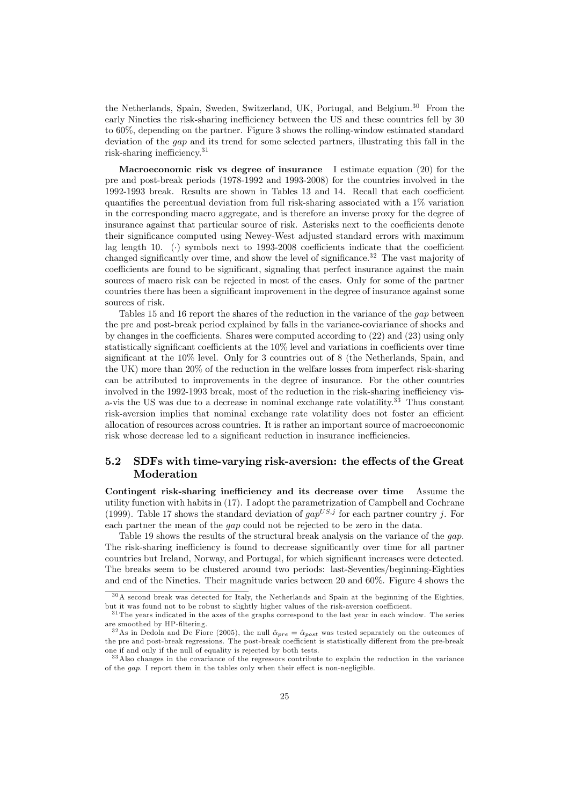the Netherlands, Spain, Sweden, Switzerland, UK, Portugal, and Belgium.30 From the early Nineties the risk-sharing inefficiency between the US and these countries fell by 30 to 60%, depending on the partner. Figure 3 shows the rolling-window estimated standard deviation of the gap and its trend for some selected partners, illustrating this fall in the risk-sharing inefficiency.31

Macroeconomic risk vs degree of insurance I estimate equation  $(20)$  for the pre and post-break periods (1978-1992 and 1993-2008) for the countries involved in the 1992-1993 break. Results are shown in Tables 13 and 14. Recall that each coefficient quantifies the percentual deviation from full risk-sharing associated with a 1% variation in the corresponding macro aggregate, and is therefore an inverse proxy for the degree of insurance against that particular source of risk. Asterisks next to the coefficients denote their significance computed using Newey-West adjusted standard errors with maximum lag length 10. (·) symbols next to 1993-2008 coefficients indicate that the coefficient changed significantly over time, and show the level of significance.<sup>32</sup> The vast majority of coefficients are found to be significant, signaling that perfect insurance against the main sources of macro risk can be rejected in most of the cases. Only for some of the partner countries there has been a significant improvement in the degree of insurance against some sources of risk.

Tables 15 and 16 report the shares of the reduction in the variance of the *gap* between the pre and post-break period explained by falls in the variance-coviariance of shocks and by changes in the coefficients. Shares were computed according to (22) and (23) using only statistically significant coefficients at the 10% level and variations in coefficients over time significant at the 10% level. Only for 3 countries out of 8 (the Netherlands, Spain, and the UK) more than 20% of the reduction in the welfare losses from imperfect risk-sharing can be attributed to improvements in the degree of insurance. For the other countries involved in the 1992-1993 break, most of the reduction in the risk-sharing inefficiency visa-vis the US was due to a decrease in nominal exchange rate volatility.33 Thus constant risk-aversion implies that nominal exchange rate volatility does not foster an efficient allocation of resources across countries. It is rather an important source of macroeconomic risk whose decrease led to a significant reduction in insurance inefficiencies.

#### 5.2 SDFs with time-varying risk-aversion: the effects of the Great Moderation

Contingent risk-sharing inefficiency and its decrease over time Assume the utility function with habits in (17). I adopt the parametrization of Campbell and Cochrane (1999). Table 17 shows the standard deviation of  $gap^{US,j}$  for each partner country j. For each partner the mean of the gap could not be rejected to be zero in the data.

Table 19 shows the results of the structural break analysis on the variance of the gap. The risk-sharing inefficiency is found to decrease significantly over time for all partner countries but Ireland, Norway, and Portugal, for which significant increases were detected. The breaks seem to be clustered around two periods: last-Seventies/beginning-Eighties and end of the Nineties. Their magnitude varies between 20 and 60%. Figure 4 shows the

<sup>3 0</sup>A second break was detected for Italy, the Netherlands and Spain at the beginning of the Eighties, but it was found not to be robust to slightly higher values of the risk-aversion coefficient.

 $31$  The years indicated in the axes of the graphs correspond to the last year in each window. The series

are smoothed by HP-filtering.<br><sup>32</sup>As in Dedola and De Fiore (2005), the null  $\hat{\alpha}_{pre} = \hat{\alpha}_{post}$  was tested separately on the outcomes of<br>the present prost break regressions. The post break coefficient is statistically diff the pre and post-break regressions. The post-break coefficient is statistically different from the pre-break one if and only if the null of equality is rejected by both tests.<br> $33$  Also changes in the covariance of the regressors contribute to explain the reduction in the variance

of the gap. I report them in the tables only when their effect is non-negligible.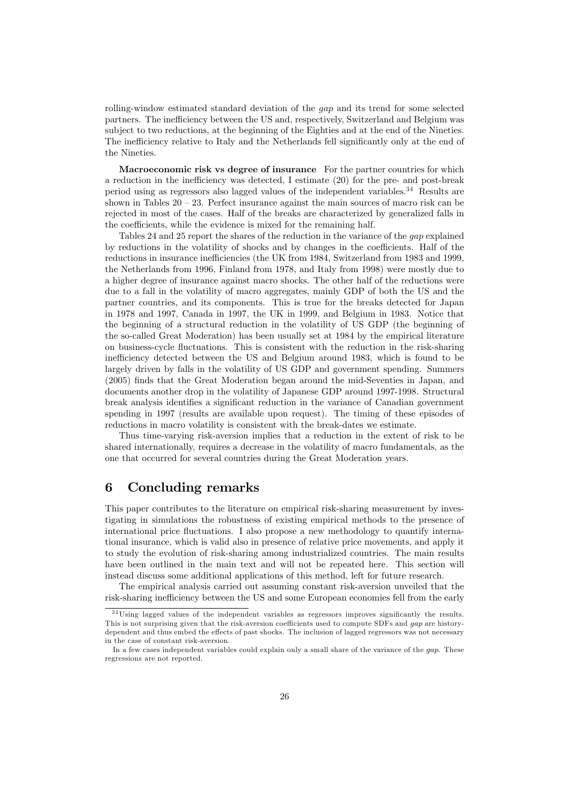rolling-window estimated standard deviation of the gap and its trend for some selected partners. The inefficiency between the US and, respectively, Switzerland and Belgium was subject to two reductions, at the beginning of the Eighties and at the end of the Nineties. The inefficiency relative to Italy and the Netherlands fell significantly only at the end of the Nineties.

Macroeconomic risk vs degree of insurance For the partner countries for which a reduction in the inefficiency was detected, I estimate (20) for the pre- and post-break period using as regressors also lagged values of the independent variables.34 Results are shown in Tables  $20 - 23$ . Perfect insurance against the main sources of macro risk can be rejected in most of the cases. Half of the breaks are characterized by generalized falls in the coefficients, while the evidence is mixed for the remaining half.

Tables 24 and 25 report the shares of the reduction in the variance of the gap explained by reductions in the volatility of shocks and by changes in the coefficients. Half of the reductions in insurance inefficiencies (the UK from 1984, Switzerland from 1983 and 1999, the Netherlands from 1996, Finland from 1978, and Italy from 1998) were mostly due to a higher degree of insurance against macro shocks. The other half of the reductions were due to a fall in the volatility of macro aggregates, mainly GDP of both the US and the partner countries, and its components. This is true for the breaks detected for Japan in 1978 and 1997, Canada in 1997, the UK in 1999, and Belgium in 1983. Notice that the beginning of a structural reduction in the volatility of US GDP (the beginning of the so-called Great Moderation) has been usually set at 1984 by the empirical literature on business-cycle fluctuations. This is consistent with the reduction in the risk-sharing inefficiency detected between the US and Belgium around 1983, which is found to be largely driven by falls in the volatility of US GDP and government spending. Summers (2005) finds that the Great Moderation began around the mid-Seventies in Japan, and documents another drop in the volatility of Japanese GDP around 1997-1998. Structural break analysis identifies a significant reduction in the variance of Canadian government spending in 1997 (results are available upon request). The timing of these episodes of reductions in macro volatility is consistent with the break-dates we estimate.

Thus time-varying risk-aversion implies that a reduction in the extent of risk to be shared internationally, requires a decrease in the volatility of macro fundamentals, as the one that occurred for several countries during the Great Moderation years.

# 6 Concluding remarks

This paper contributes to the literature on empirical risk-sharing measurement by investigating in simulations the robustness of existing empirical methods to the presence of international price fluctuations. I also propose a new methodology to quantify international insurance, which is valid also in presence of relative price movements, and apply it to study the evolution of risk-sharing among industrialized countries. The main results have been outlined in the main text and will not be repeated here. This section will instead discuss some additional applications of this method, left for future research.

The empirical analysis carried out assuming constant risk-aversion unveiled that the risk-sharing inefficiency between the US and some European economies fell from the early

 $34$ Using lagged values of the independent variables as regressors improves significantly the results. This is not surprising given that the risk-aversion coefficients used to compute SDFs and gap are historydependent and thus embed the effects of past shocks. The inclusion of lagged regressors was not necessary in the case of constant risk-aversion.

In a few cases independent variables could explain only a small share of the variance of the gap. These regressions are not reported.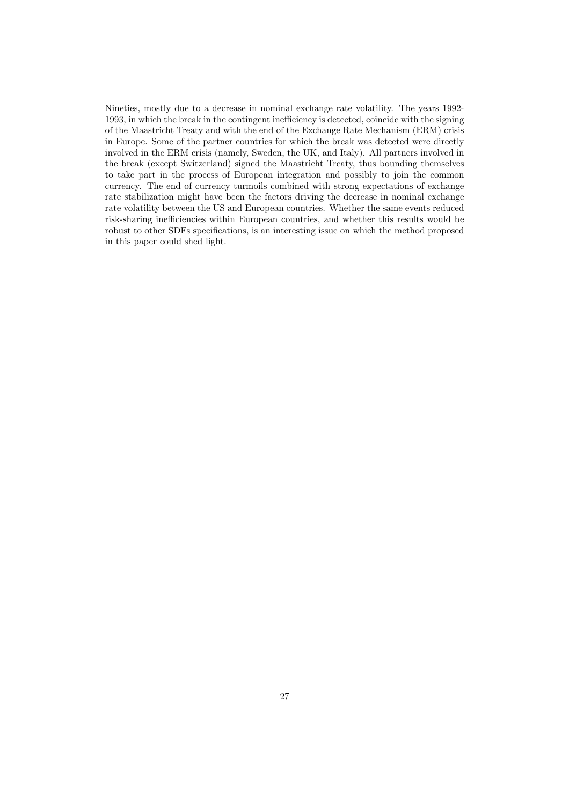Nineties, mostly due to a decrease in nominal exchange rate volatility. The years 1992- 1993, in which the break in the contingent inefficiency is detected, coincide with the signing of the Maastricht Treaty and with the end of the Exchange Rate Mechanism (ERM) crisis in Europe. Some of the partner countries for which the break was detected were directly involved in the ERM crisis (namely, Sweden, the UK, and Italy). All partners involved in the break (except Switzerland) signed the Maastricht Treaty, thus bounding themselves to take part in the process of European integration and possibly to join the common currency. The end of currency turmoils combined with strong expectations of exchange rate stabilization might have been the factors driving the decrease in nominal exchange rate volatility between the US and European countries. Whether the same events reduced risk-sharing inefficiencies within European countries, and whether this results would be robust to other SDFs specifications, is an interesting issue on which the method proposed in this paper could shed light.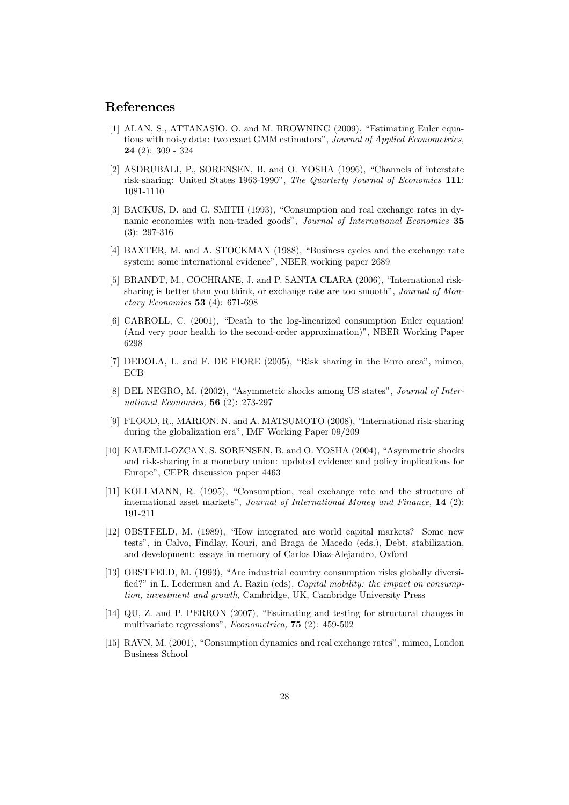### References

- [1] ALAN, S., ATTANASIO, O. and M. BROWNING (2009), "Estimating Euler equations with noisy data: two exact GMM estimators", Journal of Applied Econometrics, 24 (2): 309 - 324
- [2] ASDRUBALI, P., SORENSEN, B. and O. YOSHA (1996), "Channels of interstate risk-sharing: United States 1963-1990", The Quarterly Journal of Economics 111: 1081-1110
- [3] BACKUS, D. and G. SMITH (1993), "Consumption and real exchange rates in dynamic economies with non-traded goods", Journal of International Economics 35 (3): 297-316
- [4] BAXTER, M. and A. STOCKMAN (1988), "Business cycles and the exchange rate system: some international evidence", NBER working paper 2689
- [5] BRANDT, M., COCHRANE, J. and P. SANTA CLARA (2006), "International risksharing is better than you think, or exchange rate are too smooth", Journal of Monetary Economics 53 (4): 671-698
- [6] CARROLL, C. (2001), "Death to the log-linearized consumption Euler equation! (And very poor health to the second-order approximation)", NBER Working Paper 6298
- [7] DEDOLA, L. and F. DE FIORE (2005), "Risk sharing in the Euro area", mimeo, **ECB**
- [8] DEL NEGRO, M. (2002), "Asymmetric shocks among US states", Journal of International Economics, 56 (2): 273-297
- [9] FLOOD, R., MARION. N. and A. MATSUMOTO (2008), "International risk-sharing during the globalization era", IMF Working Paper 09/209
- [10] KALEMLI-OZCAN, S. SORENSEN, B. and O. YOSHA (2004), "Asymmetric shocks and risk-sharing in a monetary union: updated evidence and policy implications for Europe", CEPR discussion paper 4463
- [11] KOLLMANN, R. (1995), "Consumption, real exchange rate and the structure of international asset markets", Journal of International Money and Finance, 14 (2): 191-211
- [12] OBSTFELD, M. (1989), "How integrated are world capital markets? Some new tests", in Calvo, Findlay, Kouri, and Braga de Macedo (eds.), Debt, stabilization, and development: essays in memory of Carlos Diaz-Alejandro, Oxford
- [13] OBSTFELD, M. (1993), "Are industrial country consumption risks globally diversified?" in L. Lederman and A. Razin (eds), Capital mobility: the impact on consumption, investment and growth, Cambridge, UK, Cambridge University Press
- [14] QU, Z. and P. PERRON (2007), "Estimating and testing for structural changes in multivariate regressions", Econometrica, 75 (2): 459-502
- [15] RAVN, M. (2001), "Consumption dynamics and real exchange rates", mimeo, London Business School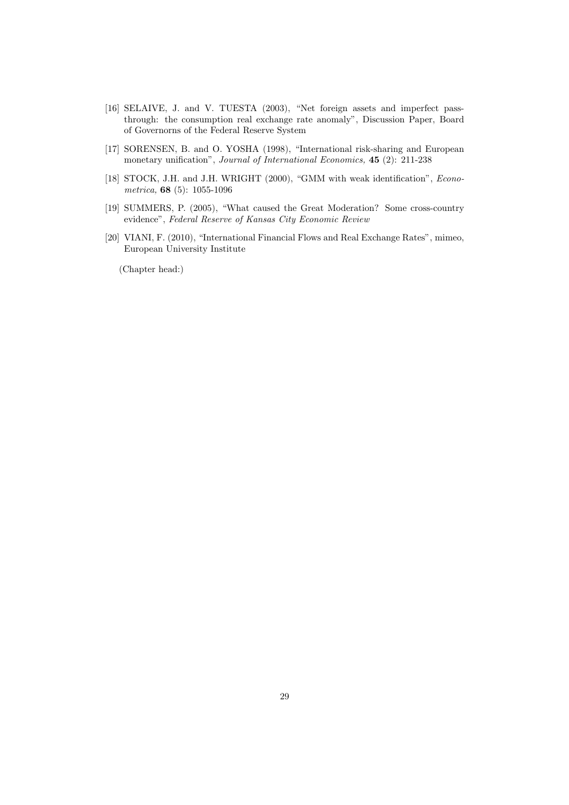- [16] SELAIVE, J. and V. TUESTA (2003), "Net foreign assets and imperfect passthrough: the consumption real exchange rate anomaly", Discussion Paper, Board of Governorns of the Federal Reserve System
- [17] SORENSEN, B. and O. YOSHA (1998), "International risk-sharing and European monetary unification", Journal of International Economics, 45 (2): 211-238
- [18] STOCK, J.H. and J.H. WRIGHT (2000), "GMM with weak identification", *Econo*metrica, 68 (5): 1055-1096
- [19] SUMMERS, P. (2005), "What caused the Great Moderation? Some cross-country evidence", Federal Reserve of Kansas City Economic Review
- [20] VIANI, F. (2010), "International Financial Flows and Real Exchange Rates", mimeo, European University Institute

(Chapter head:)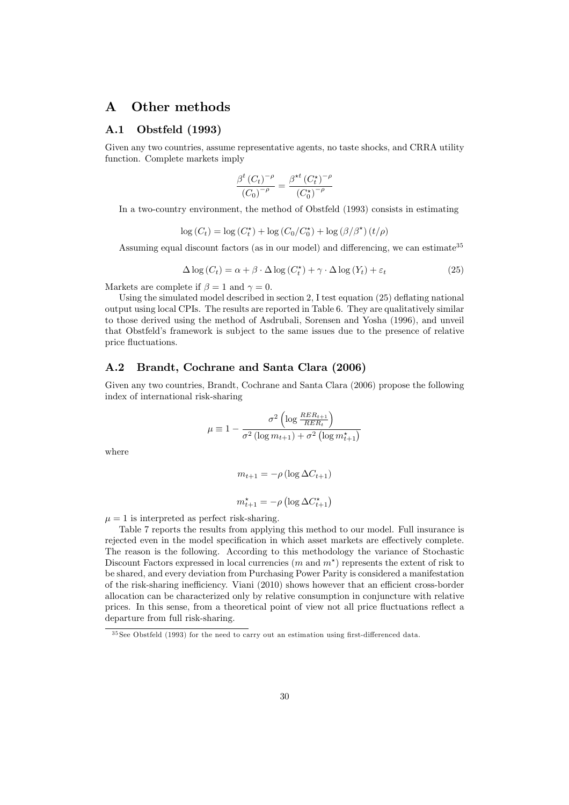# A Other methods

#### A.1 Obstfeld (1993)

Given any two countries, assume representative agents, no taste shocks, and CRRA utility function. Complete markets imply

$$
\frac{\beta^{t} (C_{t})^{-\rho}}{(C_{0})^{-\rho}} = \frac{\beta^{\star t} (C_{t}^{\star})^{-\rho}}{(C_{0}^{\star})^{-\rho}}
$$

In a two-country environment, the method of Obstfeld (1993) consists in estimating

$$
\log(C_t) = \log(C_t^*) + \log(C_0/C_0^*) + \log(\beta/\beta^*) (t/\rho)
$$

Assuming equal discount factors (as in our model) and differencing, we can estimate<sup>35</sup>

$$
\Delta \log (C_t) = \alpha + \beta \cdot \Delta \log (C_t^*) + \gamma \cdot \Delta \log (Y_t) + \varepsilon_t \tag{25}
$$

Markets are complete if  $\beta = 1$  and  $\gamma = 0$ .

Using the simulated model described in section 2, I test equation (25) deflating national output using local CPIs. The results are reported in Table 6. They are qualitatively similar to those derived using the method of Asdrubali, Sorensen and Yosha (1996), and unveil that Obstfeld's framework is subject to the same issues due to the presence of relative price fluctuations.

#### A.2 Brandt, Cochrane and Santa Clara (2006)

Given any two countries, Brandt, Cochrane and Santa Clara (2006) propose the following index of international risk-sharing

$$
\mu \equiv 1 - \frac{\sigma^2 \left( \log \frac{RER_{t+1}}{RER_t} \right)}{\sigma^2 \left( \log m_{t+1} \right) + \sigma^2 \left( \log m_{t+1}^* \right)}
$$

where

$$
m_{t+1} = -\rho \left(\log \Delta C_{t+1}\right)
$$
  

$$
m_{t+1}^{\star} = -\rho \left(\log \Delta C_{t+1}^{\star}\right)
$$

 $\mu = 1$  is interpreted as perfect risk-sharing.

Table 7 reports the results from applying this method to our model. Full insurance is rejected even in the model specification in which asset markets are effectively complete. The reason is the following. According to this methodology the variance of Stochastic Discount Factors expressed in local currencies  $(m \text{ and } m^*)$  represents the extent of risk to be shared, and every deviation from Purchasing Power Parity is considered a manifestation of the risk-sharing inefficiency. Viani (2010) shows however that an efficient cross-border allocation can be characterized only by relative consumption in conjuncture with relative prices. In this sense, from a theoretical point of view not all price fluctuations reflect a departure from full risk-sharing.

 $35$  See Obstfeld (1993) for the need to carry out an estimation using first-differenced data.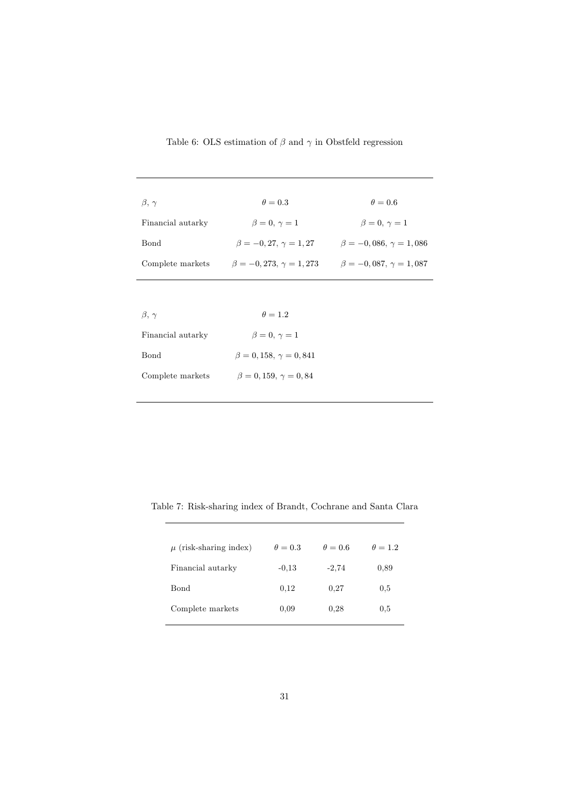| $\beta, \gamma$   | $\theta = 0.3$                   | $\theta = 0.6$                   |
|-------------------|----------------------------------|----------------------------------|
| Financial autarky | $\beta = 0, \gamma = 1$          | $\beta = 0, \gamma = 1$          |
| <b>Bond</b>       | $\beta = -0.27, \gamma = 1.27$   | $\beta = -0.086, \gamma = 1.086$ |
| Complete markets  | $\beta = -0.273, \gamma = 1.273$ | $\beta = -0.087, \gamma = 1.087$ |
|                   |                                  |                                  |
| $\beta, \gamma$   | $\theta = 1.2$                   |                                  |

Table 6: OLS estimation of  $\beta$  and  $\gamma$  in Obstfeld regression

| $\beta$ , $\gamma$ | $\theta = 1.2$                  |
|--------------------|---------------------------------|
| Financial autarky  | $\beta = 0, \gamma = 1$         |
| Bond               | $\beta = 0.158, \gamma = 0.841$ |
| Complete markets   | $\beta = 0.159, \gamma = 0.84$  |

Table 7: Risk-sharing index of Brandt, Cochrane and Santa Clara

| $\mu$ (risk-sharing index) | $\theta = 0.3$ | $\theta = 0.6$ | $\theta = 1.2$ |
|----------------------------|----------------|----------------|----------------|
| Financial autarky          | $-0.13$        | $-2,74$        | 0.89           |
| Bond                       | 0.12           | 0.27           | 0.5            |
| Complete markets           | 0.09           | 0.28           | 0.5            |
|                            |                |                |                |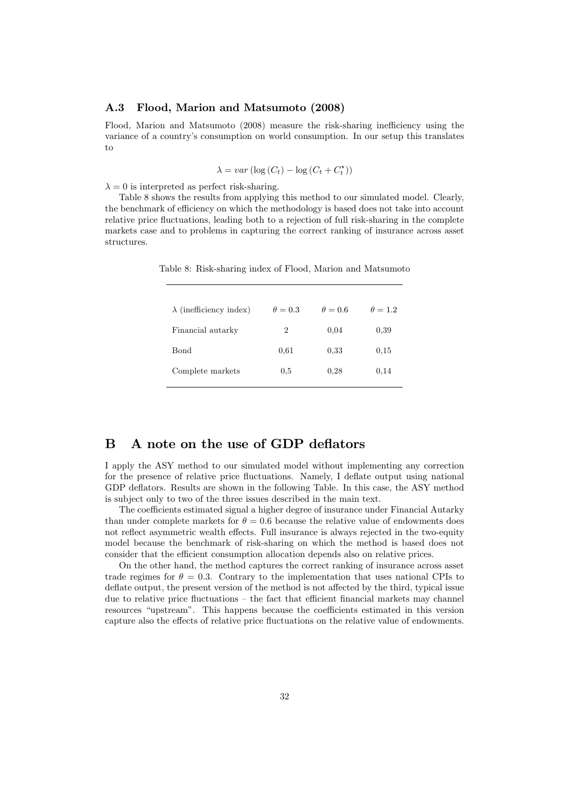#### A.3 Flood, Marion and Matsumoto (2008)

Flood, Marion and Matsumoto (2008) measure the risk-sharing inefficiency using the variance of a country's consumption on world consumption. In our setup this translates to

 $\lambda = var(\log(C_t) - \log(C_t + C_t^{\star}))$ 

 $\lambda = 0$  is interpreted as perfect risk-sharing.

Table 8 shows the results from applying this method to our simulated model. Clearly, the benchmark of efficiency on which the methodology is based does not take into account relative price fluctuations, leading both to a rejection of full risk-sharing in the complete markets case and to problems in capturing the correct ranking of insurance across asset structures.

 $\lambda$  (inefficiency index)  $\theta = 0.3$   $\theta = 0.6$   $\theta = 1.2$ Financial autarky  $2 \qquad 0.04 \qquad 0.39$ Bond 0,61 0,33 0,15 Complete markets  $0.5$   $0.28$   $0.14$ 

Table 8: Risk-sharing index of Flood, Marion and Matsumoto

# B A note on the use of GDP deflators

I apply the ASY method to our simulated model without implementing any correction for the presence of relative price fluctuations. Namely, I deflate output using national GDP deflators. Results are shown in the following Table. In this case, the ASY method is subject only to two of the three issues described in the main text.

The coefficients estimated signal a higher degree of insurance under Financial Autarky than under complete markets for  $\theta = 0.6$  because the relative value of endowments does not reflect asymmetric wealth effects. Full insurance is always rejected in the two-equity model because the benchmark of risk-sharing on which the method is based does not consider that the efficient consumption allocation depends also on relative prices.

On the other hand, the method captures the correct ranking of insurance across asset trade regimes for  $\theta = 0.3$ . Contrary to the implementation that uses national CPIs to deflate output, the present version of the method is not affected by the third, typical issue due to relative price fluctuations — the fact that efficient financial markets may channel resources "upstream". This happens because the coefficients estimated in this version capture also the effects of relative price fluctuations on the relative value of endowments.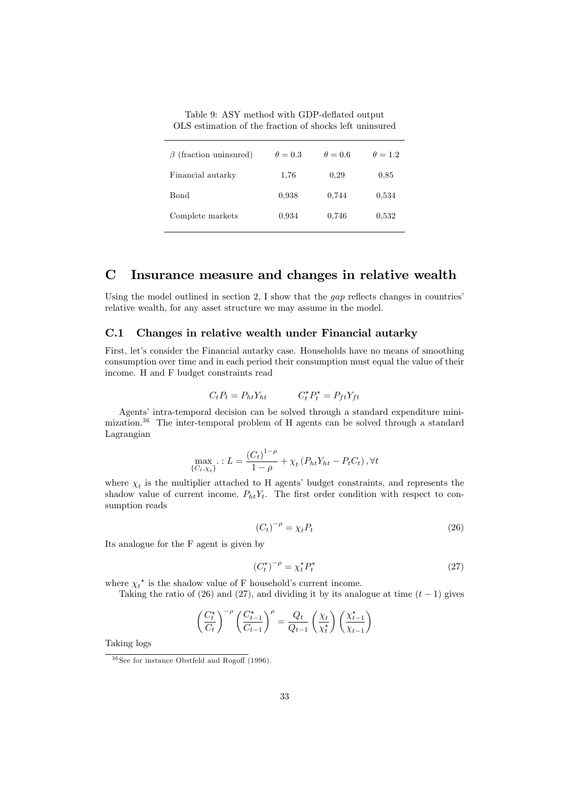Table 9: ASY method with GDP-deflated output OLS estimation of the fraction of shocks left uninsured

| $\beta$ (fraction uninsured) | $\theta = 0.3$ | $\theta = 0.6$ | $\theta = 1.2$ |
|------------------------------|----------------|----------------|----------------|
| Financial autarky            | 1,76           | 0.29           | 0.85           |
| Bond                         | 0.938          | 0.744          | 0.534          |
| Complete markets             | 0.934          | 0.746          | 0,532          |

# C Insurance measure and changes in relative wealth

Using the model outlined in section 2, I show that the gap reflects changes in countries' relative wealth, for any asset structure we may assume in the model.

#### C.1 Changes in relative wealth under Financial autarky

First, let's consider the Financial autarky case. Households have no means of smoothing consumption over time and in each period their consumption must equal the value of their income. H and F budget constraints read

$$
C_t P_t = P_{ht} Y_{ht} \qquad C_t^{\star} P_t^{\star} = P_{ft} Y_{ft}
$$

Agents' intra-temporal decision can be solved through a standard expenditure minimization.36 The inter-temporal problem of H agents can be solved through a standard Lagrangian

$$
\max_{\{C_t, \chi_t\}} \, : L = \frac{(C_t)^{1-\rho}}{1-\rho} + \chi_t \left( P_{ht} Y_{ht} - P_t C_t \right), \forall t
$$

where  $\chi_t$  is the multiplier attached to H agents' budget constraints, and represents the shadow value of current income,  $P_{ht}Y_t$ . The first order condition with respect to consumption reads

$$
(C_t)^{-\rho} = \chi_t P_t \tag{26}
$$

Its analogue for the F agent is given by

$$
(C_t^{\star})^{-\rho} = \chi_t^{\star} P_t^{\star}
$$
 (27)

where  $\chi_t^*$  is the shadow value of F household's current income.

Taking the ratio of (26) and (27), and dividing it by its analogue at time  $(t - 1)$  gives

$$
\left(\frac{C_t^{\star}}{C_t}\right)^{-\rho} \left(\frac{C_{t-1}^{\star}}{C_{t-1}}\right)^{\rho} = \frac{Q_t}{Q_{t-1}} \left(\frac{\chi_t}{\chi_t^{\star}}\right) \left(\frac{\chi_{t-1}^{\star}}{\chi_{t-1}}\right)
$$

Taking logs

 $36$  See for instance Obstfeld and Rogoff (1996).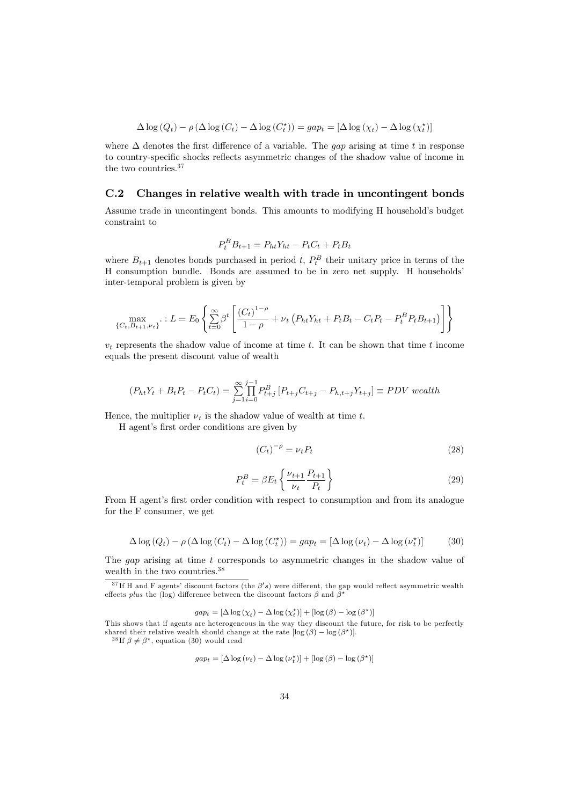$$
\Delta \log (Q_t) - \rho \left( \Delta \log (C_t) - \Delta \log (C_t^{\star}) \right) = gap_t = [\Delta \log (\chi_t) - \Delta \log (\chi_t^{\star})]
$$

where  $\Delta$  denotes the first difference of a variable. The gap arising at time t in response to country-specific shocks reflects asymmetric changes of the shadow value of income in the two countries.<sup>37</sup>

#### C.2 Changes in relative wealth with trade in uncontingent bonds

Assume trade in uncontingent bonds. This amounts to modifying H household's budget constraint to

$$
P_t^B B_{t+1} = P_{ht} Y_{ht} - P_t C_t + P_t B_t
$$

where  $B_{t+1}$  denotes bonds purchased in period  $t$ ,  $P_t^B$  their unitary price in terms of the  $H$  concurrential boundle. Bonds are assumed to be in some net supply. H bougholds' H consumption bundle. Bonds are assumed to be in zero net supply. H households' inter-temporal problem is given by

$$
\max_{\{C_t, B_{t+1}, \nu_t\}} \therefore L = E_0 \left\{ \sum_{t=0}^{\infty} \beta^t \left[ \frac{(C_t)^{1-\rho}}{1-\rho} + \nu_t \left( P_{ht} Y_{ht} + P_t B_t - C_t P_t - P_t^B P_t B_{t+1} \right) \right] \right\}
$$

 $v_t$  represents the shadow value of income at time t. It can be shown that time t income equals the present discount value of wealth

$$
(P_{ht}Y_t + B_tP_t - P_tC_t) = \sum_{j=1}^{\infty} \prod_{i=0}^{j-1} P_{t+j}^B [P_{t+j}C_{t+j} - P_{h,t+j}Y_{t+j}] \equiv PDV \text{ wealth}
$$

Hence, the multiplier  $\nu_t$  is the shadow value of wealth at time t.

H agent's first order conditions are given by

$$
(C_t)^{-\rho} = \nu_t P_t \tag{28}
$$

$$
P_t^B = \beta E_t \left\{ \frac{\nu_{t+1}}{\nu_t} \frac{P_{t+1}}{P_t} \right\} \tag{29}
$$

From H agent's first order condition with respect to consumption and from its analogue for the F consumer, we get

$$
\Delta \log (Q_t) - \rho \left( \Delta \log (C_t) - \Delta \log (C_t^{\star}) \right) = gap_t = \left[ \Delta \log (\nu_t) - \Delta \log (\nu_t^{\star}) \right] \tag{30}
$$

The gap arising at time t corresponds to asymmetric changes in the shadow value of wealth in the two countries.38

 $gap_t = [\Delta \log (\chi_t) - \Delta \log (\chi_t^*)] + [\log (\beta) - \log (\beta^*)]$ 

<sup>38</sup>If  $\beta \neq \beta^*$ , equation (30) would read

$$
gap_{t} = [\Delta \log (\nu_{t}) - \Delta \log (\nu_{t}^{*})] + [\log (\beta) - \log (\beta^{*})]
$$

 $3^7$ If H and F agents' discount factors (the  $\beta$ 's) were different, the gap would reflect asymmetric wealth effects plus the (log) difference between the discount factors  $\beta$  and  $\beta^*$ 

This shows that if agents are heterogeneous in the way they discount the future, for risk to be perfectly shared their relative wealth should change at the rate  $[\log (\beta) - \log (\beta^*)]$ .<br><sup>38</sup>If  $\beta \neq \beta^*$ , equation (30) would read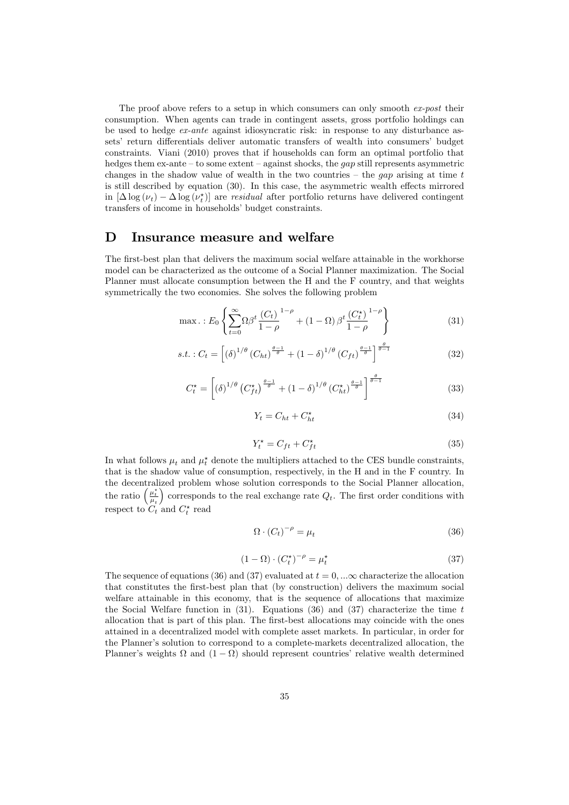The proof above refers to a setup in which consumers can only smooth  $ex$ -post their consumption. When agents can trade in contingent assets, gross portfolio holdings can be used to hedge ex-ante against idiosyncratic risk: in response to any disturbance assets' return differentials deliver automatic transfers of wealth into consumers' budget constraints. Viani (2010) proves that if households can form an optimal portfolio that hedges them  $ex$ -ante – to some extent – against shocks, the *qap* still represents asymmetric changes in the shadow value of wealth in the two countries – the gap arising at time  $t$ is still described by equation (30). In this case, the asymmetric wealth effects mirrored in  $[\Delta \log (\nu_t) - \Delta \log (\nu_t)]$  are *residual* after portfolio returns have delivered contingent transfers of income in households' budget constraints transfers of income in households' budget constraints.

## D Insurance measure and welfare

The first-best plan that delivers the maximum social welfare attainable in the workhorse model can be characterized as the outcome of a Social Planner maximization. The Social Planner must allocate consumption between the H and the F country, and that weights symmetrically the two economies. She solves the following problem

$$
\max. : E_0 \left\{ \sum_{t=0}^{\infty} \Omega \beta^t \frac{(C_t)^{1-\rho}}{1-\rho} + (1-\Omega) \beta^t \frac{(C_t^{\star})^{1-\rho}}{1-\rho} \right\}
$$
(31)

$$
s.t. : C_t = \left[ \left( \delta \right)^{1/\theta} \left( C_{ht} \right)^{\frac{\theta - 1}{\theta}} + \left( 1 - \delta \right)^{1/\theta} \left( C_{ft} \right)^{\frac{\theta - 1}{\theta}} \right]^{\frac{\theta}{\theta - 1}} \tag{32}
$$

$$
C_t^* = \left[ \left( \delta \right)^{1/\theta} \left( C_{ft}^* \right)^{\frac{\theta - 1}{\theta}} + \left( 1 - \delta \right)^{1/\theta} \left( C_{ht}^* \right)^{\frac{\theta - 1}{\theta}} \right]^{\frac{\theta}{\theta - 1}} \tag{33}
$$

$$
Y_t = C_{ht} + C_{ht}^* \tag{34}
$$

$$
Y_t^\star = C_{ft} + C_{ft}^\star \tag{35}
$$

In what follows  $\mu_t$  and  $\mu_t^*$  denote the multipliers attached to the CES bundle constraints, that is the shadow value of consumption, respectively, in the H and in the F country. In the decentralized problem whose solution corresponds to the Social Planner allocation, the decentralized problem whose solution corresponds to the Social Planner allocation,<br>the ratio  $\left(\frac{\mu_t^*}{\mu_t}\right)$  corresponds to the real exchange rate  $Q_t$ . The first order conditions with respect to  $C_t$  and  $C_t^*$  read

$$
\Omega \cdot (C_t)^{-\rho} = \mu_t \tag{36}
$$

$$
(1 - \Omega) \cdot (C_t^{\star})^{-\rho} = \mu_t^{\star}
$$
\n(37)

The sequence of equations (36) and (37) evaluated at  $t = 0, \ldots \infty$  characterize the allocation that constitutes the first-best plan that (by construction) delivers the maximum social welfare attainable in this economy, that is the sequence of allocations that maximize the Social Welfare function in  $(31)$ . Equations  $(36)$  and  $(37)$  characterize the time t allocation that is part of this plan. The first-best allocations may coincide with the ones attained in a decentralized model with complete asset markets. In particular, in order for the Planner's solution to correspond to a complete-markets decentralized allocation, the Planner's weights  $\Omega$  and  $(1 - \Omega)$  should represent countries' relative wealth determined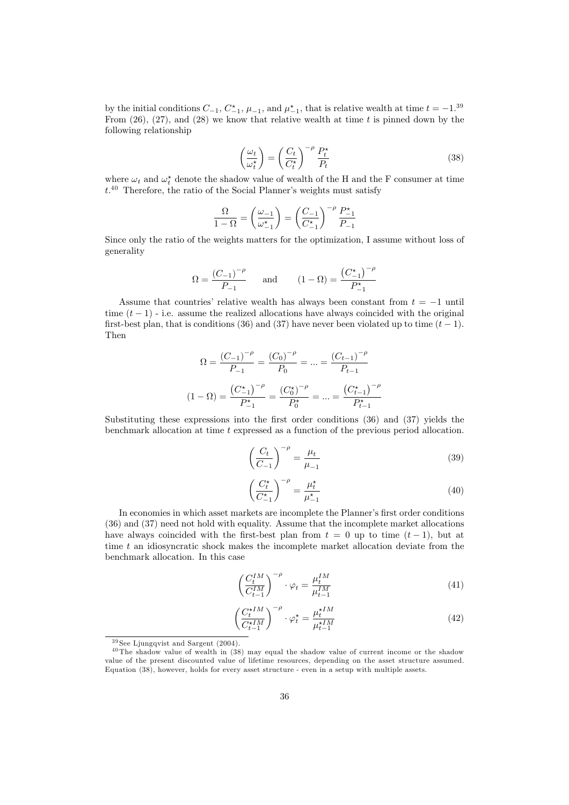by the initial conditions  $C_{-1}$ ,  $C_{-1}^*$ ,  $\mu_{-1}$ , and  $\mu_{-1}^*$ , that is relative wealth at time  $t = -1.39$ <br>From (26) (27) and (28) we know that relative wealth at time t is pinned down by the From  $(26)$ ,  $(27)$ , and  $(28)$  we know that relative wealth at time t is pinned down by the following relationship

$$
\left(\frac{\omega_t}{\omega_t^*}\right) = \left(\frac{C_t}{C_t^*}\right)^{-\rho} \frac{P_t^*}{P_t} \tag{38}
$$

where  $\omega_t$  and  $\omega_t^*$  denote the shadow value of wealth of the H and the F consumer at time  $t^{40}$  Therefore, the ratio of the Social Planner's weights must satisfy

$$
\frac{\Omega}{1-\Omega} = \left(\frac{\omega_{-1}}{\omega_{-1}^{\star}}\right) = \left(\frac{C_{-1}}{C_{-1}^{\star}}\right)^{-\rho} \frac{P_{-1}^{\star}}{P_{-1}}
$$

Since only the ratio of the weights matters for the optimization, I assume without loss of generality

$$
\Omega = \frac{(C_{-1})^{-\rho}}{P_{-1}} \quad \text{and} \quad (1 - \Omega) = \frac{(C_{-1}^*)^{-\rho}}{P_{-1}^*}
$$

Assume that countries' relative wealth has always been constant from  $t = -1$  until time  $(t-1)$  - i.e. assume the realized allocations have always coincided with the original first-best plan, that is conditions (36) and (37) have never been violated up to time  $(t-1)$ . Then

$$
\Omega = \frac{(C_{-1})^{-\rho}}{P_{-1}} = \frac{(C_0)^{-\rho}}{P_0} = \dots = \frac{(C_{t-1})^{-\rho}}{P_{t-1}}
$$

$$
(1 - \Omega) = \frac{(C_{-1}^{\star})^{-\rho}}{P_{-1}^{\star}} = \frac{(C_0^{\star})^{-\rho}}{P_0^{\star}} = \dots = \frac{(C_{t-1}^{\star})^{-\rho}}{P_{t-1}^{\star}}
$$

Substituting these expressions into the first order conditions (36) and (37) yields the benchmark allocation at time t expressed as a function of the previous period allocation.

$$
\left(\frac{C_t}{C_{-1}}\right)^{-\rho} = \frac{\mu_t}{\mu_{-1}}\tag{39}
$$

$$
\left(\frac{C_t^{\star}}{C_{-1}^{\star}}\right)^{-\rho} = \frac{\mu_t^{\star}}{\mu_{-1}^{\star}}
$$
\n(40)

In economies in which asset markets are incomplete the Planner's first order conditions (36) and (37) need not hold with equality. Assume that the incomplete market allocations have always coincided with the first-best plan from  $t = 0$  up to time  $(t - 1)$ , but at time  $t$  an idiosyncratic shock makes the incomplete market allocation deviate from the benchmark allocation. In this case

$$
\left(\frac{C_t^{IM}}{C_{t-1}^{IM}}\right)^{-\rho} \cdot \varphi_t = \frac{\mu_t^{IM}}{\mu_{t-1}^{IM}} \tag{41}
$$

$$
\left(\frac{C_t^{\star IM}}{C_{t-1}^{\star IM}}\right)^{-\rho} \cdot \varphi_t^{\star} = \frac{\mu_t^{\star IM}}{\mu_{t-1}^{\star IM}} \tag{42}
$$

 $39$  See Ljungqvist and Sargent (2004).

 $40$  The shadow value of wealth in  $(38)$  may equal the shadow value of current income or the shadow value of the present discounted value of lifetime resources, depending on the asset structure assumed. Equation (38), however, holds for every asset structure - even in a setup with multiple assets.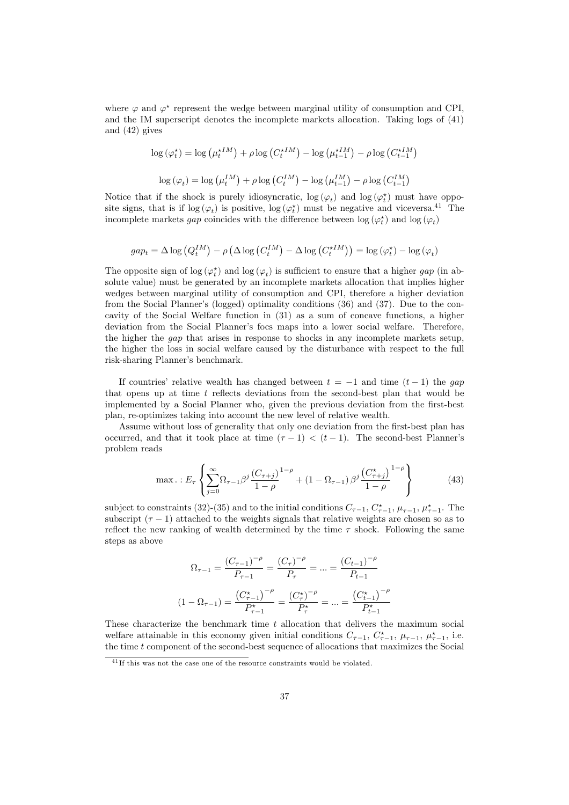where  $\varphi$  and  $\varphi^*$  represent the wedge between marginal utility of consumption and CPI, and the IM superscript denotes the incomplete markets allocation. Taking logs of (41) and (42) gives

$$
\log (\varphi_t^*) = \log (\mu_t^{*IM}) + \rho \log (C_t^{*IM}) - \log (\mu_{t-1}^{*IM}) - \rho \log (C_{t-1}^{*IM})
$$

$$
\log (\varphi_t) = \log (\mu_t^{IM}) + \rho \log (C_t^{IM}) - \log (\mu_{t-1}^{IM}) - \rho \log (C_{t-1}^{IM})
$$

Notice that if the shock is purely idiosyncratic,  $\log (\varphi_t)$  and  $\log (\varphi_t^*)$  must have oppo-<br>site signs, that is if  $\log (\varphi)$  is positive  $\log (\varphi_t^*)$  must be negative and viceyers <sup>41</sup>. The site signs, that is if  $\log(\varphi_t)$  is positive,  $\log(\varphi_t^*)$  must be negative and viceversa.<sup>41</sup> The incomplete markets *aan* coincides with the difference between  $\log(\varphi_t^*)$  and  $\log(\varphi_t)$ incomplete markets *gap* coincides with the difference between  $\log (\varphi_t^*)$  and  $\log (\varphi_t)$ 

$$
gap_t = \Delta \log (Q_t^{IM}) - \rho (\Delta \log (C_t^{IM}) - \Delta \log (C_t^{*IM})) = \log (\varphi_t^*) - \log (\varphi_t)
$$

The opposite sign of  $\log (\varphi_t^*)$  and  $\log (\varphi_t)$  is sufficient to ensure that a higher gap (in absolute value) must be generated by an incomplete markets allocation that implies higher solute value) must be generated by an incomplete markets allocation that implies higher wedges between marginal utility of consumption and CPI, therefore a higher deviation from the Social Planner's (logged) optimality conditions (36) and (37). Due to the concavity of the Social Welfare function in (31) as a sum of concave functions, a higher deviation from the Social Planner's focs maps into a lower social welfare. Therefore, the higher the gap that arises in response to shocks in any incomplete markets setup, the higher the loss in social welfare caused by the disturbance with respect to the full risk-sharing Planner's benchmark.

If countries' relative wealth has changed between  $t = -1$  and time  $(t - 1)$  the gap that opens up at time t reflects deviations from the second-best plan that would be implemented by a Social Planner who, given the previous deviation from the first-best plan, re-optimizes taking into account the new level of relative wealth.

Assume without loss of generality that only one deviation from the first-best plan has occurred, and that it took place at time  $(\tau - 1) < (t - 1)$ . The second-best Planner's problem reads

$$
\max. : E_{\tau} \left\{ \sum_{j=0}^{\infty} \Omega_{\tau-1} \beta^j \frac{(C_{\tau+j})}{1-\rho}^{1-\rho} + (1 - \Omega_{\tau-1}) \beta^j \frac{(C_{\tau+j}^*)}{1-\rho}^{1-\rho} \right\}
$$
(43)

subject to constraints (32)-(35) and to the initial conditions  $C_{\tau-1}$ ,  $C_{\tau-1}^*$ ,  $\mu_{\tau-1}$ ,  $\mu_{\tau-1}^*$ . The subscript  $(τ - 1)$  attached to the weights signals that relative weights are chosen so as to reflect the new ranking of wealth determined by the time  $\tau$  shock. Following the same steps as above

$$
\Omega_{\tau-1} = \frac{(C_{\tau-1})^{-\rho}}{P_{\tau-1}} = \frac{(C_{\tau})^{-\rho}}{P_{\tau}} = \dots = \frac{(C_{t-1})^{-\rho}}{P_{t-1}}
$$

$$
(1 - \Omega_{\tau-1}) = \frac{(C_{\tau-1}^{\star})^{-\rho}}{P_{\tau-1}^{\star}} = \frac{(C_{\tau}^{\star})^{-\rho}}{P_{\tau}^{\star}} = \dots = \frac{(C_{t-1}^{\star})^{-\rho}}{P_{t-1}^{\star}}
$$

These characterize the benchmark time t allocation that delivers the maximum social welfare attainable in this economy given initial conditions  $C_{\tau-1}$ ,  $C_{\tau-1}^*$ ,  $\mu_{\tau-1}^*$ ,  $\mu_{\tau-1}^*$ , i.e.<br>the time t component of the second best sequence of allocations that maximizes the Social the time t component of the second-best sequence of allocations that maximizes the Social

 $^{41}$ If this was not the case one of the resource constraints would be violated.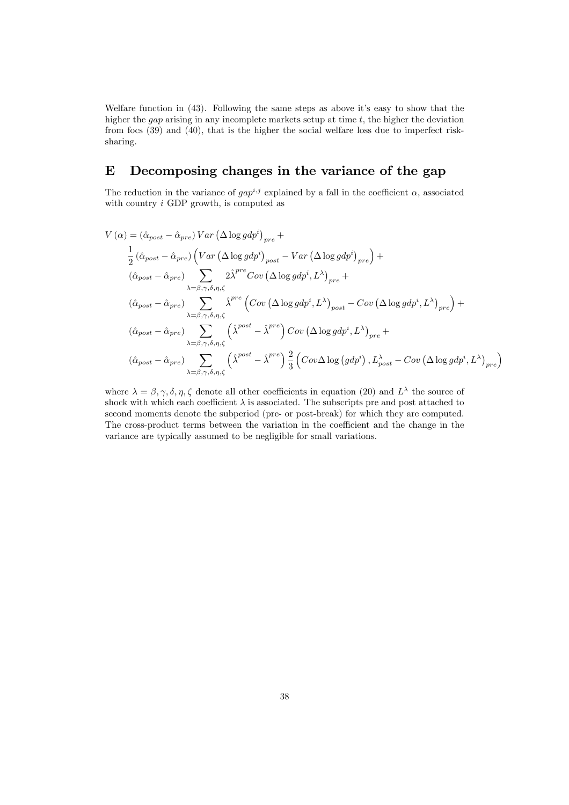Welfare function in (43). Following the same steps as above it's easy to show that the higher the  $gap$  arising in any incomplete markets setup at time  $t$ , the higher the deviation from focs (39) and (40), that is the higher the social welfare loss due to imperfect risksharing.

# E Decomposing changes in the variance of the gap

The reduction in the variance of  $gap^{i,j}$  explained by a fall in the coefficient  $\alpha$ , associated with country  $i$  GDP growth, is computed as

$$
V(\alpha) = (\hat{\alpha}_{post} - \hat{\alpha}_{pre}) Var \left(\Delta \log gdp^{i}\right)_{pre} +
$$
  
\n
$$
\frac{1}{2} (\hat{\alpha}_{post} - \hat{\alpha}_{pre}) \left( Var \left(\Delta \log gdp^{i}\right)_{post} - Var \left(\Delta \log gdp^{i}\right)_{pre} \right) +
$$
  
\n
$$
(\hat{\alpha}_{post} - \hat{\alpha}_{pre}) \sum_{\lambda = \beta, \gamma, \delta, \eta, \zeta} 2\hat{\lambda}^{pre} Cov \left(\Delta \log gdp^{i}, L^{\lambda}\right)_{pre} +
$$
  
\n
$$
(\hat{\alpha}_{post} - \hat{\alpha}_{pre}) \sum_{\lambda = \beta, \gamma, \delta, \eta, \zeta} \hat{\lambda}^{pre} \left( Cov \left(\Delta \log gdp^{i}, L^{\lambda}\right)_{post} - Cov \left(\Delta \log gdp^{i}, L^{\lambda}\right)_{pre} \right) +
$$
  
\n
$$
(\hat{\alpha}_{post} - \hat{\alpha}_{pre}) \sum_{\lambda = \beta, \gamma, \delta, \eta, \zeta} \left( \hat{\lambda}^{post} - \hat{\lambda}^{pre} \right) Cov \left(\Delta \log gdp^{i}, L^{\lambda}\right)_{pre} +
$$
  
\n
$$
(\hat{\alpha}_{post} - \hat{\alpha}_{pre}) \sum_{\lambda = \beta, \gamma, \delta, \eta, \zeta} \left( \hat{\lambda}^{post} - \hat{\lambda}^{pre} \right) \frac{2}{3} \left( Cov \Delta \log (gdp^{i}), L^{\lambda}_{post} - Cov \left(\Delta \log gdp^{i}, L^{\lambda}\right)_{pre} \right)
$$

where  $\lambda = \beta, \gamma, \delta, \eta, \zeta$  denote all other coefficients in equation (20) and  $L^{\lambda}$  the source of shock with which each coefficient  $\lambda$  is associated. The subscripts pre and post attached to second moments denote the subperiod (pre- or post-break) for which they are computed. The cross-product terms between the variation in the coefficient and the change in the variance are typically assumed to be negligible for small variations.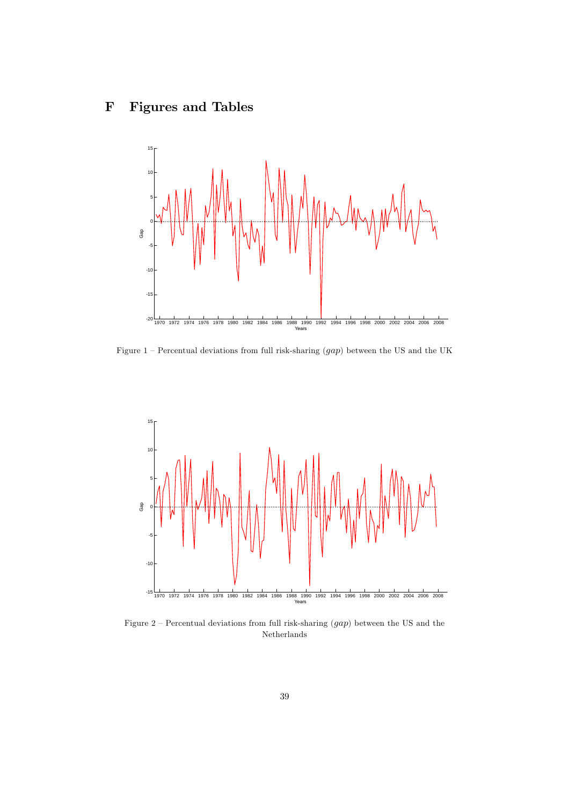# F Figures and Tables



Figure  $1$  – Percentual deviations from full risk-sharing  $(gap)$  between the US and the UK



Figure 2 – Percentual deviations from full risk-sharing  $(gap)$  between the US and the Netherlands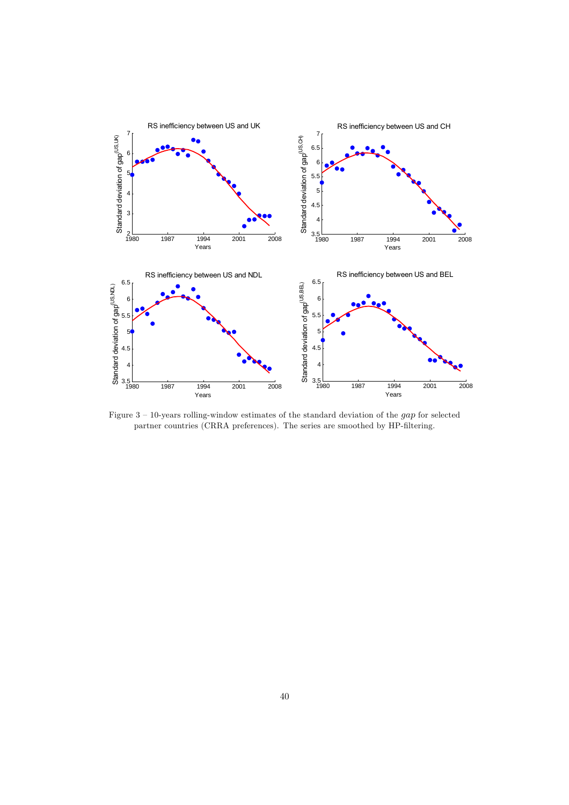

Figure 3 — 10-years rolling-window estimates of the standard deviation of the gap for selected partner countries (CRRA preferences). The series are smoothed by HP-filtering.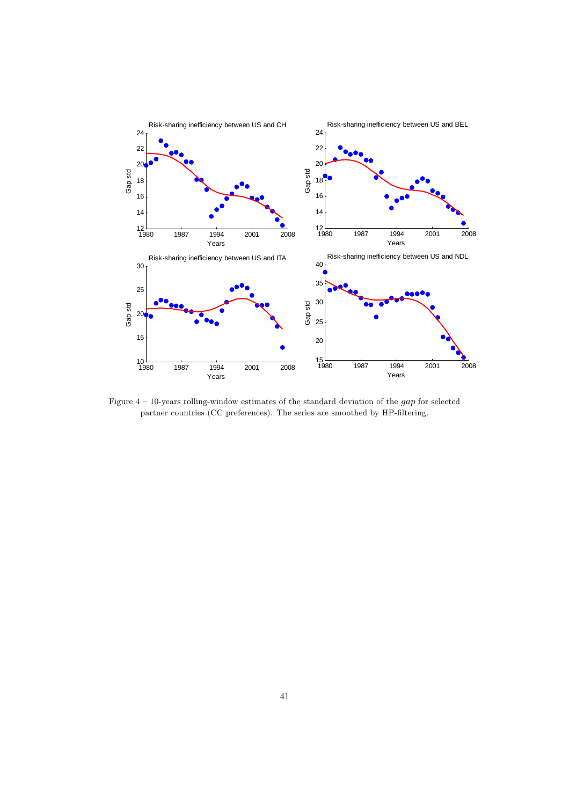

Figure 4 — 10-years rolling-window estimates of the standard deviation of the gap for selected partner countries (CC preferences). The series are smoothed by HP-filtering.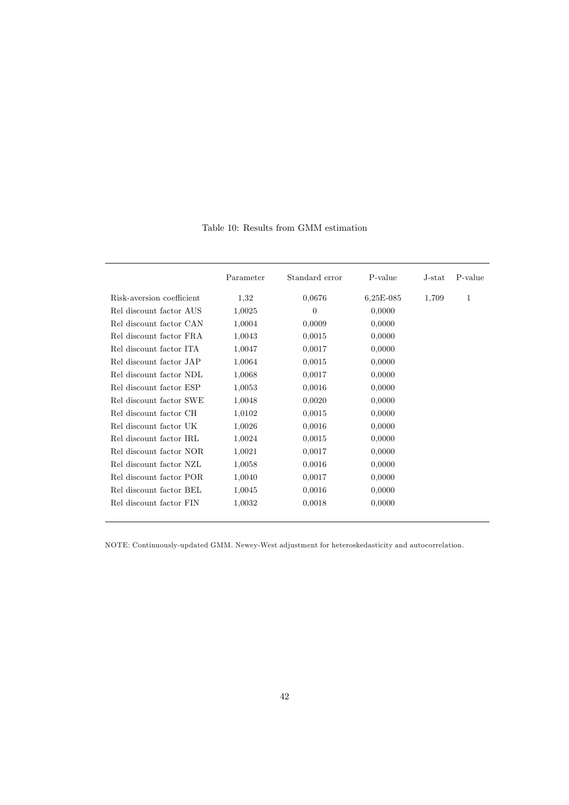|                           | Parameter | Standard error | P-value     | J-stat | P-value |
|---------------------------|-----------|----------------|-------------|--------|---------|
| Risk-aversion coefficient | 1,32      | 0,0676         | $6,25E-085$ | 1,709  | 1       |
| Rel discount factor AUS   | 1,0025    | $\theta$       | 0,0000      |        |         |
| Rel discount factor CAN   | 1,0004    | 0,0009         | 0,0000      |        |         |
| Rel discount factor FRA   | 1,0043    | 0,0015         | 0,0000      |        |         |
| Rel discount factor ITA   | 1,0047    | 0,0017         | 0,0000      |        |         |
| Rel discount factor JAP   | 1,0064    | 0,0015         | 0,0000      |        |         |
| Rel discount factor NDL   | 1,0068    | 0,0017         | 0,0000      |        |         |
| Rel discount factor ESP   | 1,0053    | 0,0016         | 0,0000      |        |         |
| Rel discount factor SWE   | 1,0048    | 0,0020         | 0,0000      |        |         |
| Rel discount factor CH    | 1,0102    | 0,0015         | 0,0000      |        |         |
| Rel discount factor UK    | 1,0026    | 0,0016         | 0,0000      |        |         |
| Rel discount factor IRL   | 1,0024    | 0,0015         | 0,0000      |        |         |
| Rel discount factor NOR   | 1,0021    | 0,0017         | 0,0000      |        |         |
| Rel discount factor NZL   | 1,0058    | 0,0016         | 0,0000      |        |         |
| Rel discount factor POR   | 1,0040    | 0,0017         | 0,0000      |        |         |
| Rel discount factor BEL   | 1,0045    | 0,0016         | 0,0000      |        |         |
| Rel discount factor FIN   | 1,0032    | 0,0018         | 0,0000      |        |         |

Table 10: Results from GMM estimation

NOTE: Continuously-updated GMM. Newey-West adjustment for heteroskedasticity and autocorrelation.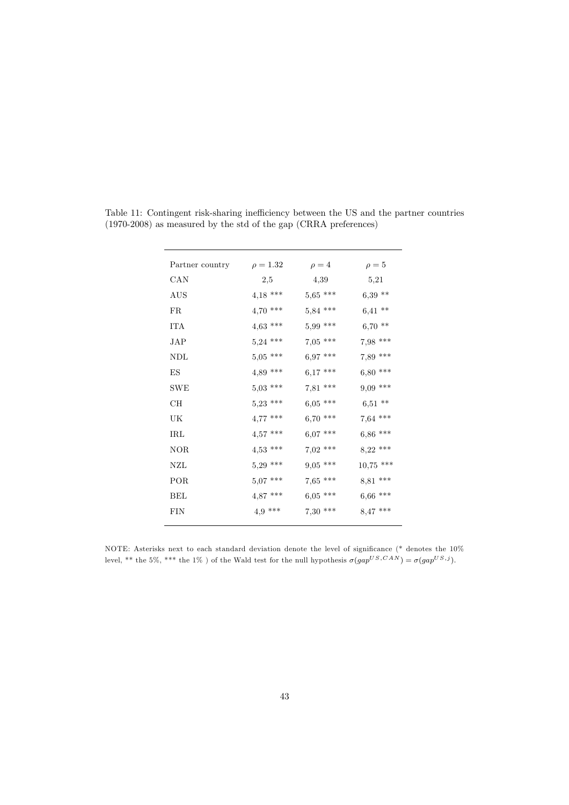| Partner country | $\rho = 1.32$ | $\rho = 4$ | $\rho = 5$  |
|-----------------|---------------|------------|-------------|
| CAN             | 2,5           | 4,39       | 5,21        |
| AUS             | $4,18$ ***    | $5,65$ *** | $6,39**$    |
| FR              | $4,70$ ***    | $5,84$ *** | $6,41**$    |
| <b>TTA</b>      | $4,63$ ***    | $5,99$ *** | $6,70**$    |
| JAP.            | $5,24$ ***    | $7,05$ *** | $7,98$ ***  |
| NDL             | $5,05$ ***    | $6,97$ *** | 7,89 ***    |
| ES.             | $4,89$ ***    | $6,17$ *** | $6,80***$   |
| <b>SWE</b>      | $5,03$ ***    | 7,81 ***   | $9,09$ ***  |
| CН              | $5,23$ ***    | $6,05$ *** | $6,51**$    |
| UK              | $4,77$ ***    | $6,70$ *** | $7,64$ ***  |
| IRL             | $4,57$ ***    | $6.07***$  | $6,86$ ***  |
| <b>NOR</b>      | $4,53$ ***    | $7,02$ *** | $8,22$ ***  |
| NZL             | $5,29$ ***    | $9,05$ *** | $10,75$ *** |
| POR             | $5,07$ ***    | $7,65$ *** | 8,81 ***    |
| BEL             | $4,87$ ***    | $6,05$ *** | $6,66$ ***  |
| <b>FIN</b>      | $4,9$ ***     | $7,30$ *** | $8,47$ ***  |
|                 |               |            |             |

Table 11: Contingent risk-sharing inefficiency between the US and the partner countries (1970-2008) as measured by the std of the gap (CRRA preferences)

NOTE: Asterisks next to each standard deviation denote the level of significance (\* denotes the 10% level, \*\* the 5%, \*\*\* the 1% ) of the Wald test for the null hypothesis  $\sigma(gap^{US, CAN}) = \sigma(gap^{US,j})$ .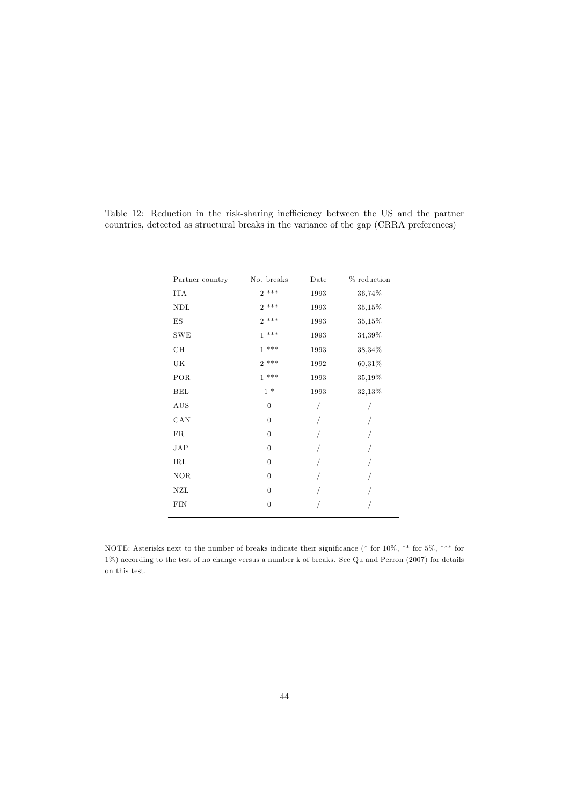| Partner country | No. breaks     | Date | % reduction |
|-----------------|----------------|------|-------------|
| <b>ITA</b>      | $2***$         | 1993 | 36,74%      |
| NDL             | $2***$         | 1993 | 35,15%      |
| ES              | $2***$         | 1993 | 35,15%      |
| SWE             | $1***$         | 1993 | 34,39%      |
| CH              | $1***$         | 1993 | 38,34%      |
| UK              | $2***$         | 1992 | 60,31%      |
| POR             | $1***$         | 1993 | 35,19%      |
| <b>BEL</b>      | $1 *$          | 1993 | 32,13%      |
| $\rm{AUS}$      | $\overline{0}$ | /    |             |
| CAN             | $\overline{0}$ | /    |             |
| FR              | $\overline{0}$ |      |             |
| JAP             | $\overline{0}$ |      |             |
| IRL             | $\overline{0}$ |      |             |
| <b>NOR</b>      | $\mathbf{0}$   |      |             |
| NZL             | $\overline{0}$ |      |             |
| FIN             | $\mathbf{0}$   |      |             |
|                 |                |      |             |

Table 12: Reduction in the risk-sharing inefficiency between the US and the partner countries, detected as structural breaks in the variance of the gap (CRRA preferences)

NOTE: Asterisks next to the number of breaks indicate their significance (\* for 10%, \*\* for 5%, \*\*\* for 1%) according to the test of no change versus a number k of breaks. See Qu and Perron (2007) for details on this test.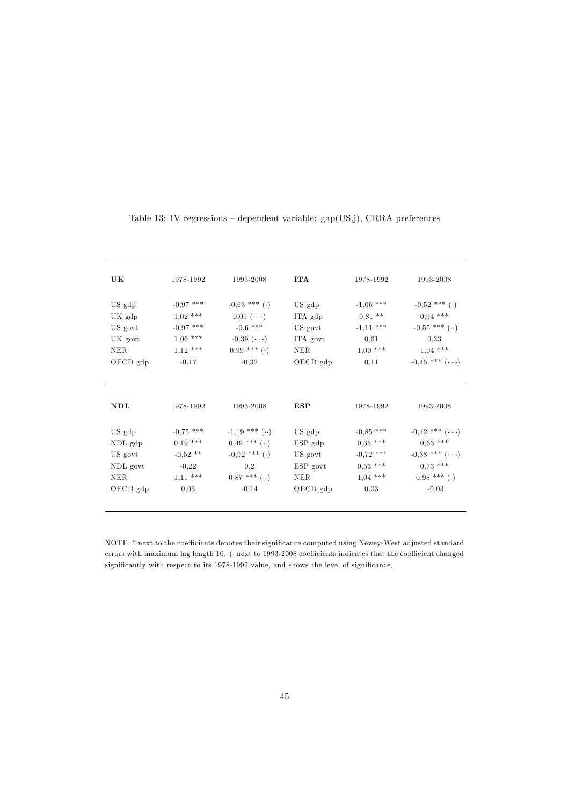| UK         | 1978-1992   | 1993-2008          | <b>ITA</b> | 1978-1992   | 1993-2008                         |
|------------|-------------|--------------------|------------|-------------|-----------------------------------|
| US gdp     | $-0.97$ *** | $-0.63$ *** (.)    | US gdp     | $-1,06$ *** | $-0.52$ *** (.)                   |
| UK gdp     | $1,02$ ***  | $0.05$ $(\cdots)$  | ITA gdp    | $0,81$ **   | $0.94$ ***                        |
| US govt    | $-0.97$ *** | $-0.6$ ***         | US govt    | $-1,11$ *** | $-0.55$ *** ()                    |
| UK govt    | $1,06$ ***  | $-0.39$ $(\cdots)$ | ITA govt   | 0.61        | 0,33                              |
| NER.       | $1,12$ ***  | $0.99$ *** (.)     | NER.       | $1,00$ ***  | $1,04$ ***                        |
| OECD gdp   | $-0,17$     | $-0,32$            | OECD gdp   | 0,11        | $-0.45$ *** $(\cdots)$            |
|            |             |                    |            |             |                                   |
| NDL        | 1978-1992   | 1993-2008          | <b>ESP</b> | 1978-1992   | 1993-2008                         |
| US gdp     | $-0.75$ *** | $-1,19$ *** ()     | US gdp     | $-0,85$ *** | $-0.42$ *** $(\cdots)$            |
| NDL gdp    | $0,19$ ***  | $0.49$ *** $( )$   | $ESP$ gdp  | $0,36$ ***  | $0.63$ ***                        |
| US govt    | $-0,52$ **  | $-0.92$ *** (.)    | US govt    | $-0.72$ *** | $-0.38$ *** $(\cdot \cdot \cdot)$ |
| NDL govt   | $-0,22$     | 0,2                | ESP govt   | $0,53$ ***  | $0.73$ ***                        |
| <b>NER</b> | $1,11***$   | $0.87***$ $( )$    | NER.       | $1,04$ ***  | $0.98$ *** (.)                    |
| OECD gdp   | 0,03        | $-0,14$            | OECD gdp   | 0,03        | $-0,03$                           |
|            |             |                    |            |             |                                   |

## Table 13: IV regressions — dependent variable: gap(US,j), CRRA preferences

NOTE: \* next to the coefficients denotes their significance computed using Newey-West adjusted standard errors with maximum lag length 10. (· next to 1993-2008 coefficients indicates that the coefficient changed significantly with respect to its 1978-1992 value, and shows the level of significance.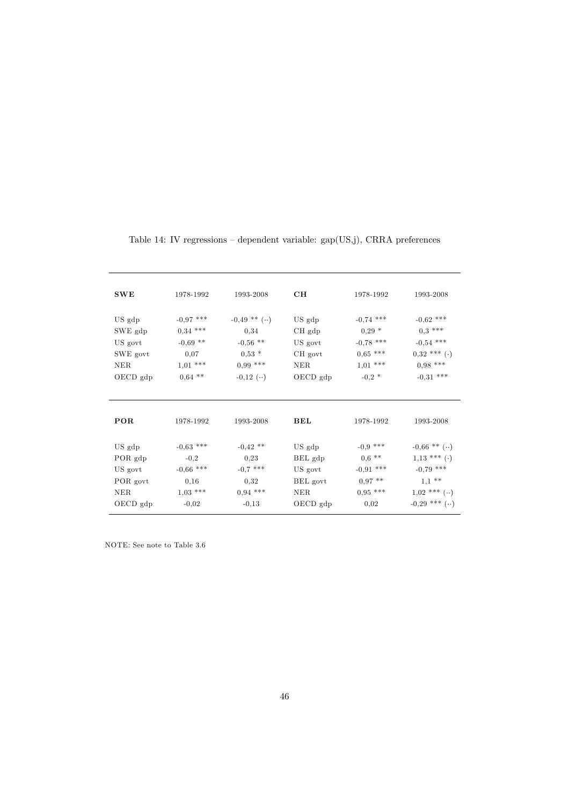| SWE      | 1978-1992   | 1993-2008     | CH                | 1978-1992   | 1993-2008        |
|----------|-------------|---------------|-------------------|-------------|------------------|
| US gdp   | $-0.97$ *** | $-0.49$ ** () | US gdp            | $-0.74$ *** | $-0.62$ ***      |
| SWE gdp  | $0,34$ ***  | 0,34          | CH <sub>gdp</sub> | $0.29*$     | $0.3***$         |
| US govt  | $-0.69$ **  | $-0.56$ **    | US govt           | $-0.78$ *** | $-0.54$ ***      |
| SWE govt | 0,07        | $0.53*$       | CH govt           | $0,65$ ***  | $0.32$ *** (.)   |
| NER.     | $1,01$ ***  | $0.99***$     | NER.              | $1,01$ ***  | $0.98$ ***       |
| OECD gdp | $0,64$ **   | $-0.12$ $($ ) | $OECD$ gdp        | $-0.2$ *    | $-0.31$ ***      |
| POR      | 1978-1992   | 1993-2008     | BEL               | 1978-1992   | 1993-2008        |
| US gdp   | $-0.63$ *** | $-0.42$ **    | US gdp            | $-0.9$ ***  | $-0.66$ ** ()    |
| POR gdp  | $-0,2$      | 0,23          | BEL gdp           | $0,6$ **    | $1,13$ *** (.)   |
| US govt  | $-0,66$ *** | $-0.7$ ***    | US govt           | $-0.91$ *** | $-0.79$ ***      |
| POR govt | 0,16        | 0,32          | BEL govt          | $0.97$ **   | $1,1$ **         |
| NER.     | $1,03$ ***  | $0.94$ ***    | NER               | $0.95$ ***  | $1,02$ *** $($ ) |
| OECD gdp | $-0.02$     | $-0,13$       | $OECD$ gdp        | 0,02        | $-0.29$ *** ()   |

Table 14: IV regressions — dependent variable: gap(US,j), CRRA preferences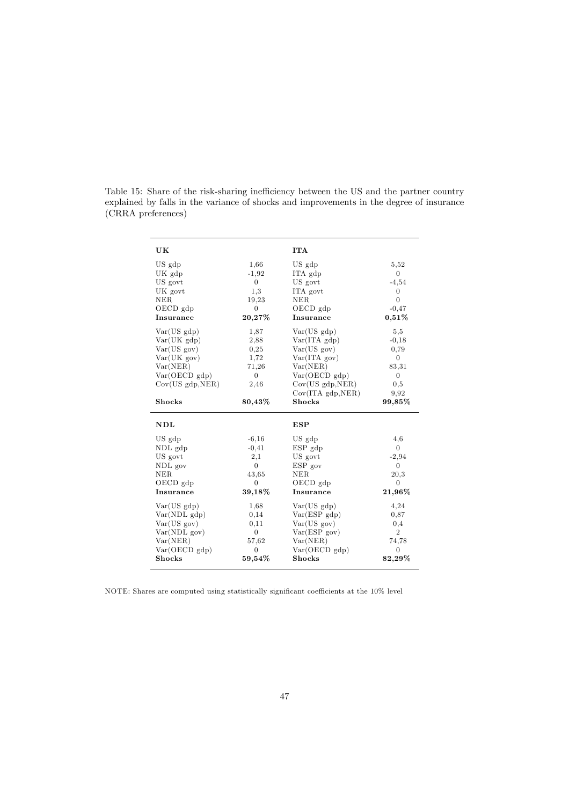Table 15: Share of the risk-sharing inefficiency between the US and the partner country explained by falls in the variance of shocks and improvements in the degree of insurance (CRRA preferences)

| UK               |                | <b>ITA</b>             |                    |
|------------------|----------------|------------------------|--------------------|
| US gdp           | 1,66           | US gdp                 | 5.52               |
| UK gdp           | $-1.92$        | ITA gdp                | $\overline{0}$     |
| US govt          | $\overline{0}$ | US govt                | $-4,54$            |
| UK govt          | 1,3            | ITA govt               | $\boldsymbol{0}$   |
| <b>NER</b>       | 19,23          | NER.                   | $\overline{0}$     |
| OECD gdp         | 0              | OECD gdp               | $-0.47$            |
| Insurance        | 20,27%         | Insurance              | $0,51\%$           |
| Var(US gdp)      | 1,87           | Var(US gdp)            | 5.5                |
| Var(UK gdp)      | 2,88           | $Var(ITA \text{ gdp})$ | $-0,18$            |
| Var(US gov)      | 0,25           | Var(US gov)            | 0,79               |
| Var(UK gov)      | 1,72           | Var(ITA gov)           | $\overline{0}$     |
| Var(NER)         | 71,26          | Var(NER)               | 83,31              |
| Var(OECD gdp)    | $\overline{0}$ | Var(OECD gdp)          | $\overline{0}$     |
| Cov(US gdp, NER) | 2,46           | Cov(US gdp, NER)       | 0,5                |
|                  |                | Cov(ITA, gdp, NER)     | 9.92               |
| <b>Shocks</b>    | 80,43%         | <b>Shocks</b>          | 99,85%             |
| NDL              |                | <b>ESP</b>             |                    |
| US gdp           | $-6,16$        | US gdp                 | 4,6                |
| NDL gdp          | $-0,41$        | $ESP$ gdp              | $\overline{0}$     |
| US govt          | 2,1            | US govt                | $-2,94$            |
| NDL gov          | $\Omega$       | ESP gov                | $\left( 0 \right)$ |
| <b>NER</b>       | 43.65          | <b>NER</b>             | 20,3               |
| OECD gdp         | $\theta$       | $OECD$ gdp             | $\theta$           |
| Insurance        | 39,18%         | Insurance              | $21{,}96\%$        |
| Var(US gdp)      | 1,68           | Var(US gdp)            | 4,24               |
| Var(NDL gdp)     | 0,14           | Var(ESP gdp)           | 0.87               |
| Var(US gov)      | 0,11           | Var(US gov)            | 0,4                |
| Var(NDL gov)     | $\overline{0}$ | Var(ESP gov)           | $\overline{2}$     |
| Var(NER)         | 57,62          | Var(NER)               | 74,78              |
| Var(OECD gdp)    | $\overline{0}$ | Var(OECD gdp)          | $\overline{0}$     |
| <b>Shocks</b>    | $59,54\%$      | <b>Shocks</b>          | $82,29\%$          |

NOTE: Shares are computed using statistically significant coefficients at the 10% level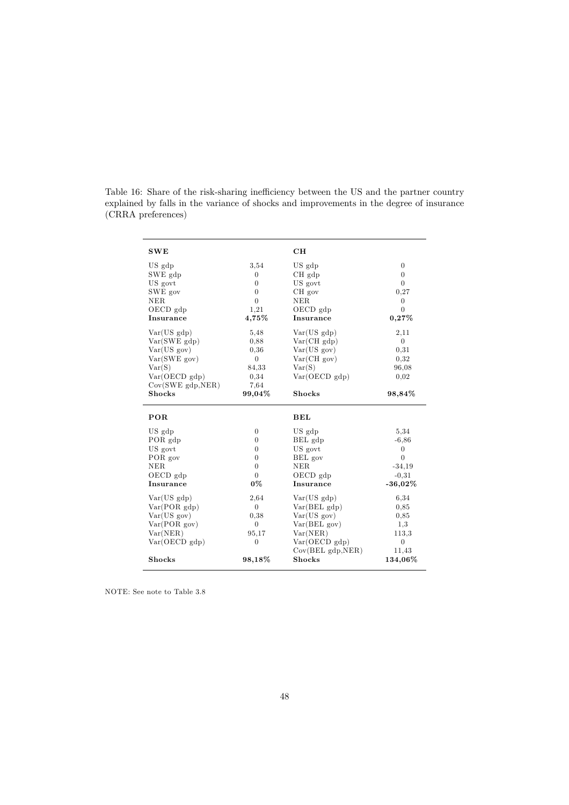Table 16: Share of the risk-sharing inefficiency between the US and the partner country explained by falls in the variance of shocks and improvements in the degree of insurance (CRRA preferences)

| SWE                         |                  | CH                     |                  |
|-----------------------------|------------------|------------------------|------------------|
| US gdp                      | 3,54             | US gdp                 | $\boldsymbol{0}$ |
| SWE gdp                     | $\overline{0}$   | $CH$ $gdp$             | $\overline{0}$   |
| US govt                     | $\overline{0}$   | US govt                | $\overline{0}$   |
| SWE gov                     | $\boldsymbol{0}$ | CH gov                 | 0,27             |
| NER.                        | $\overline{0}$   | NER.                   | $\overline{0}$   |
| OECD gdp                    | 1,21             | $OECD$ gdp             | $\overline{0}$   |
| Insurance                   | $4,75\%$         | Insurance              | 0,27%            |
| Var(US gdp)                 | 5,48             | Var(US gdp)            | 2,11             |
| $Var(SWE \text{ gdp})$      | 0,88             | Var(CHgdp)             | $\overline{0}$   |
| Var(US gov)                 | 0.36             | Var(US gov)            | 0.31             |
| Var(SWE.gov)                | $\overline{0}$   | Var(CHgov)             | 0,32             |
| Var(S)                      | 84.33            | Var(S)                 | 96,08            |
| Var(OECD gdp)               | 0,34             | Var(OECD gdp)          | 0,02             |
| $Cov(SWE \text{ gdp}, NER)$ | 7.64             |                        |                  |
| <b>Shocks</b>               | 99,04%           | <b>Shocks</b>          | 98,84%           |
|                             |                  |                        |                  |
| POR                         |                  | BEL                    |                  |
| US gdp                      | $\overline{0}$   | US gdp                 | 5,34             |
| POR gdp                     | $\overline{0}$   | BEL gdp                | $-6,86$          |
| US govt                     | $\overline{0}$   | US govt                | $\overline{0}$   |
| POR gov                     | $\overline{0}$   | BEL gov                | $\overline{0}$   |
| <b>NER</b>                  | $\overline{0}$   | <b>NER</b>             | $-34,19$         |
| $OECD$ gdp                  | $\Omega$         | $OECD$ gdp             | $-0.31$          |
| Insurance                   | 0%               | Insurance              | $-36,02\%$       |
| Var(US gdp)                 | 2,64             | Var(US gdp)            | 6,34             |
| Var(POR gdp)                | $\Omega$         | $Var(BEL \text{ gdp})$ | 0,85             |
| Var(US gov)                 | 0.38             | Var(US gov)            | 0,85             |
| Var(POR gov)                | $\overline{0}$   | Var(BEL gov)           | 1,3              |
| Var(NER)                    | 95,17            | Var(NER)               | 113.3            |
| Var(OECD gdp)               | $\overline{0}$   | Var(OECD gdp)          | $\overline{0}$   |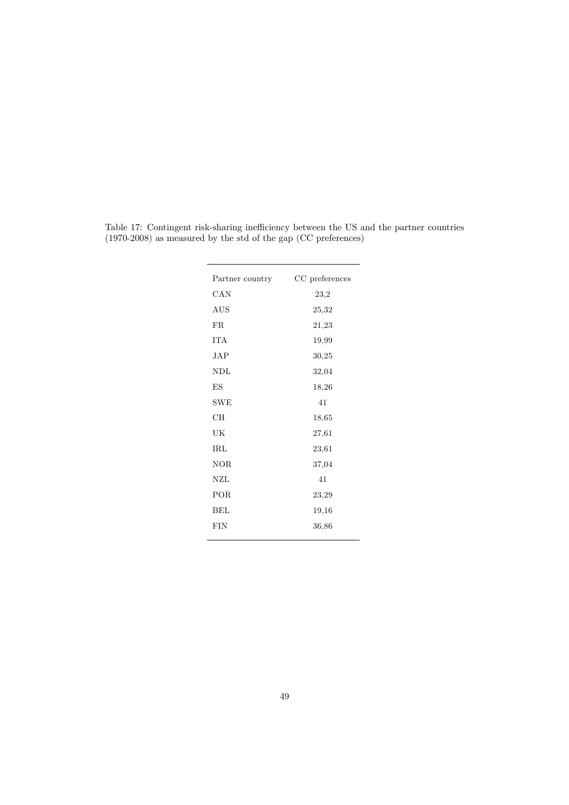| Partner country | CC preferences |
|-----------------|----------------|
| CAN             | 23,2           |
| AUS             | 25,32          |
| FR              | 21,23          |
| ITA             | 19,99          |
| JAP             | 30,25          |
| NDL             | 32,04          |
| ES              | 18,26          |
| <b>SWE</b>      | 41             |
| CН              | 18,65          |
| UK              | 27,61          |
| $_{\rm IRL}$    | 23,61          |
| <b>NOR</b>      | 37,04          |
| NZL             | 41             |
| POR             | 23,29          |
| BEL             | 19,16          |
| FIN             | 36,86          |
|                 |                |

Table 17: Contingent risk-sharing inefficiency between the US and the partner countries (1970-2008) as measured by the std of the gap (CC preferences)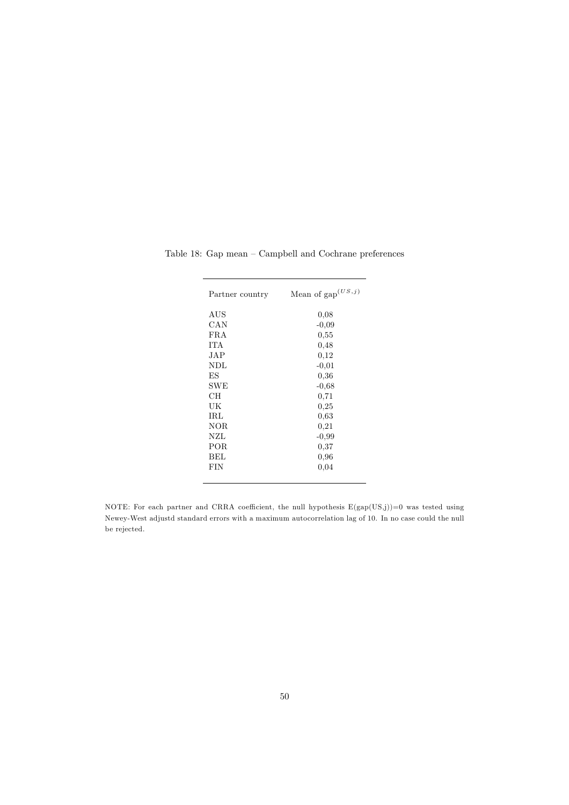| Partner country | Mean of $\text{gap}^{(US,j)}$ |
|-----------------|-------------------------------|
| AUS             | 0,08                          |
| CAN             | $-0,09$                       |
| FRA             | 0,55                          |
| <b>TTA</b>      | 0,48                          |
| JAP             | 0,12                          |
| NDL             | $-0.01$                       |
| ΕS              | 0,36                          |
| SWE             | $-0,68$                       |
| CН              | 0,71                          |
| UK              | 0,25                          |
| IRL             | 0,63                          |
| NOR             | 0,21                          |
| NZL             | $-0,99$                       |
| POR             | 0,37                          |
| BEL             | 0,96                          |
| FIN             | 0,04                          |
|                 |                               |

Table 18: Gap mean — Campbell and Cochrane preferences

NOTE: For each partner and CRRA coefficient, the null hypothesis  $E(gap(US,j))=0$  was tested using Newey-West adjustd standard errors with a maximum autocorrelation lag of 10. In no case could the null be rejected.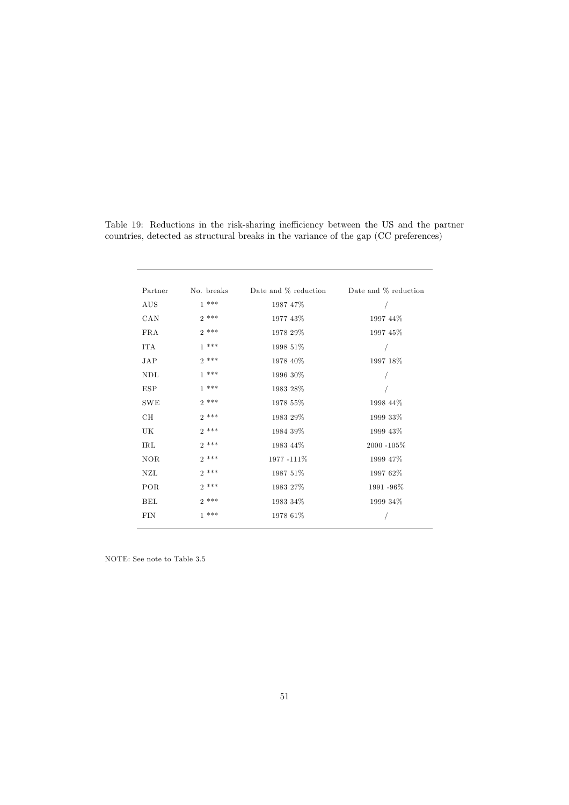| Partner    | No. breaks | Date and % reduction | Date and % reduction |
|------------|------------|----------------------|----------------------|
| AUS        | $1***$     | 1987 47%             |                      |
| CAN        | $2***$     | 1977 43%             | 1997 44%             |
| <b>FRA</b> | $2***$     | 1978 29%             | 1997 45%             |
| <b>ITA</b> | $1***$     | 1998 51%             |                      |
| <b>JAP</b> | $2***$     | 1978 40%             | 1997 18%             |
| NDL        | $1***$     | 1996 30%             |                      |
| <b>ESP</b> | $1***$     | 1983 28%             |                      |
| <b>SWE</b> | $2***$     | 1978 55%             | 1998 44%             |
| CН         | $2***$     | 1983 29%             | 1999 33%             |
| UK         | $2***$     | 1984 39%             | 1999 43%             |
| IRL        | $2***$     | 1983 44%             | 2000 -105%           |
| <b>NOR</b> | $2***$     | 1977-111%            | 1999 47%             |
| <b>NZL</b> | $2***$     | 1987 51%             | 1997 62%             |
| POR        | $2***$     | 1983 27%             | 1991 - 96%           |
| BEL        | $2***$     | 1983 34%             | 1999 34%             |
| <b>FIN</b> | $1***$     | 1978 61%             |                      |
|            |            |                      |                      |

Table 19: Reductions in the risk-sharing inefficiency between the US and the partner countries, detected as structural breaks in the variance of the gap (CC preferences)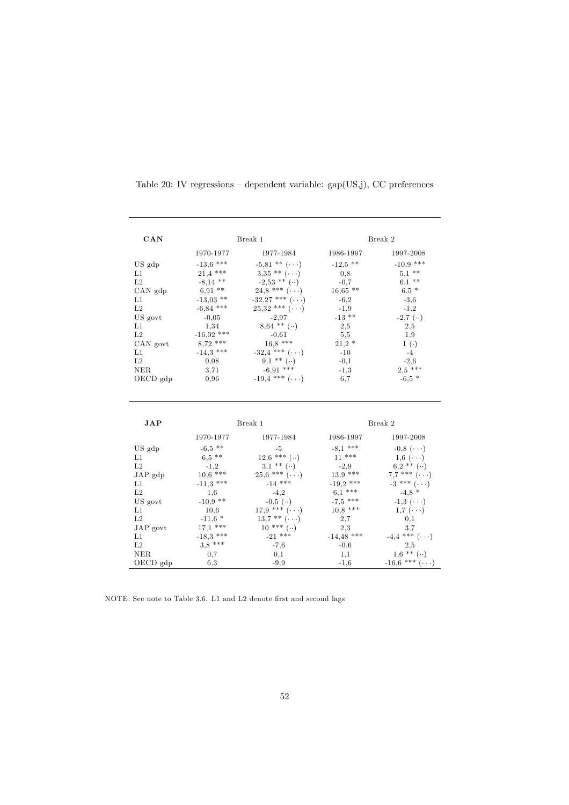| CAN                 |              | Break 1                          |              | Break 2                          |
|---------------------|--------------|----------------------------------|--------------|----------------------------------|
|                     | 1970-1977    | 1977-1984                        | 1986-1997    | 1997-2008                        |
| US gdp              | $-13.6$ ***  | $-5.81$ ** $(\cdots)$            | $-12.5$ **   | $-10,9$ ***                      |
| L1                  | $21.4$ ***   | $3.35$ ** $(\cdots)$             | 0.8          | $5,1$ **                         |
| L <sub>2</sub>      | $-8,14$ **   | $-2,53$ ** ()                    | $-0,7$       | $6,1$ **                         |
| $CAN$ $gdp$         | $6,91$ **    | $24,8$ *** $(\cdot \cdot \cdot)$ | $16,65$ **   | $6.5*$                           |
| L1                  | $-13,03$ **  | $-32,27$ *** $(\cdots)$          | $-6,2$       | $-3,6$                           |
| L2                  | $-6,84$ ***  | $25,32$ *** $(\cdots)$           | $-1.9$       | $-1,2$                           |
| US govt             | $-0,05$      | $-2.97$                          | $-13$ **     | $-2,7$ $($ )                     |
| L1                  | 1,34         | $8,64$ ** $($ )                  | 2,5          | 2,5                              |
| L <sub>2</sub>      | $-16,02$ *** | $-0,61$                          | 5,5          | 1,9                              |
| CAN govt            | $8,72$ ***   | $16,8$ ***                       | $21,2*$      | $1(\cdot)$                       |
| L1                  | $-14.3$ ***  | $-32.4$ *** $(\cdots)$           | $-10$        | $-4$                             |
| L2                  | 0,08         | $9,1$ ** $($ )                   | $-0,1$       | $-2.6$                           |
| <b>NER</b>          | 3.71         | $-6,91$ ***                      | $-1.3$       | $2.5***$                         |
| $OECD$ gdp          | 0,96         | $-19.4$ *** $(\cdots)$           | 6,7          | $-6,5*$                          |
| <b>JAP</b>          |              | Break 1                          |              | Break 2                          |
|                     | 1970-1977    | 1977-1984                        | 1986-1997    | 1997-2008                        |
| US gdp              | $-6,5$ **    | $-5$                             | $-8.1$ ***   | $-0.8$ $(\cdots)$                |
| L1                  | $6.5***$     | $12.6$ *** ()                    | $11***$      | $1,6 \cdot \cdot \cdot$          |
| L2                  | $-1,2$       | $3,1$ ** $( \cdot \cdot )$       | $-2.9$       | $6.2$ ** $(\cdot)$               |
| $JAP$ gdp           | $10,6$ ***   | $25,6$ *** $(\cdot \cdot \cdot)$ | $13.9***$    | $7,7$ *** $(\cdot \cdot \cdot)$  |
| L1                  | $-11.3$ ***  | $-14$ ***                        | $-19,2$ ***  | $-3$ *** $(\cdots)$              |
| L2                  | 1,6          | $-4,2$                           | $6.1***$     | $-4.8*$                          |
| US govt             | $-10.9$ **   | $-0,5$ $($ )                     | $-7.5$ ***   | $-1,3$ $(\cdots)$                |
| L1                  | 10,6         | $17,9$ *** $(\cdot \cdot \cdot)$ | $10,8$ ***   | $1,7$ $(\cdots)$                 |
| L2                  | $-11,6*$     | $13.7$ ** $(\cdots)$             | 2,7          | 0,1                              |
| JAP govt            | $17,1$ ***   | $10*** (-)$                      | 2,3          | 3.7                              |
| L1                  | $-18.3$ ***  | $-21$ ***                        | $-14,48$ *** | $-4.4$ *** $(\cdot \cdot \cdot)$ |
| $\operatorname{L2}$ | $3.8***$     | $-7,6$                           | $-0,6$       | 2,5                              |
| <b>NER</b>          | 0,7          | 0,1                              | 1,1          | $1,6$ ** $($ )                   |
| OECD gdp            | 6,3          | $-9.9$                           | $-1,6$       | $-16.6$ *** $(\cdots)$           |

Table 20: IV regressions — dependent variable: gap(US,j), CC preferences

NOTE: See note to Table 3.6. L1 and L2 denote first and second lags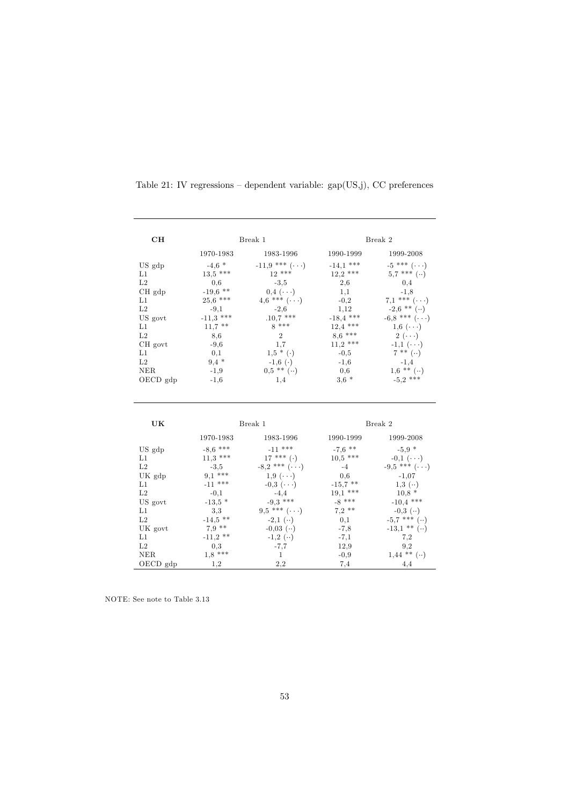| CH              |                  | Break 1                         |               | Break 2                          |
|-----------------|------------------|---------------------------------|---------------|----------------------------------|
|                 | 1970-1983        | 1983-1996                       | 1990-1999     | 1999-2008                        |
| US gdp          | $-4,6$ *         | $-11,9$ *** $(\cdots)$          | $-14,1$ ***   | $-5$ *** $(\cdots)$              |
| L1              | $13.5$ ***       | $12***$                         | $12.2$ ***    | $5.7***$ $( )$                   |
| L2              | 0.6              | $-3.5$                          | 2,6           | 0,4                              |
| CH gdp          | $-19,6$ **       | $0.4 \cdot \cdot \cdot$         | 1,1           | $-1.8$                           |
| L1              | $25,6$ ***       | $4,6$ *** $(\cdot \cdot \cdot)$ | $-0,2$        | $7,1$ *** $(\cdot \cdot \cdot)$  |
| L2              | $-9,1$           | $-2,6$                          | 1,12          | $-2.6$ ** ()                     |
| US govt         | $-11.3$ ***      | $.10.7$ ***                     | $-18,4$ ***   | $-6,8$ *** $(\cdot \cdot)$       |
| L1              | $11,7$ **        | $8***$                          | $12,4$ ***    | $1,6 \; (\cdots)$                |
| L2              | 8,6              | $\,2$                           | $8,6$ ***     | $2(\cdots)$                      |
| CH govt         | $-9,6$           | 1.7                             | $11,2$ ***    | $-1,1$ $(\cdots)$                |
| L1              | 0,1              | $1,5 * (.)$                     | $-0,5$        | $7^{**}$ ()                      |
| $\rm L2$        | $9,4*$           | $-1,6$ ( $\cdot$ )              | $-1,6$        | $-1,4$                           |
| <b>NER</b>      | $-1,9$           | $0.5$ ** $(\cdot \cdot)$        | 0,6           | $1,6$ ** $($ )                   |
| OECD gdp        | $-1,6$           | 1,4                             | $3.6*$        | $-5.2$ ***                       |
| UK              |                  | Break 1                         |               | Break 2                          |
|                 | 1970-1983        | 1983-1996                       | 1990-1999     | 1999-2008                        |
| US gdp          | $-8,6$ ***       | $-11$ ***                       | $-7.6$ **     | $-5.9*$                          |
| L1              | $11,3$ ***       | $17***$ (.)                     | $10,5$ ***    | $-0,1$ $(\cdot \cdot \cdot)$     |
| L2              | $-3.5$           | $-8,2$ *** $(\cdots)$           | $-4$          | $-9,5$ *** $(\cdot \cdot \cdot)$ |
| UK gdp          | $9,1$ ***        | $1,9 \; (\cdots)$               | 0,6           | $-1,07$                          |
| L1              | $-11$ ***        | $-0.3$ ( $\cdots$ )             | $-15.7$ **    | $1,3 \; (\cdot \cdot)$           |
| L2              | $-0,1$           | $-4,4$                          | $19,1$ ***    | $10,8*$                          |
| US govt         | $-13.5$ *        | $-9,3$ ***                      | $-8$ ***      | $-10,4$ ***                      |
| L1              |                  |                                 | $7,2$ **      |                                  |
|                 | 3,3              | $9,5$ *** $(\cdots)$            |               | $-0.3$ ( $\cdot \cdot$ )         |
| L2              | $-14,5$ **       | $-2,1$ $($ )                    | 0,1           | $-5,7$ *** $($ )                 |
| UK govt         | $7,9$ **         | $-0.03$ $($ )                   | $-7,8$        | $-13,1$ ** ()                    |
| L1              | $-11,2$ **       | $-1,2$ $($ )                    | $-7,1$        | 7,2                              |
| L2              | 0.3              | $-7,7$                          | 12,9          | 9,2                              |
| NER<br>OECD gdp | $1,8$ ***<br>1,2 | $\mathbf{1}$<br>2,2             | $-0,9$<br>7,4 | $1,44$ ** $($ )<br>4,4           |

Table 21: IV regressions — dependent variable: gap(US,j), CC preferences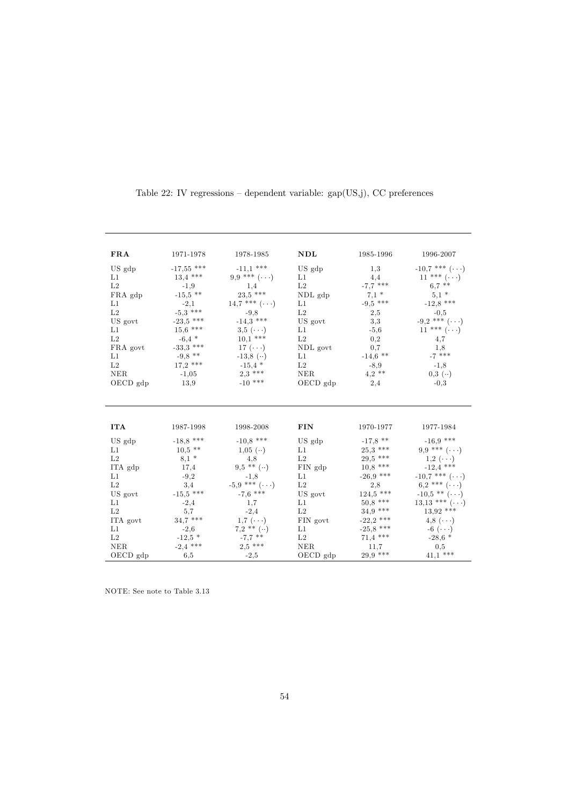| <b>FRA</b>          | 1971-1978    | 1978-1985                       | NDL                 | 1985-1996   | 1996-2007                         |
|---------------------|--------------|---------------------------------|---------------------|-------------|-----------------------------------|
| US gdp              | $-17,55$ *** | $-11.1$ ***                     | US gdp              | 1,3         | $-10.7$ *** $(\cdot \cdot \cdot)$ |
| L1                  | $13,4$ ***   | $9,9$ *** $(\cdot \cdot \cdot)$ | L1                  | 4.4         | $11***$ $( \ldots )$              |
| L <sub>2</sub>      | $-1,9$       | 1,4                             | L2                  | $-7,7$ ***  | $6.7$ **                          |
| FRA gdp             | $-15,5$ **   | $23.5$ ***                      | NDL gdp             | $7,1*$      | $5,1*$                            |
| L1                  | $-2,1$       | 14,7 *** $(\cdot \cdot \cdot)$  | L1                  | $-9,5$ ***  | $-12,8$ ***                       |
| L2                  | $-5.3$ ***   | $-9.8$                          | L2                  | 2,5         | $-0.5$                            |
| US govt             | $-23.5$ ***  | $-14,3$ ***                     | US govt             | 3,3         | $-9,2$ *** $(\cdot \cdot \cdot)$  |
| L1                  | $15,6$ ***   | $3,5 \cdot \cdot \cdot$         | L1                  | $-5,6$      | $11*** (\cdot \cdot \cdot)$       |
| L2                  | $-6,4*$      | $10,1$ ***                      | L2                  | 0,2         | 4,7                               |
| FRA govt            | $-33,3$ ***  | 17 $(\cdots)$                   | NDL govt            | 0,7         | 1,8                               |
| L1                  | $-9,8$ **    | $-13,8$ ( $\cdot\cdot$ )        | L1                  | $-14,6$ **  | $-7$ ***                          |
| L2                  | $17,2$ ***   | $-15.4$ *                       | L <sub>2</sub>      | $-8,9$      | $-1,8$                            |
| NER                 | $-1,05$      | $2,3$ ***                       | NER                 | $4,2$ **    | $0,3$ $(\cdot \cdot)$             |
| OECD gdp            | 13,9         | $-10$ ***                       | $OECD$ gdp          | 2,4         | $-0,3$                            |
| <b>ITA</b>          | 1987-1998    | 1998-2008                       | <b>FIN</b>          | 1970-1977   | 1977-1984                         |
| US gdp              | $-18,8$ ***  | $-10,8$ ***                     | US gdp              | $-17.8$ **  | $-16,9$ ***                       |
| L1                  | $10.5$ **    | $1,05 \; (\cdot \cdot)$         | L1                  | $25.3***$   | $9.9***$ $(\ldots)$               |
| L2                  | $8,1*$       | 4,8                             | L2                  | $29.5$ ***  | $1,2 \cdot \cdot \cdot$           |
| ITA gdp             | 17,4         | $9.5$ ** $($ )                  | FIN gdp             | $10,8$ ***  | $-12.4$ ***                       |
| L1                  | $-9,2$       | $-1,8$                          | L1                  | $-26,9$ *** | $-10,7$ *** $(\cdot \cdot \cdot)$ |
| L2                  | 3,4          | $-5.9$ *** $(\cdots)$           | L2                  | 2,8         | $6.2$ *** $(\cdots)$              |
| US govt             | $-15,5$ ***  | $-7.6$ ***                      | US govt             | $124.5$ *** | $-10,5$ ** $(\cdot \cdot \cdot)$  |
| L1                  | $-2,4$       | 1,7                             | L1                  | $50.8$ ***  | $13,13$ *** $(\cdot \cdot \cdot)$ |
| $\operatorname{L2}$ | 5,7          | $-2,4$                          | $\operatorname{L2}$ | $34,9$ ***  | $13.92$ ***                       |
| ITA govt            | $34.7$ ***   | $1,7$ $(\cdots)$                | ${\rm FIN}$ govt    | $-22,2$ *** | 4,8 $(\cdot \cdot \cdot)$         |
| L1                  | $-2,6$       | $7.2$ ** $($ )                  | L1                  | $-25,8$ *** | $-6$ $(\cdot \cdot \cdot)$        |
| L <sub>2</sub>      | $-12.5$ *    | $-7.7$ **                       | L <sub>2</sub>      | $71,4$ ***  | $-28.6*$                          |
| NER                 | $-2,4$ ***   | $2.5***$                        | NER                 | 11,7        | 0,5                               |
| OECD gdp            | 6,5          | $-2,5$                          | OECD gdp            | $29.9***$   | $41.1$ ***                        |

Table 22: IV regressions — dependent variable: gap(US,j), CC preferences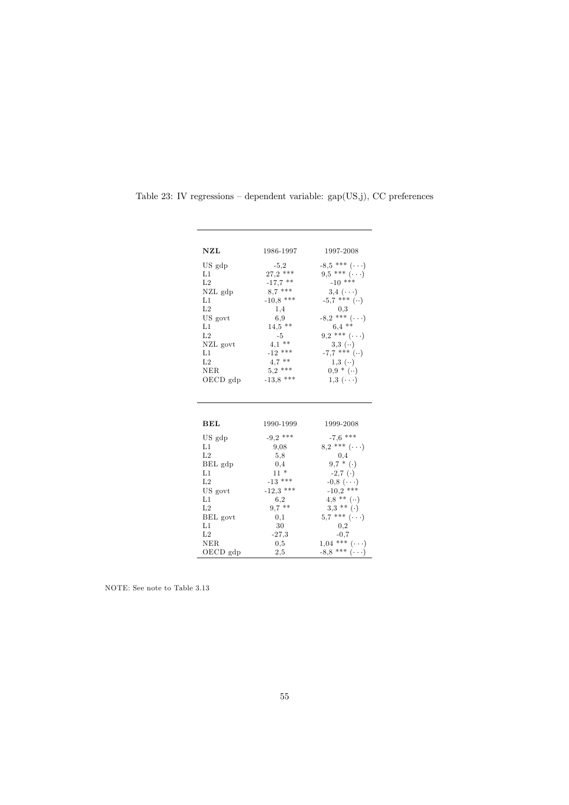| NZL              | 1986-1997   | 1997-2008                                                                  |
|------------------|-------------|----------------------------------------------------------------------------|
| US gdp           | $-5.2$      | $-8.5$ *** $(\cdot \cdot \cdot)$                                           |
| L1               | $27,2$ ***  | $9,5$ *** $(\cdot \cdot \cdot)$                                            |
| L <sub>2</sub>   | $-17,7$ **  | $-10$ ***                                                                  |
| NZL gdp          | $8.7***$    | $3,4 \cdot \cdot \cdot$                                                    |
| L1               | $-10,8$ *** | $-5.7$ *** $($ )                                                           |
| L <sub>2</sub>   | 1,4         |                                                                            |
| US govt          | 6,9         | $\begin{smallmatrix}&&0,3\\-8,2&\end{smallmatrix}$ *** $(\cdot\cdot\cdot)$ |
| L1               | $14.5$ **   | $6,4$ **                                                                   |
| L <sub>2</sub>   | $-5$        | $9,2$ *** $(\cdot \cdot \cdot)$                                            |
| NZL govt         | $4,1$ **    | $3,3$ $(\cdot \cdot)$                                                      |
| L1               | $-12$ ***   | $-7,7$ *** $($ )                                                           |
| L <sub>2</sub>   | $4,7$ **    | $1,3$ $(\cdot)$                                                            |
| NER.             | $5.2***$    | $0,9*(\cdot)$                                                              |
| OECD gdp         | $-13,8$ *** | $1,3 \ (\cdots)$                                                           |
|                  |             |                                                                            |
|                  |             |                                                                            |
|                  |             |                                                                            |
| BEL              | 1990-1999   | 1999-2008                                                                  |
| US gdp           | $-9,2$ ***  | $-7.6$ ***                                                                 |
| L1               | 9,08        | $8.2$ *** $(\cdots)$                                                       |
| L2               | 5,8         | 0,4                                                                        |
| BEL gdp          | 0,4         | $9,7$ * $(\cdot)$                                                          |
| L1               | $11*$       | $-2,7$ ( $\cdot$ )                                                         |
| L <sub>2</sub>   | $-13$ ***   | $-0,8$ $(\cdot \cdot \cdot)$                                               |
| US govt          | $-12,3$ *** | $-10,2$ ***                                                                |
| L1               | 6,2         | $4,8$ ** $(\cdot)$                                                         |
| L <sub>2</sub>   | $9,7$ **    | $3,3$ ** (.)                                                               |
| BEL govt         | 0,1         | $5,7$ *** $(\cdots)$                                                       |
| L1               | 30          | 0,2                                                                        |
| L <sub>2</sub>   | $-27,3$     | $-0,7$                                                                     |
| NER.<br>OECD gdp | 0,5<br>2,5  | $1,04$ *** $(\cdot \cdot \cdot)$<br>$-8,8$ *** $(\cdot \cdot \cdot)$       |

Table 23: IV regressions — dependent variable: gap(US,j), CC preferences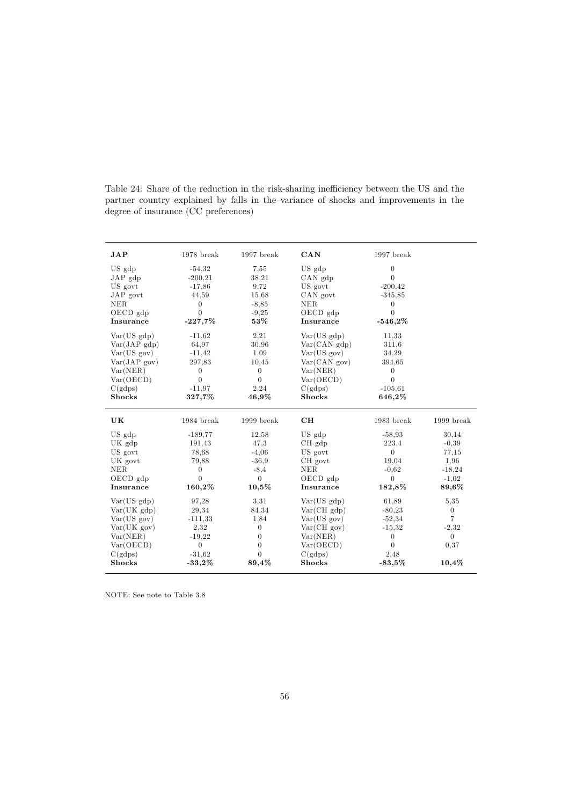| <b>JAP</b>               | $1978$ break         | 1997 break     | CAN                      | 1997 break        |                  |
|--------------------------|----------------------|----------------|--------------------------|-------------------|------------------|
| US gdp                   | $-54.32$             | 7,55           | US gdp                   | $\overline{0}$    |                  |
| $JAP$ gdp                | $-200,21$            | 38,21          | $CAN$ $gdp$              | $\theta$          |                  |
| US govt                  | $-17,86$             | 9.72           | US govt                  | $-200, 42$        |                  |
| JAP govt                 | 44,59                | 15,68          | CAN govt                 | $-345.85$         |                  |
| NER                      | $\theta$             | $-8,85$        | NER                      | $\mathbf{0}$      |                  |
| OECD gdp                 | $\Omega$             | $-9,25$        | OECD gdp                 | $\Omega$          |                  |
| Insurance                | $-227,7%$            | 53%            | Insurance                | $-546,2%$         |                  |
| Var(US gdp)              | $-11,62$             | 2.21           | Var(US gdp)              | 11.33             |                  |
| $Var(JAP \text{ gdp})$   | 64,97                | 30,96          | Var(CAN gdp)             | 311,6             |                  |
| Var(US gov)              | $-11,42$             | 1,09           | Var(US gov)              | 34,29             |                  |
| Var(JAPgov)              | 297,83               | 10.45          | Var(CAN.gov)             | 394,65            |                  |
| Var(NER)                 | $\theta$             | $\overline{0}$ | Var(NER)                 | $\mathbf{0}$      |                  |
| Var(OECD)                | $\Omega$             | $\overline{0}$ | Var(OECD)                | $\overline{0}$    |                  |
| C(gdps)                  | $-11.97$             | 2,24           | C(gdps)                  | $-105.61$         |                  |
| <b>Shocks</b>            | 327,7%               | 46,9%          | <b>Shocks</b>            | 646,2%            |                  |
|                          |                      |                |                          |                   |                  |
| UK                       | 1984 break           | 1999 break     | CH                       | 1983 break        | 1999 break       |
|                          | $-189.77$            | 12,58          |                          |                   |                  |
| US gdp                   |                      | 47.3           | US gdp                   | $-58,93$<br>223,4 | 30,14            |
| UK gdp<br>US govt        | 191,43<br>78.68      | $-4.06$        | $CH$ $gdp$<br>US govt    | $\theta$          | $-0,39$<br>77.15 |
| UK govt                  | 79,88                | $-36.9$        | CH govt                  | 19.04             | 1,96             |
| NER.                     | $\Omega$             | $-8,4$         | <b>NER</b>               | $-0.62$           | $-18,24$         |
| OECD gdp                 | $\Omega$             | $\Omega$       | OECD gdp                 | $\Omega$          | $-1.02$          |
| Insurance                | 160,2%               | $10,5\%$       | Insurance                | 182,8%            | 89,6%            |
| Var(US gdp)              | 97,28                | 3.31           | Var(US gdp)              | 61.89             | 5,35             |
| Var(UK gdp)              | 29,34                | 84,34          | Var(CHgdp)               | $-80,23$          | $\overline{0}$   |
| Var(US gov)              | $-111,33$            | 1,84           | Var(US gov)              | $-52,34$          | $\overline{7}$   |
| Var(UK gov)              | 2,32                 | $\overline{0}$ | Var(CHgov)               | $-15.32$          | $-2,32$          |
| Var(NER)                 | $-19,22$             | $\Omega$       | Var(NER)                 | $\overline{0}$    | $\Omega$         |
| Var(OECD)                | $\theta$             | $\Omega$       | Var(OECD)                | $\Omega$          | 0,37             |
| C(gdps)<br><b>Shocks</b> | $-31,62$<br>$-33,2%$ | $\Omega$       | C(gdps)<br><b>Shocks</b> | 2,48<br>$-83.5%$  |                  |

Table 24: Share of the reduction in the risk-sharing inefficiency between the US and the partner country explained by falls in the variance of shocks and improvements in the degree of insurance (CC preferences)